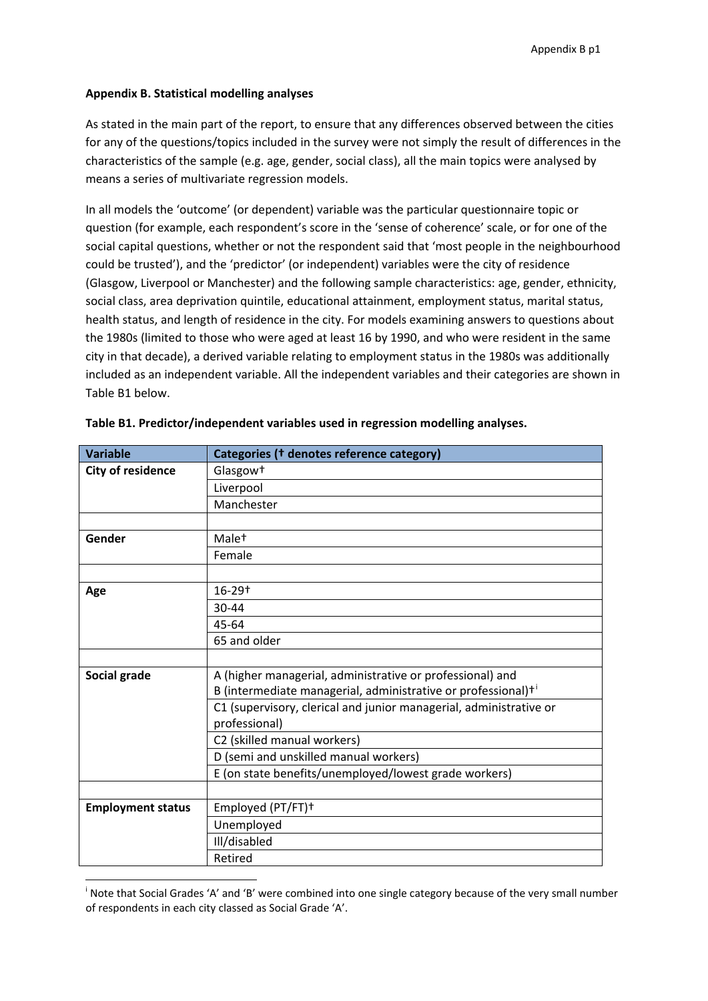# **Appendix B. Statistical modelling analyses**

As stated in the main part of the report, to ensure that any differences observed between the cities for any of the questions/topics included in the survey were not simply the result of differences in the characteristics of the sample (e.g. age, gender, social class), all the main topics were analysed by means a series of multivariate regression models.

In all models the 'outcome' (or dependent) variable was the particular questionnaire topic or question (for example, each respondent's score in the 'sense of coherence' scale, or for one of the social capital questions, whether or not the respondent said that 'most people in the neighbourhood could be trusted'), and the 'predictor' (or independent) variables were the city of residence (Glasgow, Liverpool or Manchester) and the following sample characteristics: age, gender, ethnicity, social class, area deprivation quintile, educational attainment, employment status, marital status, health status, and length of residence in the city. For models examining answers to questions about the 1980s (limited to those who were aged at least 16 by 1990, and who were resident in the same city in that decade), a derived variable relating to employment status in the 1980s was additionally included as an independent variable. All the independent variables and their categories are shown in Table B1 below.

| <b>Variable</b>          | Categories († denotes reference category)                                |
|--------------------------|--------------------------------------------------------------------------|
| <b>City of residence</b> | Glasgow <sup>+</sup>                                                     |
|                          | Liverpool                                                                |
|                          | Manchester                                                               |
|                          |                                                                          |
| Gender                   | Male <sup>+</sup>                                                        |
|                          | Female                                                                   |
|                          |                                                                          |
| Age                      | $16 - 29$ <sup>+</sup>                                                   |
|                          | 30-44                                                                    |
|                          | 45-64                                                                    |
|                          | 65 and older                                                             |
|                          |                                                                          |
| Social grade             | A (higher managerial, administrative or professional) and                |
|                          | B (intermediate managerial, administrative or professional) <sup>+</sup> |
|                          | C1 (supervisory, clerical and junior managerial, administrative or       |
|                          | professional)                                                            |
|                          | C2 (skilled manual workers)                                              |
|                          | D (semi and unskilled manual workers)                                    |
|                          | E (on state benefits/unemployed/lowest grade workers)                    |
|                          |                                                                          |
| <b>Employment status</b> | Employed (PT/FT)+                                                        |
|                          | Unemployed                                                               |
|                          | Ill/disabled                                                             |
|                          | Retired                                                                  |

**Table B1. Predictor/independent variables used in regression modelling analyses.**

<sup>&</sup>lt;sup>i</sup> Note that Social Grades 'A' and 'B' were combined into one single category because of the very small number of respondents in each city classed as Social Grade 'A'.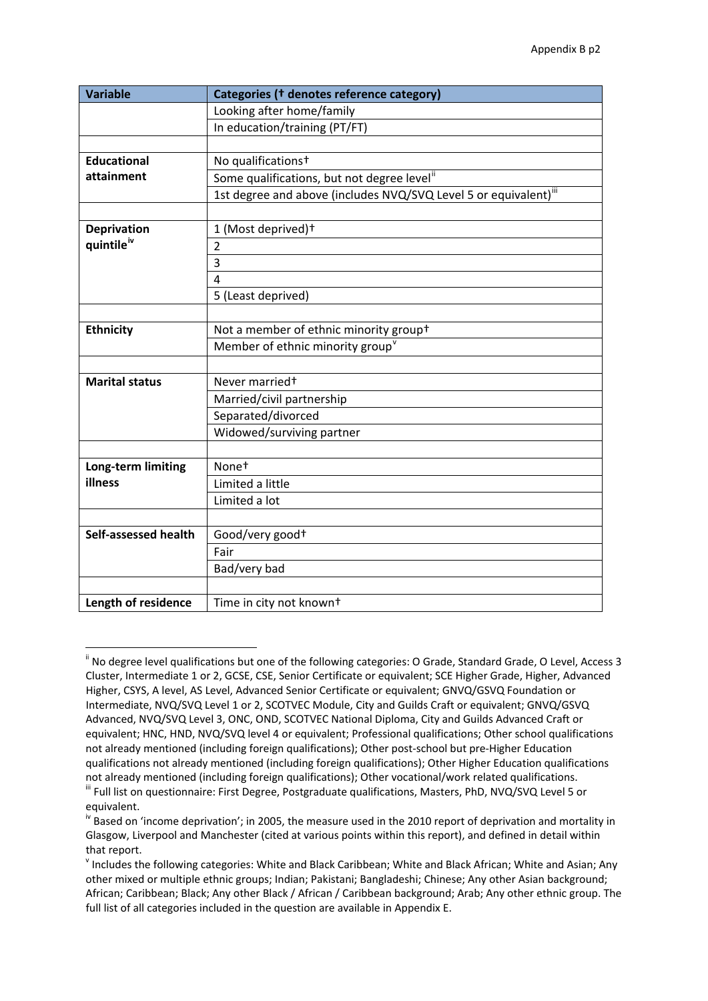| <b>Variable</b>        | Categories († denotes reference category)                                    |
|------------------------|------------------------------------------------------------------------------|
|                        | Looking after home/family                                                    |
|                        | In education/training (PT/FT)                                                |
|                        |                                                                              |
| <b>Educational</b>     | No qualifications <sup>+</sup>                                               |
| attainment             | Some qualifications, but not degree level"                                   |
|                        | 1st degree and above (includes NVQ/SVQ Level 5 or equivalent) <sup>iii</sup> |
|                        |                                                                              |
| <b>Deprivation</b>     | 1 (Most deprived) <sup>+</sup>                                               |
| quintile <sup>iv</sup> | $\overline{2}$                                                               |
|                        | 3                                                                            |
|                        | 4                                                                            |
|                        | 5 (Least deprived)                                                           |
|                        |                                                                              |
| <b>Ethnicity</b>       | Not a member of ethnic minority group+                                       |
|                        | Member of ethnic minority group <sup>v</sup>                                 |
|                        |                                                                              |
| <b>Marital status</b>  | Never married <sup>+</sup>                                                   |
|                        | Married/civil partnership                                                    |
|                        | Separated/divorced                                                           |
|                        | Widowed/surviving partner                                                    |
|                        |                                                                              |
| Long-term limiting     | None <sup>+</sup>                                                            |
| illness                | Limited a little                                                             |
|                        | Limited a lot                                                                |
|                        |                                                                              |
| Self-assessed health   | Good/very good+                                                              |
|                        | Fair                                                                         |
|                        | Bad/very bad                                                                 |
|                        |                                                                              |
| Length of residence    | Time in city not known <sup>+</sup>                                          |

<span id="page-1-0"></span>ii No degree level qualifications but one of the following categories: O Grade, Standard Grade, O Level, Access 3 Cluster, Intermediate 1 or 2, GCSE, CSE, Senior Certificate or equivalent; SCE Higher Grade, Higher, Advanced Higher, CSYS, A level, AS Level, Advanced Senior Certificate or equivalent; GNVQ/GSVQ Foundation or Intermediate, NVQ/SVQ Level 1 or 2, SCOTVEC Module, City and Guilds Craft or equivalent; GNVQ/GSVQ Advanced, NVQ/SVQ Level 3, ONC, OND, SCOTVEC National Diploma, City and Guilds Advanced Craft or equivalent; HNC, HND, NVQ/SVQ level 4 or equivalent; Professional qualifications; Other school qualifications not already mentioned (including foreign qualifications); Other post‐school but pre‐Higher Education qualifications not already mentioned (including foreign qualifications); Other Higher Education qualifications not already mentioned (including foreign qualifications); Other vocational/work related qualifications. iii Full list on questionnaire: First Degree, Postgraduate qualifications, Masters, PhD, NVQ/SVQ Level 5 or equivalent.

<span id="page-1-1"></span><sup>&</sup>lt;sup>iv</sup> Based on 'income deprivation'; in 2005, the measure used in the 2010 report of deprivation and mortality in Glasgow, Liverpool and Manchester (cited at various points within this report), and defined in detail within

<span id="page-1-2"></span>that report.<br><sup>V</sup> Includes the following categories: White and Black Caribbean; White and Black African; White and Asian; Any other mixed or multiple ethnic groups; Indian; Pakistani; Bangladeshi; Chinese; Any other Asian background; African; Caribbean; Black; Any other Black / African / Caribbean background; Arab; Any other ethnic group. The full list of all categories included in the question are available in Appendix E.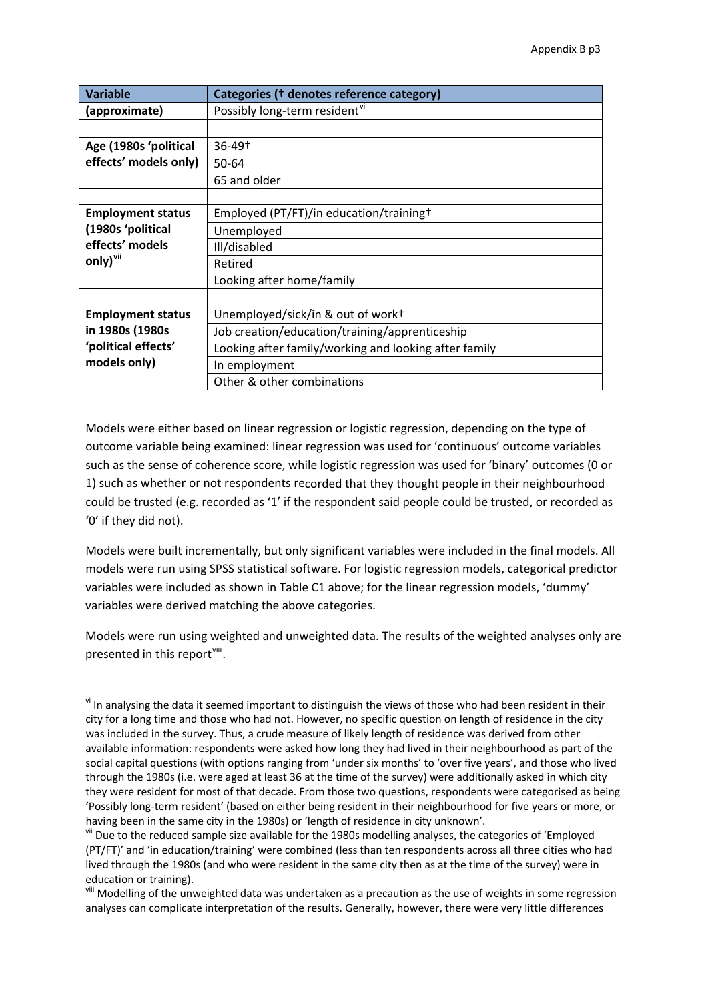| <b>Variable</b>          | Categories († denotes reference category)             |
|--------------------------|-------------------------------------------------------|
| (approximate)            | Possibly long-term resident <sup>vi</sup>             |
|                          |                                                       |
| Age (1980s 'political    | 36-49†                                                |
| effects' models only)    | 50-64                                                 |
|                          | 65 and older                                          |
|                          |                                                       |
| <b>Employment status</b> | Employed (PT/FT)/in education/training+               |
| (1980s 'political        | Unemployed                                            |
| effects' models          | Ill/disabled                                          |
| only) <sup>vii</sup>     | Retired                                               |
|                          | Looking after home/family                             |
|                          |                                                       |
| <b>Employment status</b> | Unemployed/sick/in & out of work+                     |
| in 1980s (1980s          | Job creation/education/training/apprenticeship        |
| 'political effects'      | Looking after family/working and looking after family |
| models only)             | In employment                                         |
|                          | Other & other combinations                            |

Models were either based on linear regression or logistic regression, depending on the type of outcome variable being examined: linear regression was used for 'continuous' outcome variables such as the sense of coherence score, while logistic regression was used for 'binary' outcomes (0 or 1) such as whether or not respondents recorded that they thought people in their neighbourhood could be trusted (e.g. recorded as '1' if the respondent said people could be trusted, or recorded as '0' if they did not).

Models were built incrementally, but only significant variables were included in the final models. All models were run using SPSS statistical software. For logistic regression models, categorical predictor variables were included as shown in Table C1 above; for the linear regression models, 'dummy' variables were derived matching the above categories.

Models were run using weighted and unweighted data. The results of the weighted analyses only are presented in this report<sup>[viii](#page-2-2)</sup>.

<span id="page-2-0"></span>v<sup>i</sup> In analysing the data it seemed important to distinguish the views of those who had been resident in their city for a long time and those who had not. However, no specific question on length of residence in the city was included in the survey. Thus, a crude measure of likely length of residence was derived from other available information: respondents were asked how long they had lived in their neighbourhood as part of the social capital questions (with options ranging from 'under six months' to 'over five years', and those who lived through the 1980s (i.e. were aged at least 36 at the time of the survey) were additionally asked in which city they were resident for most of that decade. From those two questions, respondents were categorised as being 'Possibly long‐term resident' (based on either being resident in their neighbourhood for five years or more, or having been in the same city in the 1980s) or 'length of residence in city unknown'.<br>Vii Due to the reduced sample size available for the 1980s modelling analyses, the categories of 'Employed

<span id="page-2-1"></span><sup>(</sup>PT/FT)' and 'in education/training' were combined (less than ten respondents across all three cities who had lived through the 1980s (and who were resident in the same city then as at the time of the survey) were in education or training).<br>viii Modelling of the unweighted data was undertaken as a precaution as the use of weights in some regression

<span id="page-2-2"></span>analyses can complicate interpretation of the results. Generally, however, there were very little differences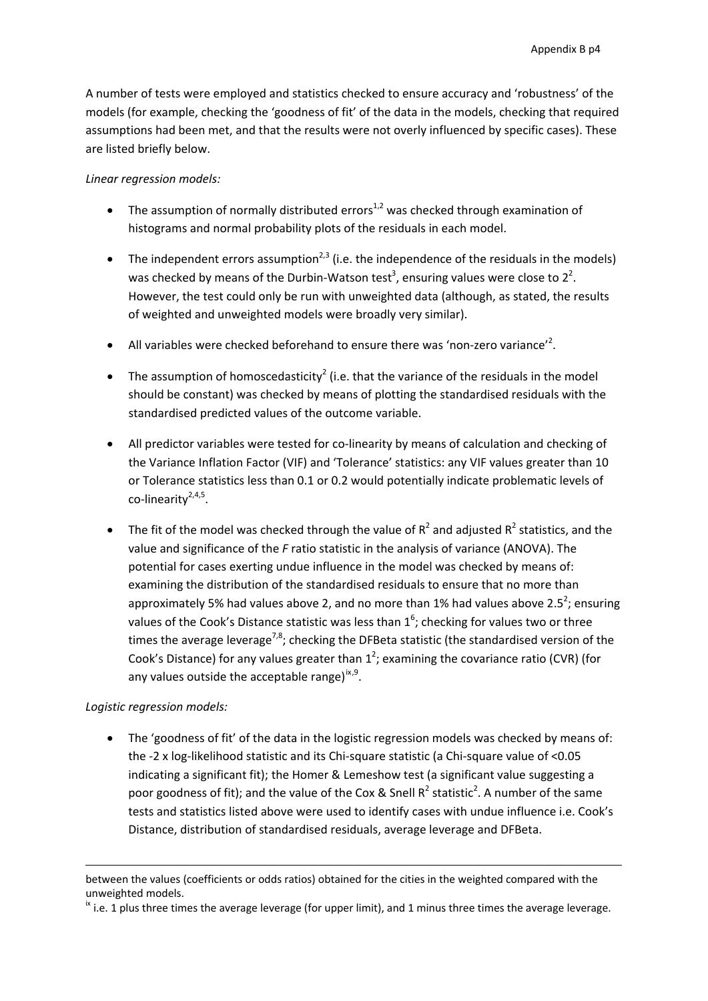A number of tests were employed and statistics checked to ensure accuracy and 'robustness' of the models (for example, checking the 'goodness of fit' of the data in the models, checking that required assumptions had been met, and that the results were not overly influenced by specific cases). These are listed briefly below.

# <span id="page-3-0"></span>*Linear regression models:*

- The assumption of normally distributed errors<sup>[1,](#page-5-0)[2](#page-5-1)</sup> was checked through examination of histograms and normal probability plots of the residuals in each model.
- <span id="page-3-1"></span>• The independent errors assumption<sup>2,[3](#page-5-1)</sup> (i.e. the independence of the residuals in the models) was checked by means of the Durbin-Watson test<sup>[3](#page-3-1)</sup>, ensuring values were close to  $2^2$  $2^2$ . However, the test could only be run with unweighted data (although, as stated, the results of weighted and unweighted models were broadly very similar).
- All variables were checked beforehand to ensure there was 'non-zero variance'<sup>2</sup>.
- The assumption of homoscedasticity<sup>[2](#page-3-0)</sup> (i.e. that the variance of the residuals in the model should be constant) was checked by means of plotting the standardised residuals with the standardised predicted values of the outcome variable.
- All predictor variables were tested for co-linearity by means of calculation and checking of the Variance Inflation Factor (VIF) and 'Tolerance' statistics: any VIF values greater than 10 or Tolerance statistics less than 0.1 or 0.2 would potentially indicate problematic levels of co-linearity $2,4,5$  $2,4,5$ .
- The fit of the model was checked through the value of  $R^2$  and adjusted  $R^2$  statistics, and the value and significance of the *F* ratio statistic in the analysis of variance (ANOVA). The potential for cases exerting undue influence in the model was checked by means of: examining the distribution of the standardised residuals to ensure that no more than approximately 5% had values above [2](#page-3-0), and no more than 1% had values above 2.5<sup>2</sup>; ensuring values of the Cook's Distance statistic was less than  $1^6$  $1^6$ ; checking for values two or three times the average leverage<sup>7,8</sup>; checking the DFBeta statistic (the standardised version of the Cook's Distance) for any values greater than  $1^2$  $1^2$ ; examining the covariance ratio (CVR) (for any values outside the acceptable range) $i^{x,9}$ .

# *Logistic regression models:*

 The 'goodness of fit' of the data in the logistic regression models was checked by means of: the ‐2 x log‐likelihood statistic and its Chi‐square statistic (a Chi‐square value of <0.05 indicating a significant fit); the Homer & Lemeshow test (a significant value suggesting a poor goodness of fit); and the value of the Cox & Snell  $R^2$  $R^2$  statistic<sup>2</sup>. A number of the same tests and statistics listed above were used to identify cases with undue influence i.e. Cook's Distance, distribution of standardised residuals, average leverage and DFBeta.

<u> 1989 - Johann Barn, amerikansk politiker (d. 1989)</u>

between the values (coefficients or odds ratios) obtained for the cities in the weighted compared with the unweighted models.<br>ix i.e. 1 plus three times the average leverage (for upper limit), and 1 minus three times the average leverage.

<span id="page-3-2"></span>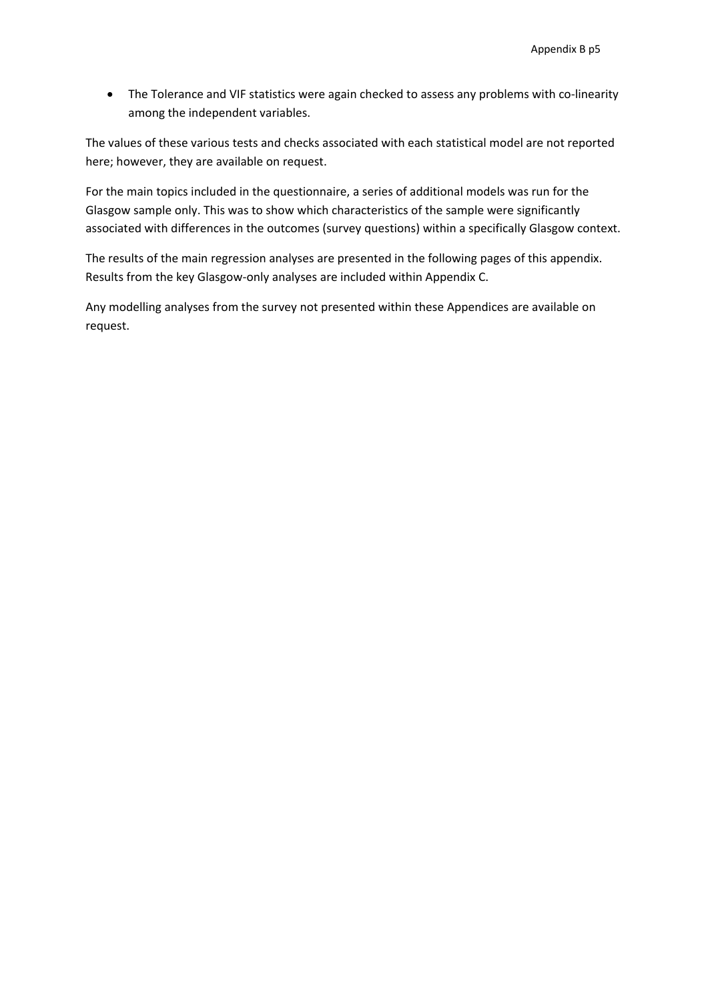■ The Tolerance and VIF statistics were again checked to assess any problems with co-linearity among the independent variables.

The values of these various tests and checks associated with each statistical model are not reported here; however, they are available on request.

For the main topics included in the questionnaire, a series of additional models was run for the Glasgow sample only. This was to show which characteristics of the sample were significantly associated with differences in the outcomes (survey questions) within a specifically Glasgow context.

The results of the main regression analyses are presented in the following pages of this appendix. Results from the key Glasgow‐only analyses are included within Appendix C.

Any modelling analyses from the survey not presented within these Appendices are available on request.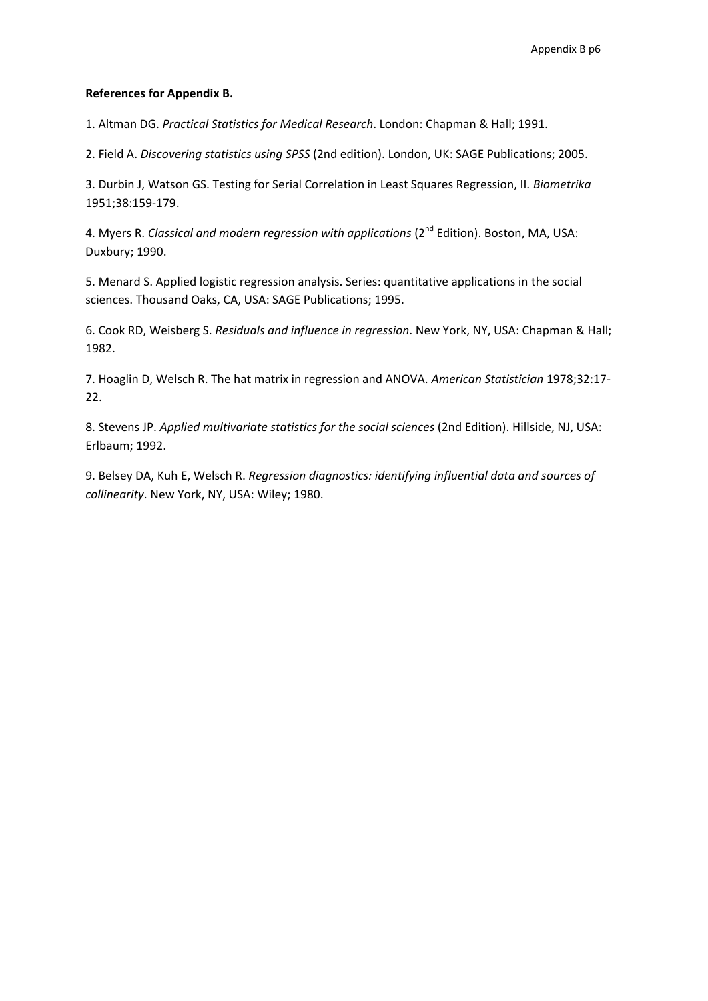## <span id="page-5-1"></span>**References for Appendix B.**

1. Altman DG. *Practical Statistics for Medical Research*. London: Chapman & Hall; 1991.

<span id="page-5-0"></span>2. Field A. *Discovering statistics using SPSS* (2nd edition). London, UK: SAGE Publications; 2005.

3. Durbin J, Watson GS. Testing for Serial Correlation in Least Squares Regression, II. *Biometrika* 1951;38:159‐179.

4. Myers R. *Classical and modern regression with applications* (2nd Edition). Boston, MA, USA: Duxbury; 1990.

5. Menard S. Applied logistic regression analysis. Series: quantitative applications in the social sciences. Thousand Oaks, CA, USA: SAGE Publications; 1995.

6. Cook RD, Weisberg S. *Residuals and influence in regression*. New York, NY, USA: Chapman & Hall; 1982.

7. Hoaglin D, Welsch R. The hat matrix in regression and ANOVA. *American Statistician* 1978;32:17‐ 22.

8. Stevens JP. *Applied multivariate statistics for the social sciences* (2nd Edition). Hillside, NJ, USA: Erlbaum; 1992.

9. Belsey DA, Kuh E, Welsch R. *Regression diagnostics: identifying influential data and sources of collinearity*. New York, NY, USA: Wiley; 1980.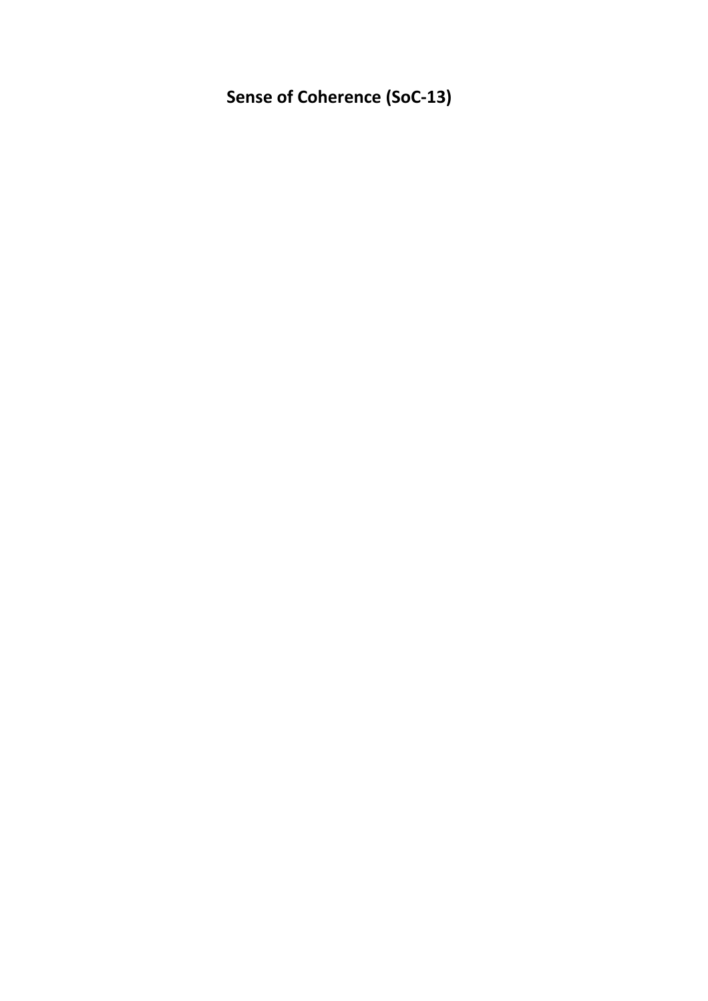**Sense of Coherence (SoC‐13)**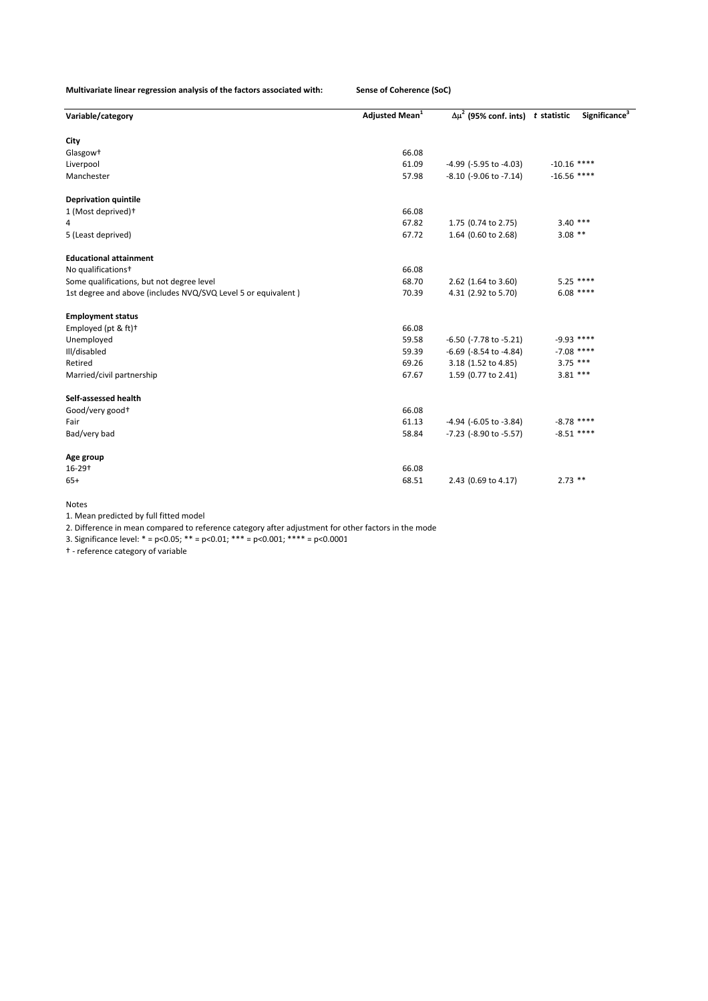**Multivariate linear regression analysis of the factors associated with: Sense of Coherence (SoC)**

| Variable/category                                             | Adjusted Mean <sup>1</sup> | $\overline{\Delta \mu^2}$ (95% conf. ints) t statistic | Significance  |
|---------------------------------------------------------------|----------------------------|--------------------------------------------------------|---------------|
| City                                                          |                            |                                                        |               |
| Glasgow <sup>+</sup>                                          | 66.08                      |                                                        |               |
| Liverpool                                                     | 61.09                      | -4.99 (-5.95 to -4.03)                                 | $-10.16$ **** |
| Manchester                                                    | 57.98                      | $-8.10$ ( $-9.06$ to $-7.14$ )                         | $-16.56$ **** |
| <b>Deprivation quintile</b>                                   |                            |                                                        |               |
| 1 (Most deprived) <sup>+</sup>                                | 66.08                      |                                                        |               |
| 4                                                             | 67.82                      | 1.75 (0.74 to 2.75)                                    | $3.40***$     |
| 5 (Least deprived)                                            | 67.72                      | 1.64 (0.60 to 2.68)                                    | $3.08$ **     |
| <b>Educational attainment</b>                                 |                            |                                                        |               |
| No qualifications+                                            | 66.08                      |                                                        |               |
| Some qualifications, but not degree level                     | 68.70                      | 2.62 (1.64 to 3.60)                                    | $5.25$ ****   |
| 1st degree and above (includes NVQ/SVQ Level 5 or equivalent) | 70.39                      | 4.31 (2.92 to 5.70)                                    | $6.08$ ****   |
| <b>Employment status</b>                                      |                            |                                                        |               |
| Employed (pt & ft)+                                           | 66.08                      |                                                        |               |
| Unemployed                                                    | 59.58                      | -6.50 (-7.78 to -5.21)                                 | $-9.93$ ****  |
| Ill/disabled                                                  | 59.39                      | -6.69 (-8.54 to -4.84)                                 | $-7.08$ ****  |
| Retired                                                       | 69.26                      | 3.18 (1.52 to 4.85)                                    | $3.75$ ***    |
| Married/civil partnership                                     | 67.67                      | 1.59 (0.77 to 2.41)                                    | $3.81***$     |
| Self-assessed health                                          |                            |                                                        |               |
| Good/very good+                                               | 66.08                      |                                                        |               |
| Fair                                                          | 61.13                      | $-4.94$ ( $-6.05$ to $-3.84$ )                         | $-8.78$ ****  |
| Bad/very bad                                                  | 58.84                      | $-7.23$ ( $-8.90$ to $-5.57$ )                         | $-8.51$ ****  |
| Age group                                                     |                            |                                                        |               |
| $16 - 29$ <sup>+</sup>                                        | 66.08                      |                                                        |               |
| $65+$                                                         | 68.51                      | 2.43 (0.69 to 4.17)                                    | $2.73$ **     |

Notes

1. Mean predicted by full fitted model

2. Difference in mean compared to reference category after adjustment for other factors in the mode

3. Significance level:  $* = p < 0.05$ ;  $** = p < 0.01$ ;  $*** = p < 0.001$ ;  $*** = p < 0.0001$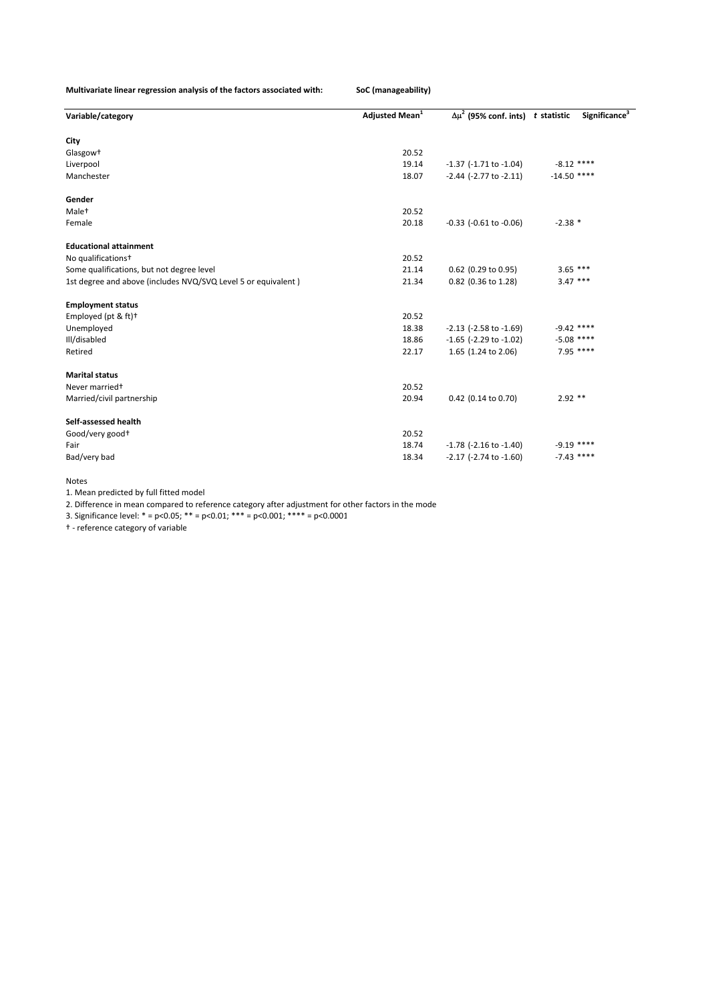**Multivariate linear regression analysis of the factors associated with: SoC (manageability)**

| Variable/category                                             | Adjusted Mean <sup>1</sup> | $\overline{\Delta \mu^2}$ (95% conf. ints) t statistic | Significance <sup>3</sup> |
|---------------------------------------------------------------|----------------------------|--------------------------------------------------------|---------------------------|
| City                                                          |                            |                                                        |                           |
| Glasgow <sup>+</sup>                                          | 20.52                      |                                                        |                           |
| Liverpool                                                     | 19.14                      | $-1.37$ ( $-1.71$ to $-1.04$ )                         | $-8.12$ ****              |
| Manchester                                                    | 18.07                      | $-2.44$ ( $-2.77$ to $-2.11$ )                         | $-14.50$ ****             |
| Gender                                                        |                            |                                                        |                           |
| Male <sup>+</sup>                                             | 20.52                      |                                                        |                           |
| Female                                                        | 20.18                      | $-0.33$ ( $-0.61$ to $-0.06$ )                         | $-2.38$ *                 |
| <b>Educational attainment</b>                                 |                            |                                                        |                           |
| No qualifications <sup>+</sup>                                | 20.52                      |                                                        |                           |
| Some qualifications, but not degree level                     | 21.14                      | 0.62 (0.29 to 0.95)                                    | $3.65$ ***                |
| 1st degree and above (includes NVQ/SVQ Level 5 or equivalent) | 21.34                      | 0.82 (0.36 to 1.28)                                    | $3.47***$                 |
| <b>Employment status</b>                                      |                            |                                                        |                           |
| Employed (pt & ft)+                                           | 20.52                      |                                                        |                           |
| Unemployed                                                    | 18.38                      | $-2.13$ ( $-2.58$ to $-1.69$ )                         | $-9.42$ ****              |
| Ill/disabled                                                  | 18.86                      | $-1.65$ ( $-2.29$ to $-1.02$ )                         | $-5.08$ ****              |
| Retired                                                       | 22.17                      | 1.65 (1.24 to 2.06)                                    | 7.95 ****                 |
| <b>Marital status</b>                                         |                            |                                                        |                           |
| Never married <sup>+</sup>                                    | 20.52                      |                                                        |                           |
| Married/civil partnership                                     | 20.94                      | 0.42 (0.14 to 0.70)                                    | $2.92**$                  |
| Self-assessed health                                          |                            |                                                        |                           |
| Good/very good+                                               | 20.52                      |                                                        |                           |
| Fair                                                          | 18.74                      | $-1.78$ ( $-2.16$ to $-1.40$ )                         | $-9.19$ ****              |
| Bad/very bad                                                  | 18.34                      | $-2.17$ ( $-2.74$ to $-1.60$ )                         | $-7.43$ ****              |

Notes

1. Mean predicted by full fitted model

2. Difference in mean compared to reference category after adjustment for other factors in the mode

3. Significance level: \* = p<0.05; \*\* = p<0.01; \*\*\* = p<0.001; \*\*\*\* = p<0.0001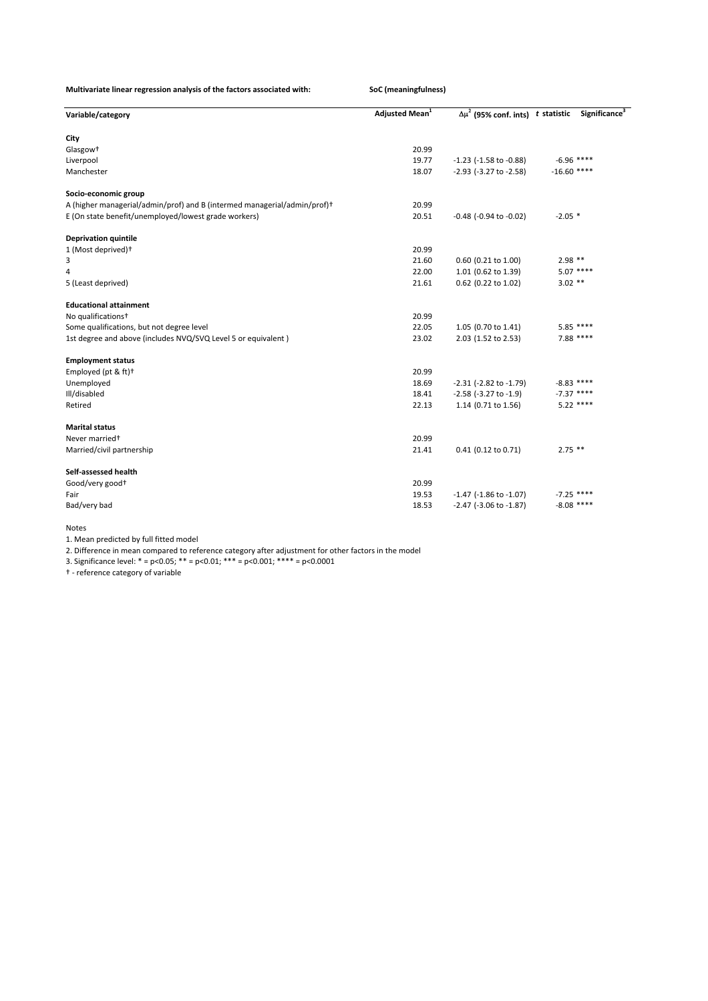**Multivariate linear regression analysis of the factors associated with: SoC (meaningfulness)**

| Variable/category                                                                    | Adjusted Mean <sup>1</sup> | $\Delta \mu^2$ (95% conf. ints) t statistic |               | Significance <sup>3</sup> |
|--------------------------------------------------------------------------------------|----------------------------|---------------------------------------------|---------------|---------------------------|
| City                                                                                 |                            |                                             |               |                           |
| Glasgow <sup>+</sup>                                                                 | 20.99                      |                                             |               |                           |
| Liverpool                                                                            | 19.77                      | $-1.23$ ( $-1.58$ to $-0.88$ )              | $-6.96$ ****  |                           |
| Manchester                                                                           | 18.07                      | -2.93 (-3.27 to -2.58)                      | $-16.60$ **** |                           |
| Socio-economic group                                                                 |                            |                                             |               |                           |
| A (higher managerial/admin/prof) and B (intermed managerial/admin/prof) <sup>+</sup> | 20.99                      |                                             |               |                           |
| E (On state benefit/unemployed/lowest grade workers)                                 | 20.51                      | $-0.48$ ( $-0.94$ to $-0.02$ )              | $-2.05$ *     |                           |
| <b>Deprivation quintile</b>                                                          |                            |                                             |               |                           |
| 1 (Most deprived) <sup>+</sup>                                                       | 20.99                      |                                             |               |                           |
| 3                                                                                    | 21.60                      | 0.60 (0.21 to 1.00)                         | $2.98$ **     |                           |
| 4                                                                                    | 22.00                      | 1.01 (0.62 to 1.39)                         | $5.07$ ****   |                           |
| 5 (Least deprived)                                                                   | 21.61                      | 0.62 (0.22 to 1.02)                         | $3.02$ **     |                           |
| <b>Educational attainment</b>                                                        |                            |                                             |               |                           |
| No qualifications <sup>+</sup>                                                       | 20.99                      |                                             |               |                           |
| Some qualifications, but not degree level                                            | 22.05                      | 1.05 (0.70 to 1.41)                         | 5.85 ****     |                           |
| 1st degree and above (includes NVQ/SVQ Level 5 or equivalent)                        | 23.02                      | 2.03 (1.52 to 2.53)                         | 7.88 ****     |                           |
| <b>Employment status</b>                                                             |                            |                                             |               |                           |
| Employed (pt & ft)+                                                                  | 20.99                      |                                             |               |                           |
| Unemployed                                                                           | 18.69                      | $-2.31$ ( $-2.82$ to $-1.79$ )              | $-8.83$ ****  |                           |
| Ill/disabled                                                                         | 18.41                      | -2.58 (-3.27 to -1.9)                       | $-7.37$ ****  |                           |
| Retired                                                                              | 22.13                      | 1.14 (0.71 to 1.56)                         | $5.22$ ****   |                           |
| <b>Marital status</b>                                                                |                            |                                             |               |                           |
| Never married <sup>+</sup>                                                           | 20.99                      |                                             |               |                           |
| Married/civil partnership                                                            | 21.41                      | 0.41 (0.12 to 0.71)                         | $2.75$ **     |                           |
| Self-assessed health                                                                 |                            |                                             |               |                           |
| Good/very good+                                                                      | 20.99                      |                                             |               |                           |
| Fair                                                                                 | 19.53                      | $-1.47$ ( $-1.86$ to $-1.07$ )              | $-7.25$ ****  |                           |
| Bad/very bad                                                                         | 18.53                      | $-2.47$ ( $-3.06$ to $-1.87$ )              | $-8.08$ ****  |                           |

Notes

1. Mean predicted by full fitted model

2. Difference in mean compared to reference category after adjustment for other factors in the model

3. Significance level: \* = p<0.05; \*\* = p<0.01; \*\*\* = p<0.001; \*\*\*\* = p<0.0001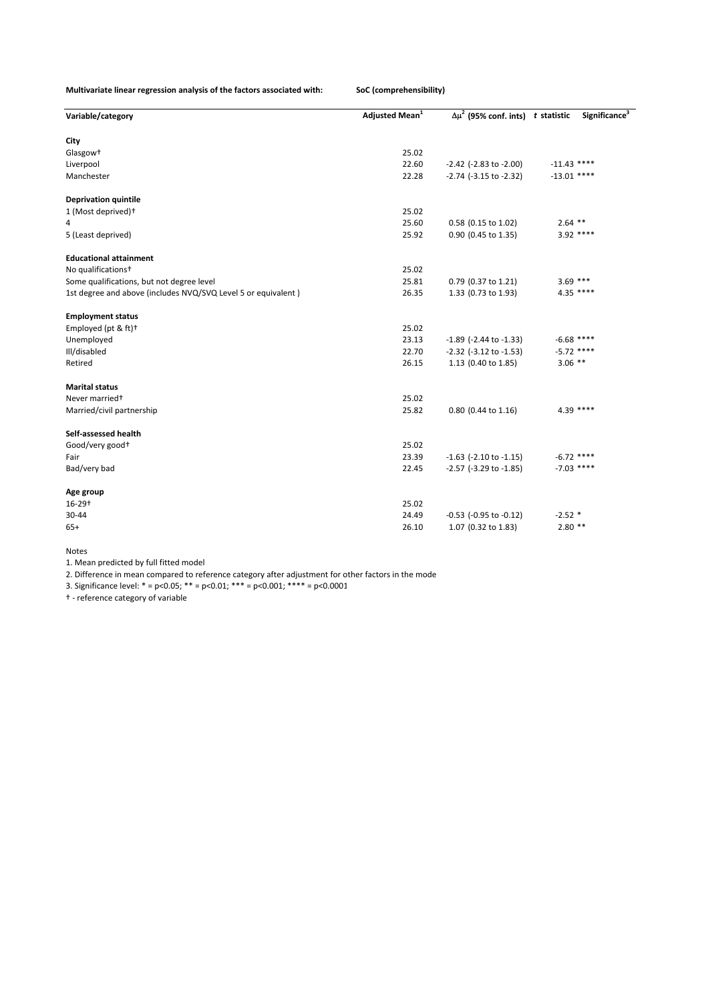**Multivariate linear regression analysis of the factors associated with: SoC (comprehensibility)**

| Variable/category                                             | Adjusted Mean <sup>1</sup> | $\Delta \mu^2$ (95% conf. ints) t statistic | <b>Significance</b> <sup>3</sup> |
|---------------------------------------------------------------|----------------------------|---------------------------------------------|----------------------------------|
| City                                                          |                            |                                             |                                  |
| Glasgow <sup>+</sup>                                          | 25.02                      |                                             |                                  |
| Liverpool                                                     | 22.60                      | $-2.42$ ( $-2.83$ to $-2.00$ )              | $-11.43$ ****                    |
| Manchester                                                    | 22.28                      | $-2.74$ ( $-3.15$ to $-2.32$ )              | $-13.01$ ****                    |
| <b>Deprivation quintile</b>                                   |                            |                                             |                                  |
| 1 (Most deprived) <sup>+</sup>                                | 25.02                      |                                             |                                  |
| 4                                                             | 25.60                      | 0.58 (0.15 to 1.02)                         | $2.64$ **                        |
| 5 (Least deprived)                                            | 25.92                      | 0.90 (0.45 to 1.35)                         | $3.92$ ****                      |
| <b>Educational attainment</b>                                 |                            |                                             |                                  |
| No qualifications <sup>+</sup>                                | 25.02                      |                                             |                                  |
| Some qualifications, but not degree level                     | 25.81                      | 0.79 (0.37 to 1.21)                         | $3.69$ ***                       |
| 1st degree and above (includes NVQ/SVQ Level 5 or equivalent) | 26.35                      | 1.33 (0.73 to 1.93)                         | 4.35 ****                        |
| <b>Employment status</b>                                      |                            |                                             |                                  |
| Employed (pt & ft)+                                           | 25.02                      |                                             |                                  |
| Unemployed                                                    | 23.13                      | $-1.89$ ( $-2.44$ to $-1.33$ )              | $-6.68$ ****                     |
| Ill/disabled                                                  | 22.70                      | $-2.32$ ( $-3.12$ to $-1.53$ )              | $-5.72$ ****                     |
| Retired                                                       | 26.15                      | 1.13 (0.40 to 1.85)                         | $3.06$ **                        |
| <b>Marital status</b>                                         |                            |                                             |                                  |
| Never married <sup>+</sup>                                    | 25.02                      |                                             |                                  |
| Married/civil partnership                                     | 25.82                      | 0.80 (0.44 to 1.16)                         | 4.39 ****                        |
| Self-assessed health                                          |                            |                                             |                                  |
| Good/very good+                                               | 25.02                      |                                             |                                  |
| Fair                                                          | 23.39                      | $-1.63$ ( $-2.10$ to $-1.15$ )              | $-6.72$ ****                     |
| Bad/very bad                                                  | 22.45                      | $-2.57$ ( $-3.29$ to $-1.85$ )              | $-7.03$ ****                     |
| Age group                                                     |                            |                                             |                                  |
| $16 - 29$ <sup>+</sup>                                        | 25.02                      |                                             |                                  |
| 30-44                                                         | 24.49                      | $-0.53$ ( $-0.95$ to $-0.12$ )              | $-2.52$ *                        |
| $65+$                                                         | 26.10                      | 1.07 (0.32 to 1.83)                         | $2.80**$                         |

Notes

1. Mean predicted by full fitted model

2. Difference in mean compared to reference category after adjustment for other factors in the mode

3. Significance level: \* = p<0.05; \*\* = p<0.01; \*\*\* = p<0.001; \*\*\*\* = p<0.0001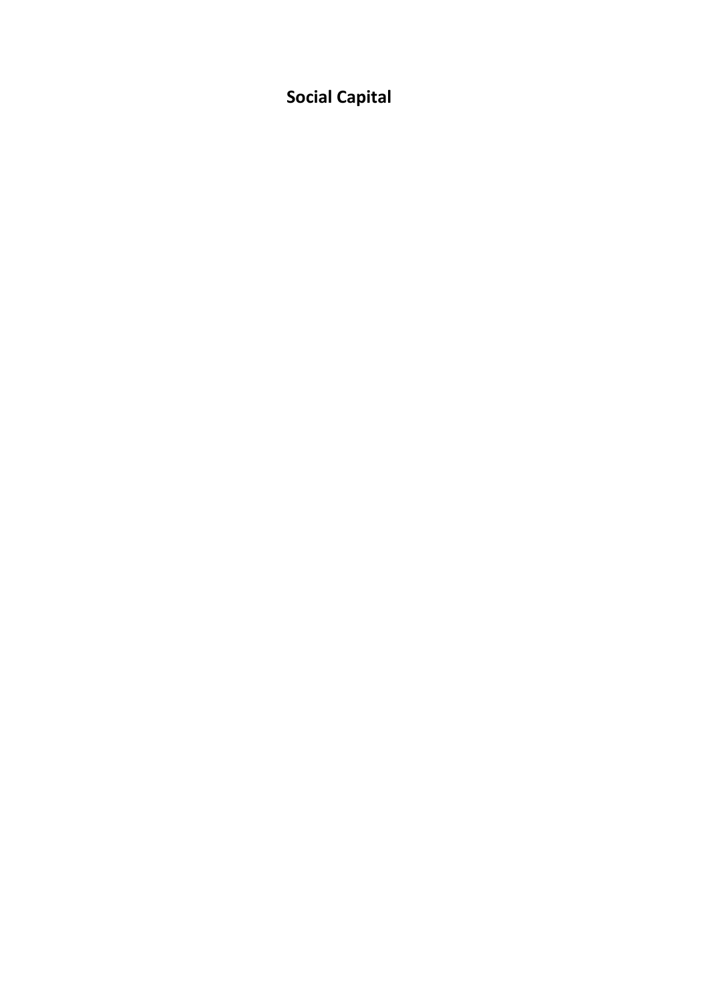**Social Capital**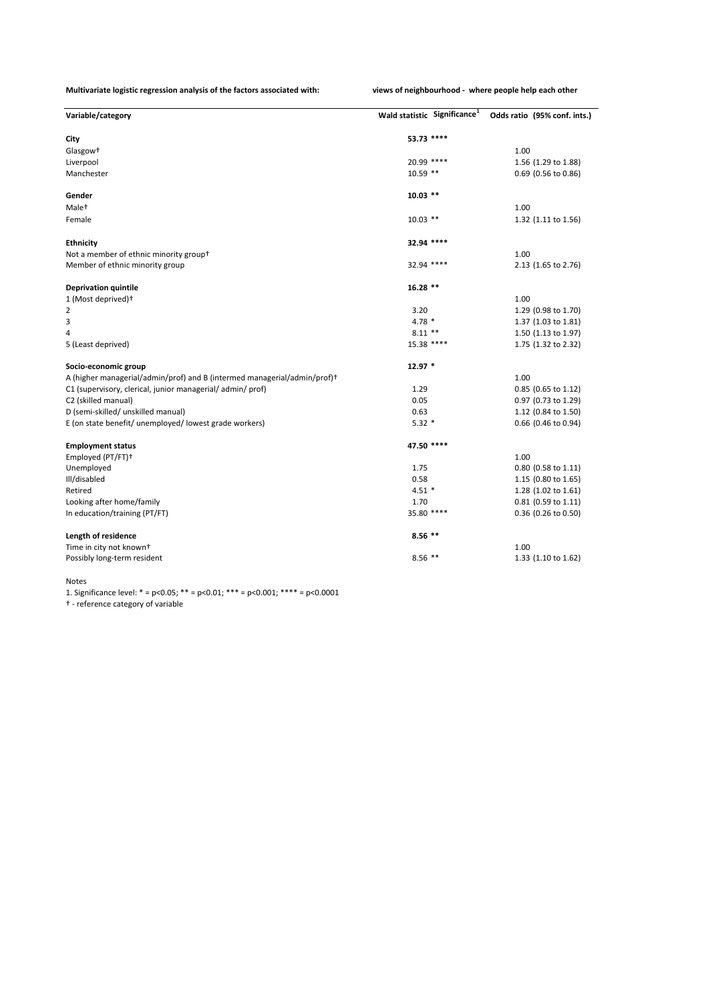Multivariate logistic regression analysis of the factors associated with: views of neighbourhood - where people help each other

| Variable/category                                                        | Wald statistic Significance <sup>1</sup> | Odds ratio (95% conf. ints.) |
|--------------------------------------------------------------------------|------------------------------------------|------------------------------|
| City                                                                     | 53.73 ****                               |                              |
| Glasgow <sup>+</sup>                                                     |                                          | 1.00                         |
| Liverpool                                                                | 20.99 ****                               | 1.56 (1.29 to 1.88)          |
| Manchester                                                               | $10.59$ **                               | 0.69 (0.56 to 0.86)          |
| Gender                                                                   | $10.03$ **                               |                              |
| Male <sup>+</sup>                                                        |                                          | 1.00                         |
| Female                                                                   | $10.03$ **                               | 1.32 (1.11 to 1.56)          |
| <b>Ethnicity</b>                                                         | 32.94 ****                               |                              |
| Not a member of ethnic minority group+                                   |                                          | 1.00                         |
| Member of ethnic minority group                                          | 32.94 ****                               | 2.13 (1.65 to 2.76)          |
| <b>Deprivation quintile</b>                                              | $16.28**$                                |                              |
| 1 (Most deprived)+                                                       |                                          | 1.00                         |
| $\overline{2}$                                                           | 3.20                                     | 1.29 (0.98 to 1.70)          |
| 3                                                                        | $4.78*$                                  | 1.37 (1.03 to 1.81)          |
| $\overline{4}$                                                           | $8.11**$                                 | 1.50 (1.13 to 1.97)          |
| 5 (Least deprived)                                                       | 15.38 ****                               | 1.75 (1.32 to 2.32)          |
| Socio-economic group                                                     | 12.97 *                                  |                              |
| A (higher managerial/admin/prof) and B (intermed managerial/admin/prof)+ |                                          | 1.00                         |
| C1 (supervisory, clerical, junior managerial/ admin/ prof)               | 1.29                                     | 0.85 (0.65 to 1.12)          |
| C2 (skilled manual)                                                      | 0.05                                     | 0.97 (0.73 to 1.29)          |
| D (semi-skilled/ unskilled manual)                                       | 0.63                                     | 1.12 (0.84 to 1.50)          |
| E (on state benefit/ unemployed/ lowest grade workers)                   | $5.32*$                                  | 0.66 (0.46 to 0.94)          |
| <b>Employment status</b>                                                 | 47.50 ****                               |                              |
| Employed (PT/FT)+                                                        |                                          | 1.00                         |
| Unemployed                                                               | 1.75                                     | 0.80 (0.58 to 1.11)          |
| Ill/disabled                                                             | 0.58                                     | 1.15 (0.80 to 1.65)          |
| Retired                                                                  | $4.51 *$                                 | 1.28 (1.02 to 1.61)          |
| Looking after home/family                                                | 1.70                                     | 0.81 (0.59 to 1.11)          |
| In education/training (PT/FT)                                            | 35.80 ****                               | 0.36 (0.26 to 0.50)          |
| Length of residence                                                      | $8.56$ **                                |                              |
| Time in city not known <sup>+</sup>                                      |                                          | 1.00                         |
| Possibly long-term resident                                              | $8.56$ **                                | 1.33 (1.10 to 1.62)          |

Notes

1. Significance level: \* = p<0.05; \*\* = p<0.01; \*\*\* = p<0.001; \*\*\*\* = p<0.0001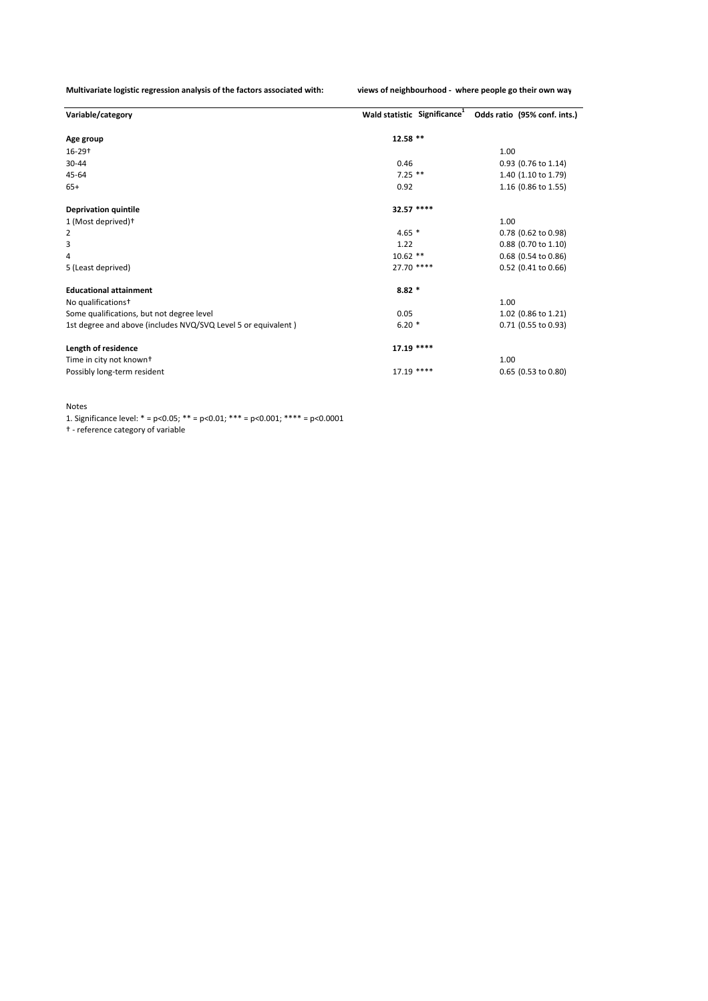Multivariate logistic regression analysis of the factors associated with: views of neighbourhood - where people go their own way

| Variable/category                                             | Wald statistic Significance <sup>1</sup> | Odds ratio (95% conf. ints.) |
|---------------------------------------------------------------|------------------------------------------|------------------------------|
| Age group                                                     | $12.58**$                                |                              |
| $16 - 29$ <sup>+</sup>                                        |                                          | 1.00                         |
| $30 - 44$                                                     | 0.46                                     | 0.93 (0.76 to 1.14)          |
| 45-64                                                         | $7.25$ **                                | 1.40 (1.10 to 1.79)          |
| $65+$                                                         | 0.92                                     | 1.16 (0.86 to 1.55)          |
| <b>Deprivation quintile</b>                                   | 32.57 ****                               |                              |
| 1 (Most deprived) <sup>+</sup>                                |                                          | 1.00                         |
| 2                                                             | $4.65*$                                  | 0.78 (0.62 to 0.98)          |
| 3                                                             | 1.22                                     | 0.88 (0.70 to 1.10)          |
| 4                                                             | $10.62$ **                               | 0.68 (0.54 to 0.86)          |
| 5 (Least deprived)                                            | 27.70 ****                               | 0.52 (0.41 to 0.66)          |
| <b>Educational attainment</b>                                 | $8.82*$                                  |                              |
| No qualifications <sup>+</sup>                                |                                          | 1.00                         |
| Some qualifications, but not degree level                     | 0.05                                     | 1.02 (0.86 to 1.21)          |
| 1st degree and above (includes NVQ/SVQ Level 5 or equivalent) | $6.20*$                                  | 0.71 (0.55 to 0.93)          |
| Length of residence                                           | $17.19$ ****                             |                              |
| Time in city not known+                                       |                                          | 1.00                         |
| Possibly long-term resident                                   | $17.19$ ****                             | 0.65 (0.53 to 0.80)          |

Notes

1. Significance level: \* = p<0.05; \*\* = p<0.01; \*\*\* = p<0.001; \*\*\*\* = p<0.0001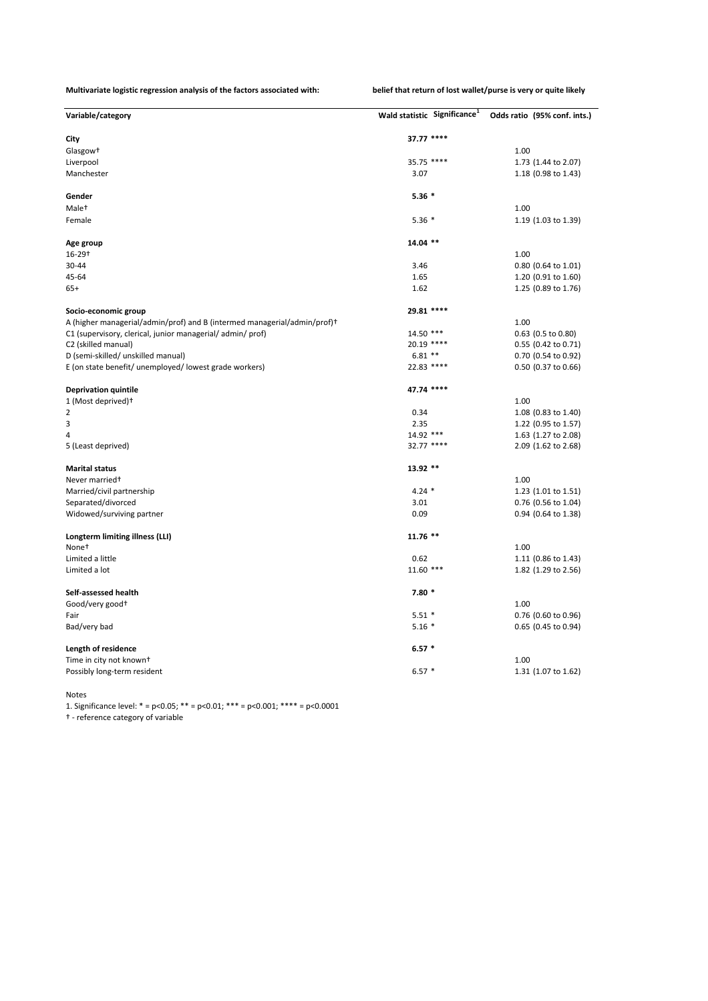Multivariate logistic regression analysis of the factors associated with: belief that return of lost wallet/purse is very or quite likely

| Variable/category                                                                    | Wald statistic Significance <sup>1</sup> | Odds ratio (95% conf. ints.) |
|--------------------------------------------------------------------------------------|------------------------------------------|------------------------------|
| City                                                                                 | 37.77 ****                               |                              |
| Glasgow <sup>+</sup>                                                                 |                                          | 1.00                         |
| Liverpool                                                                            | 35.75 ****                               | 1.73 (1.44 to 2.07)          |
| Manchester                                                                           | 3.07                                     | 1.18 (0.98 to 1.43)          |
|                                                                                      |                                          |                              |
| Gender                                                                               | $5.36*$                                  |                              |
| Male <sup>+</sup>                                                                    |                                          | 1.00                         |
| Female                                                                               | $5.36*$                                  | 1.19 (1.03 to 1.39)          |
| Age group                                                                            | $14.04$ **                               |                              |
| $16 - 29$ <sup>+</sup>                                                               |                                          | 1.00                         |
| 30-44                                                                                | 3.46                                     | 0.80 (0.64 to 1.01)          |
| 45-64                                                                                | 1.65                                     | 1.20 (0.91 to 1.60)          |
| $65+$                                                                                | 1.62                                     | 1.25 (0.89 to 1.76)          |
|                                                                                      |                                          |                              |
| Socio-economic group                                                                 | 29.81 ****                               |                              |
| A (higher managerial/admin/prof) and B (intermed managerial/admin/prof) <sup>+</sup> |                                          | 1.00                         |
| C1 (supervisory, clerical, junior managerial/admin/prof)                             | 14.50 ***                                | $0.63$ (0.5 to 0.80)         |
| C2 (skilled manual)                                                                  | 20.19 ****                               | 0.55 (0.42 to 0.71)          |
| D (semi-skilled/ unskilled manual)                                                   | $6.81**$                                 | 0.70 (0.54 to 0.92)          |
| E (on state benefit/ unemployed/ lowest grade workers)                               | 22.83 ****                               | 0.50 (0.37 to 0.66)          |
| <b>Deprivation quintile</b>                                                          | 47.74 ****                               |                              |
| 1 (Most deprived) <sup>+</sup>                                                       |                                          | 1.00                         |
| 2                                                                                    | 0.34                                     | 1.08 (0.83 to 1.40)          |
| 3                                                                                    | 2.35                                     | 1.22 (0.95 to 1.57)          |
| 4                                                                                    | 14.92 ***                                | 1.63 (1.27 to 2.08)          |
| 5 (Least deprived)                                                                   | 32.77 ****                               | 2.09 (1.62 to 2.68)          |
|                                                                                      |                                          |                              |
| <b>Marital status</b>                                                                | 13.92 **                                 |                              |
| Never married <sup>+</sup>                                                           |                                          | 1.00                         |
| Married/civil partnership                                                            | $4.24*$                                  | 1.23 (1.01 to 1.51)          |
| Separated/divorced                                                                   | 3.01                                     | 0.76 (0.56 to 1.04)          |
| Widowed/surviving partner                                                            | 0.09                                     | 0.94 (0.64 to 1.38)          |
| Longterm limiting illness (LLI)                                                      | $11.76$ **                               |                              |
| None <sup>+</sup>                                                                    |                                          | 1.00                         |
| Limited a little                                                                     | 0.62                                     | 1.11 (0.86 to 1.43)          |
| Limited a lot                                                                        | $11.60$ ***                              | 1.82 (1.29 to 2.56)          |
| Self-assessed health                                                                 | $7.80*$                                  |                              |
| Good/very good+                                                                      |                                          | 1.00                         |
| Fair                                                                                 | $5.51*$                                  | 0.76 (0.60 to 0.96)          |
| Bad/very bad                                                                         | $5.16*$                                  | 0.65 (0.45 to 0.94)          |
|                                                                                      |                                          |                              |
| Length of residence                                                                  | $6.57*$                                  |                              |
| Time in city not known+                                                              |                                          | 1.00                         |
| Possibly long-term resident                                                          | $6.57*$                                  | 1.31 (1.07 to 1.62)          |
|                                                                                      |                                          |                              |

Notes

1. Significance level:  $* = p < 0.05$ ;  $** = p < 0.01$ ;  $*** = p < 0.001$ ;  $*** = p < 0.0001$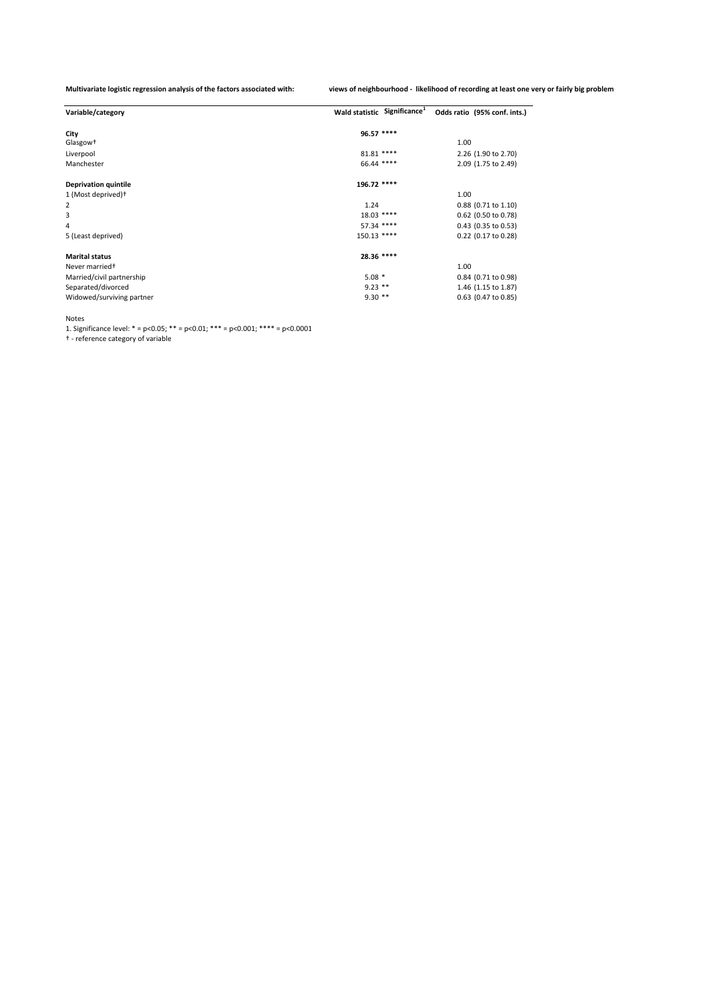Multivariate logistic regression analysis of the factors associated with: views of neighbourhood - likelihood of recording at least one very or fairly big problem

| Variable/category              | Wald statistic Significance <sup>1</sup> | Odds ratio (95% conf. ints.) |
|--------------------------------|------------------------------------------|------------------------------|
| City                           | 96.57 ****                               |                              |
| Glasgow <sup>+</sup>           |                                          | 1.00                         |
| Liverpool                      | 81.81 ****                               | 2.26 (1.90 to 2.70)          |
| Manchester                     | 66.44 ****                               | 2.09 (1.75 to 2.49)          |
| <b>Deprivation quintile</b>    | 196.72 ****                              |                              |
| 1 (Most deprived) <sup>+</sup> |                                          | 1.00                         |
| 2                              | 1.24                                     | 0.88 (0.71 to 1.10)          |
| 3                              | $18.03$ ****                             | 0.62 (0.50 to 0.78)          |
| 4                              | 57.34 ****                               | $0.43$ (0.35 to 0.53)        |
| 5 (Least deprived)             | $150.13$ ****                            | 0.22 (0.17 to 0.28)          |
| <b>Marital status</b>          | 28.36 ****                               |                              |
| Never married <sup>+</sup>     |                                          | 1.00                         |
| Married/civil partnership      | $5.08*$                                  | 0.84 (0.71 to 0.98)          |
| Separated/divorced             | $9.23$ **                                | 1.46 (1.15 to 1.87)          |
| Widowed/surviving partner      | $9.30**$                                 | 0.63 (0.47 to 0.85)          |

Notes

1. Significance level: \* = p<0.05; \*\* = p<0.01; \*\*\* = p<0.001; \*\*\*\* = p<0.0001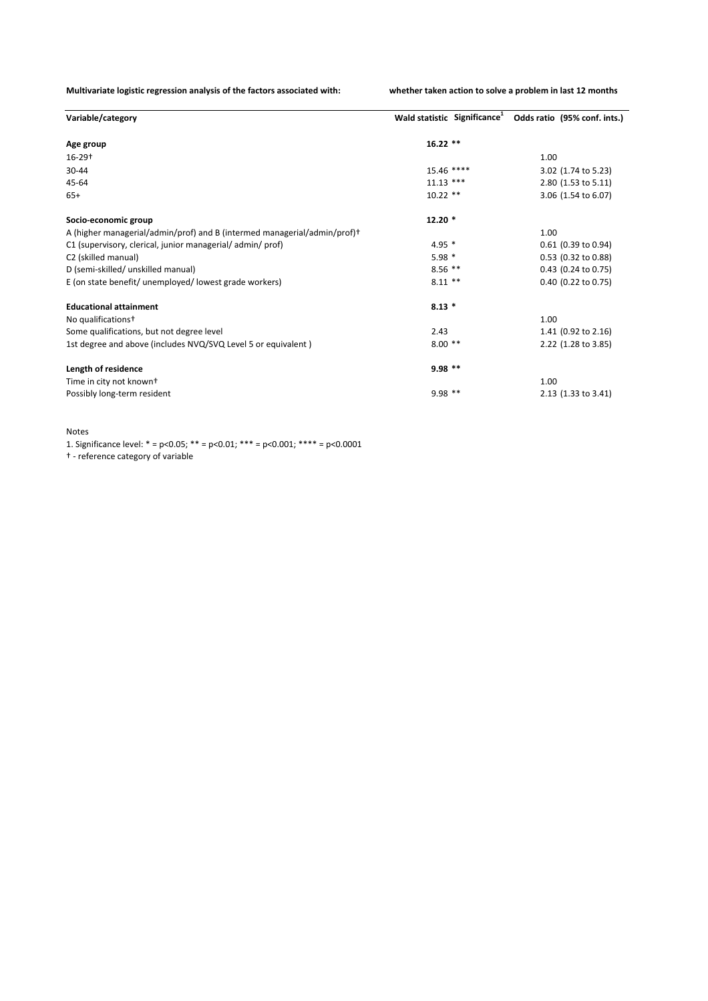Multivariate logistic regression analysis of the factors associated with: whether taken action to solve a problem in last 12 months

| Variable/category                                                                    | Wald statistic Significance <sup>1</sup> | Odds ratio (95% conf. ints.) |
|--------------------------------------------------------------------------------------|------------------------------------------|------------------------------|
| Age group                                                                            | $16.22**$                                |                              |
| $16 - 29$ <sup>+</sup>                                                               |                                          | 1.00                         |
| $30 - 44$                                                                            | 15.46 ****                               | 3.02 (1.74 to 5.23)          |
| 45-64                                                                                | $11.13$ ***                              | 2.80 (1.53 to 5.11)          |
| $65+$                                                                                | $10.22$ **                               | 3.06 (1.54 to 6.07)          |
| Socio-economic group                                                                 | $12.20*$                                 |                              |
| A (higher managerial/admin/prof) and B (intermed managerial/admin/prof) <sup>+</sup> |                                          | 1.00                         |
| C1 (supervisory, clerical, junior managerial/admin/prof)                             | $4.95*$                                  | $0.61$ (0.39 to 0.94)        |
| C2 (skilled manual)                                                                  | $5.98*$                                  | 0.53 (0.32 to 0.88)          |
| D (semi-skilled/ unskilled manual)                                                   | $8.56$ **                                | $0.43$ (0.24 to 0.75)        |
| E (on state benefit/ unemployed/ lowest grade workers)                               | $8.11$ **                                | $0.40$ (0.22 to 0.75)        |
| <b>Educational attainment</b>                                                        | $8.13*$                                  |                              |
| No qualifications <sup>+</sup>                                                       |                                          | 1.00                         |
| Some qualifications, but not degree level                                            | 2.43                                     | 1.41 (0.92 to 2.16)          |
| 1st degree and above (includes NVQ/SVQ Level 5 or equivalent)                        | $8.00**$                                 | 2.22 (1.28 to 3.85)          |
| Length of residence                                                                  | $9.98**$                                 |                              |
| Time in city not known <sup>+</sup>                                                  |                                          | 1.00                         |
| Possibly long-term resident                                                          | $9.98$ **                                | $2.13$ (1.33 to 3.41)        |

Notes

1. Significance level: \* = p<0.05; \*\* = p<0.01; \*\*\* = p<0.001; \*\*\*\* = p<0.0001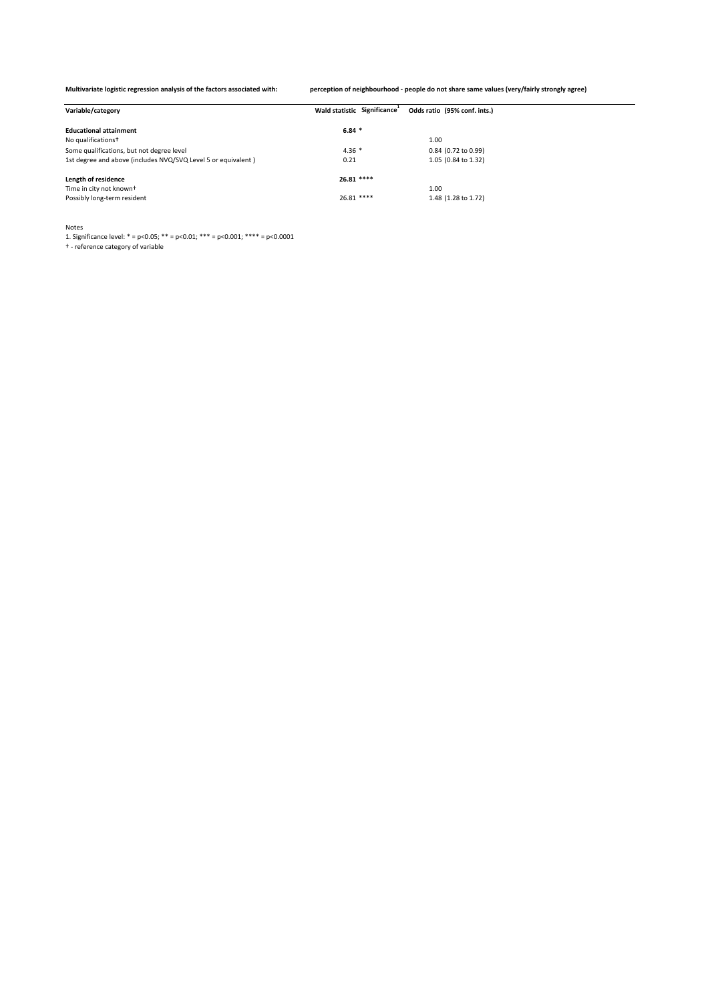Multivariate logistic regression analysis of the factors associated with: perception of neighbourhood - people do not share same values (very/fairly strongly agree)

| Variable/category                                             | Wald statistic Significance <sup>1</sup> | Odds ratio (95% conf. ints.) |
|---------------------------------------------------------------|------------------------------------------|------------------------------|
| <b>Educational attainment</b>                                 | $6.84*$                                  |                              |
| No qualifications <sup>+</sup>                                |                                          | 1.00                         |
| Some qualifications, but not degree level                     | $4.36*$                                  | 0.84 (0.72 to 0.99)          |
| 1st degree and above (includes NVQ/SVQ Level 5 or equivalent) | 0.21                                     | 1.05 (0.84 to 1.32)          |
| Length of residence                                           | $26.81$ ****                             |                              |
| Time in city not known+                                       |                                          | 1.00                         |
| Possibly long-term resident                                   | $26.81$ ****                             | 1.48 (1.28 to 1.72)          |

Notes

1. Significance level: \* = p<0.05; \*\* = p<0.01; \*\*\* = p<0.001; \*\*\*\* = p<0.0001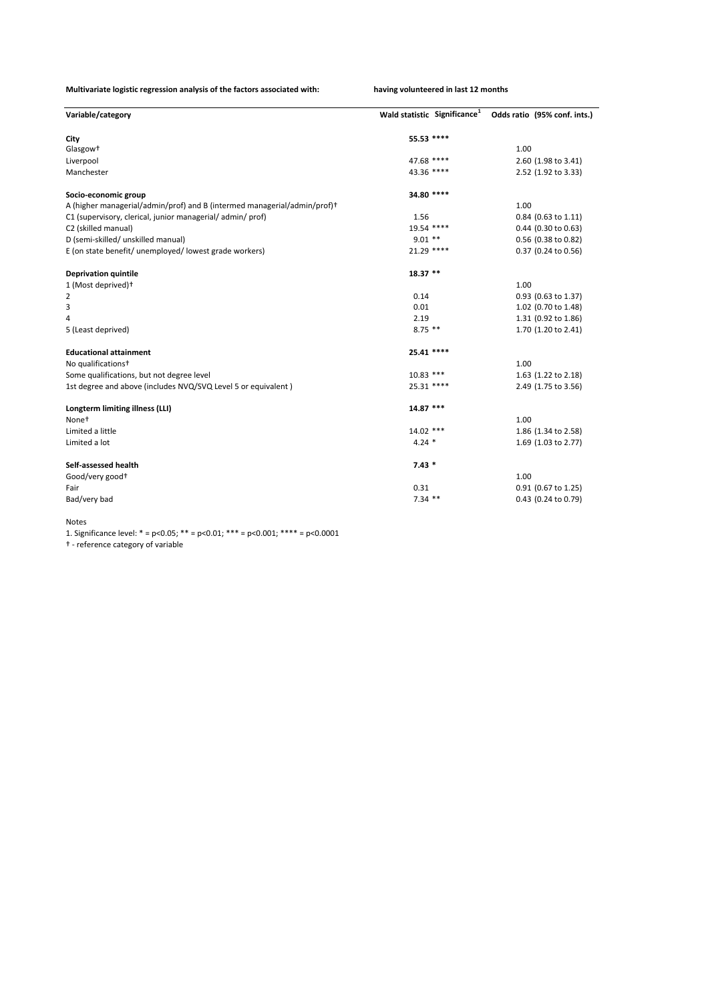**Multivariate logistic regression analysis of the factors associated with: having volunteered in last 12 months**

| Variable/category                                                        | Wald statistic Significance <sup>1</sup> | Odds ratio (95% conf. ints.) |
|--------------------------------------------------------------------------|------------------------------------------|------------------------------|
| City                                                                     | 55.53 ****                               |                              |
| Glasgow <sup>+</sup>                                                     |                                          | 1.00                         |
| Liverpool                                                                | 47.68 ****                               | 2.60 (1.98 to 3.41)          |
| Manchester                                                               | 43.36 ****                               | 2.52 (1.92 to 3.33)          |
| Socio-economic group                                                     | 34.80 ****                               |                              |
| A (higher managerial/admin/prof) and B (intermed managerial/admin/prof)+ |                                          | 1.00                         |
| C1 (supervisory, clerical, junior managerial/admin/prof)                 | 1.56                                     | $0.84$ (0.63 to 1.11)        |
| C2 (skilled manual)                                                      | 19.54 ****                               | 0.44 (0.30 to 0.63)          |
| D (semi-skilled/ unskilled manual)                                       | $9.01$ **                                | 0.56 (0.38 to 0.82)          |
| E (on state benefit/ unemployed/ lowest grade workers)                   | 21.29 ****                               | 0.37 (0.24 to 0.56)          |
| <b>Deprivation quintile</b>                                              | 18.37 **                                 |                              |
| 1 (Most deprived) <sup>+</sup>                                           |                                          | 1.00                         |
| $\overline{2}$                                                           | 0.14                                     | 0.93 (0.63 to 1.37)          |
| 3                                                                        | 0.01                                     | 1.02 (0.70 to 1.48)          |
| $\overline{4}$                                                           | 2.19                                     | 1.31 (0.92 to 1.86)          |
| 5 (Least deprived)                                                       | $8.75$ **                                | 1.70 (1.20 to 2.41)          |
| <b>Educational attainment</b>                                            | 25.41 ****                               |                              |
| No qualifications+                                                       |                                          | 1.00                         |
| Some qualifications, but not degree level                                | $10.83$ ***                              | 1.63 (1.22 to 2.18)          |
| 1st degree and above (includes NVQ/SVQ Level 5 or equivalent)            | 25.31 ****                               | 2.49 (1.75 to 3.56)          |
| Longterm limiting illness (LLI)                                          | 14.87 ***                                |                              |
| None <sup>+</sup>                                                        |                                          | 1.00                         |
| Limited a little                                                         | $14.02$ ***                              | 1.86 (1.34 to 2.58)          |
| Limited a lot                                                            | $4.24*$                                  | 1.69 (1.03 to 2.77)          |
| Self-assessed health                                                     | $7.43*$                                  |                              |
| Good/very good+                                                          |                                          | 1.00                         |
| Fair                                                                     | 0.31                                     | 0.91 (0.67 to 1.25)          |
| Bad/very bad                                                             | $7.34$ **                                | 0.43 (0.24 to 0.79)          |

Notes

1. Significance level: \* = p<0.05; \*\* = p<0.01; \*\*\* = p<0.001; \*\*\*\* = p<0.0001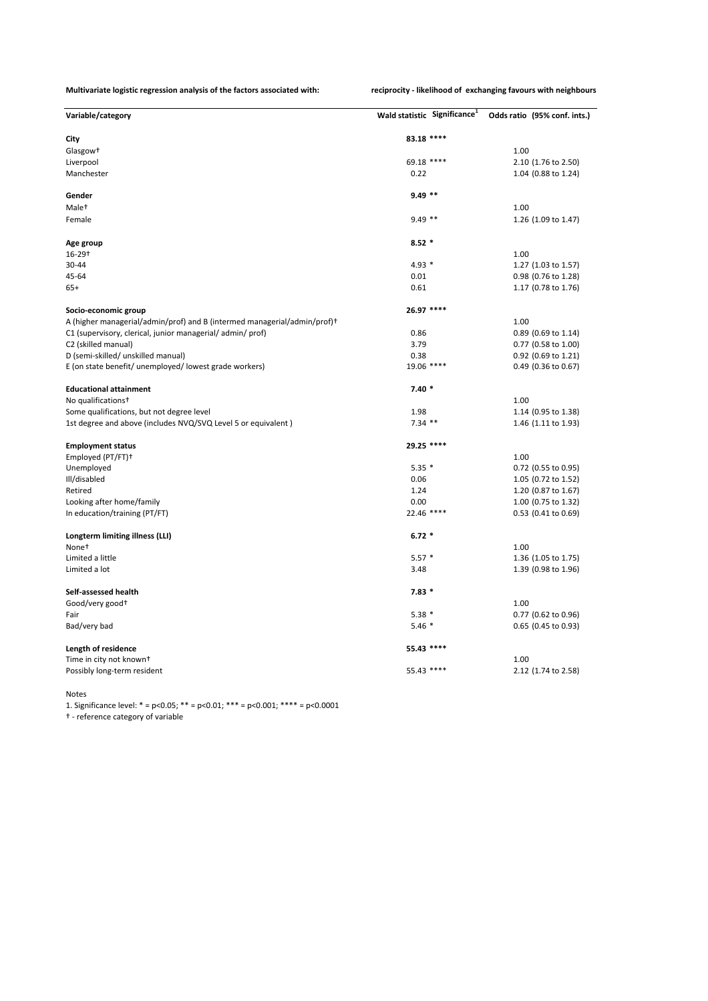Multivariate logistic regression analysis of the factors associated with: reciprocity - likelihood of exchanging favours with neighbours

| Variable/category                                                                    | Wald statistic Significance <sup>1</sup> | Odds ratio (95% conf. ints.) |
|--------------------------------------------------------------------------------------|------------------------------------------|------------------------------|
| City                                                                                 | 83.18 ****                               |                              |
| Glasgow <sup>+</sup>                                                                 |                                          | 1.00                         |
| Liverpool                                                                            | 69.18 ****                               | 2.10 (1.76 to 2.50)          |
| Manchester                                                                           | 0.22                                     | 1.04 (0.88 to 1.24)          |
|                                                                                      |                                          |                              |
| Gender                                                                               | $9.49**$                                 |                              |
| Male <sup>+</sup>                                                                    |                                          | 1.00                         |
| Female                                                                               | $9.49$ **                                | 1.26 (1.09 to 1.47)          |
| Age group                                                                            | $8.52*$                                  |                              |
| 16-29+                                                                               |                                          | 1.00                         |
| 30-44                                                                                | $4.93*$                                  | 1.27 (1.03 to 1.57)          |
| 45-64                                                                                | 0.01                                     | 0.98 (0.76 to 1.28)          |
| $65+$                                                                                | 0.61                                     | 1.17 (0.78 to 1.76)          |
|                                                                                      |                                          |                              |
| Socio-economic group                                                                 | 26.97 ****                               |                              |
| A (higher managerial/admin/prof) and B (intermed managerial/admin/prof) <sup>+</sup> |                                          | 1.00                         |
| C1 (supervisory, clerical, junior managerial/admin/prof)                             | 0.86                                     | 0.89 (0.69 to 1.14)          |
| C2 (skilled manual)                                                                  | 3.79                                     | 0.77 (0.58 to 1.00)          |
|                                                                                      | 0.38                                     |                              |
| D (semi-skilled/ unskilled manual)                                                   | 19.06 ****                               | 0.92 (0.69 to 1.21)          |
| E (on state benefit/ unemployed/ lowest grade workers)                               |                                          | 0.49 (0.36 to 0.67)          |
| <b>Educational attainment</b>                                                        | $7.40*$                                  |                              |
| No qualifications+                                                                   |                                          | 1.00                         |
| Some qualifications, but not degree level                                            | 1.98                                     | 1.14 (0.95 to 1.38)          |
| 1st degree and above (includes NVQ/SVQ Level 5 or equivalent)                        | $7.34$ **                                | 1.46 (1.11 to 1.93)          |
| <b>Employment status</b>                                                             | 29.25 ****                               |                              |
| Employed (PT/FT)+                                                                    |                                          | 1.00                         |
| Unemployed                                                                           | $5.35*$                                  | 0.72 (0.55 to 0.95)          |
| Ill/disabled                                                                         | 0.06                                     | 1.05 (0.72 to 1.52)          |
| Retired                                                                              | 1.24                                     | 1.20 (0.87 to 1.67)          |
| Looking after home/family                                                            | 0.00                                     | 1.00 (0.75 to 1.32)          |
| In education/training (PT/FT)                                                        | 22.46 ****                               | 0.53 (0.41 to 0.69)          |
|                                                                                      |                                          |                              |
| Longterm limiting illness (LLI)                                                      | $6.72*$                                  |                              |
| None <sup>t</sup>                                                                    |                                          | 1.00                         |
| Limited a little                                                                     | $5.57*$                                  | 1.36 (1.05 to 1.75)          |
| Limited a lot                                                                        | 3.48                                     | 1.39 (0.98 to 1.96)          |
| Self-assessed health                                                                 | $7.83*$                                  |                              |
| Good/very good+                                                                      |                                          | 1.00                         |
| Fair                                                                                 | $5.38*$                                  | 0.77 (0.62 to 0.96)          |
| Bad/very bad                                                                         | $5.46*$                                  | 0.65 (0.45 to 0.93)          |
| Length of residence                                                                  | 55.43 ****                               |                              |
| Time in city not known+                                                              |                                          | 1.00                         |
| Possibly long-term resident                                                          | 55.43 ****                               | 2.12 (1.74 to 2.58)          |
|                                                                                      |                                          |                              |

Notes

1. Significance level: \* = p<0.05; \*\* = p<0.01; \*\*\* = p<0.001; \*\*\*\* = p<0.0001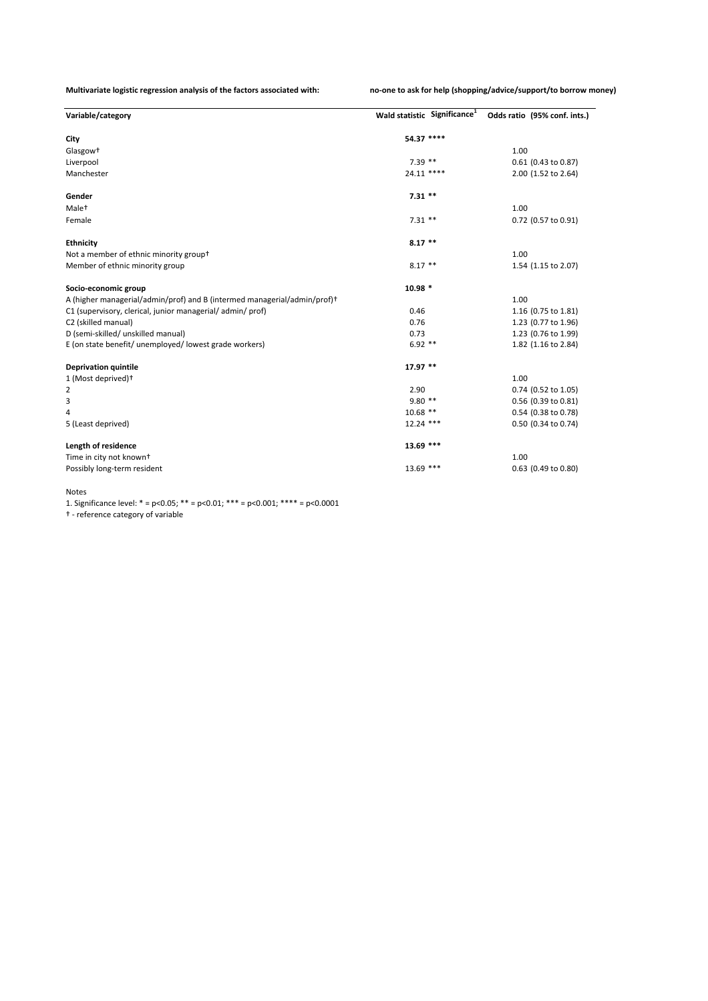Multivariate logistic regression analysis of the factors associated with: <br>no-one to ask for help (shopping/advice/support/to borrow money)

| Variable/category                                                                    | Wald statistic Significance <sup>1</sup> | Odds ratio (95% conf. ints.) |
|--------------------------------------------------------------------------------------|------------------------------------------|------------------------------|
| City                                                                                 | 54.37 ****                               |                              |
| Glasgow <sup>+</sup>                                                                 |                                          | 1.00                         |
| Liverpool                                                                            | $7.39$ **                                | 0.61 (0.43 to 0.87)          |
| Manchester                                                                           | 24.11 ****                               | 2.00 (1.52 to 2.64)          |
| Gender                                                                               | $7.31**$                                 |                              |
| Male <sup>+</sup>                                                                    |                                          | 1.00                         |
| Female                                                                               | $7.31**$                                 | 0.72 (0.57 to 0.91)          |
| <b>Ethnicity</b>                                                                     | $8.17**$                                 |                              |
| Not a member of ethnic minority group+                                               |                                          | 1.00                         |
| Member of ethnic minority group                                                      | $8.17**$                                 | 1.54 (1.15 to 2.07)          |
| Socio-economic group                                                                 | $10.98*$                                 |                              |
| A (higher managerial/admin/prof) and B (intermed managerial/admin/prof) <sup>+</sup> |                                          | 1.00                         |
| C1 (supervisory, clerical, junior managerial/admin/prof)                             | 0.46                                     | 1.16 (0.75 to 1.81)          |
| C2 (skilled manual)                                                                  | 0.76                                     | 1.23 (0.77 to 1.96)          |
| D (semi-skilled/ unskilled manual)                                                   | 0.73                                     | 1.23 (0.76 to 1.99)          |
| E (on state benefit/ unemployed/ lowest grade workers)                               | $6.92**$                                 | 1.82 (1.16 to 2.84)          |
| <b>Deprivation quintile</b>                                                          | 17.97 **                                 |                              |
| 1 (Most deprived) <sup>+</sup>                                                       |                                          | 1.00                         |
| 2                                                                                    | 2.90                                     | 0.74 (0.52 to 1.05)          |
| 3                                                                                    | $9.80**$                                 | 0.56 (0.39 to 0.81)          |
| 4                                                                                    | $10.68$ **                               | 0.54 (0.38 to 0.78)          |
| 5 (Least deprived)                                                                   | $12.24$ ***                              | 0.50 (0.34 to 0.74)          |
| Length of residence                                                                  | 13.69 ***                                |                              |
| Time in city not known <sup>+</sup>                                                  |                                          | 1.00                         |
| Possibly long-term resident                                                          | 13.69 ***                                | 0.63 (0.49 to 0.80)          |

Notes

1. Significance level: \* = p<0.05; \*\* = p<0.01; \*\*\* = p<0.001; \*\*\*\* = p<0.0001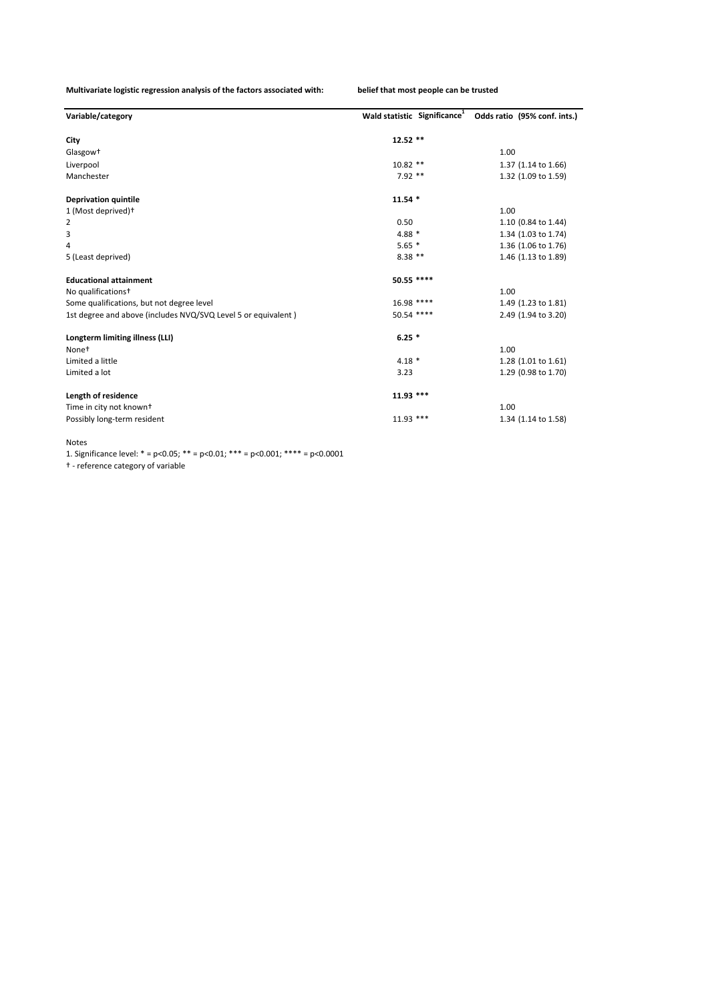**Multivariate logistic regression analysis of the factors associated with: belief that most people can be trusted**

| Variable/category                                             | Wald statistic Significance <sup>1</sup> | Odds ratio (95% conf. ints.) |
|---------------------------------------------------------------|------------------------------------------|------------------------------|
| City                                                          | $12.52**$                                |                              |
| Glasgow <sup>+</sup>                                          |                                          | 1.00                         |
| Liverpool                                                     | $10.82$ **                               | 1.37 (1.14 to 1.66)          |
| Manchester                                                    | $7.92**$                                 | 1.32 (1.09 to 1.59)          |
| <b>Deprivation quintile</b>                                   | $11.54*$                                 |                              |
| 1 (Most deprived) <sup>+</sup>                                |                                          | 1.00                         |
| 2                                                             | 0.50                                     | 1.10 (0.84 to 1.44)          |
| 3                                                             | $4.88*$                                  | 1.34 (1.03 to 1.74)          |
| 4                                                             | $5.65*$                                  | 1.36 (1.06 to 1.76)          |
| 5 (Least deprived)                                            | $8.38**$                                 | 1.46 (1.13 to 1.89)          |
| <b>Educational attainment</b>                                 | 50.55 ****                               |                              |
| No qualifications <sup>+</sup>                                |                                          | 1.00                         |
| Some qualifications, but not degree level                     | 16.98 ****                               | 1.49 (1.23 to 1.81)          |
| 1st degree and above (includes NVQ/SVQ Level 5 or equivalent) | $50.54$ ****                             | 2.49 (1.94 to 3.20)          |
| Longterm limiting illness (LLI)                               | $6.25*$                                  |                              |
| None <sup>+</sup>                                             |                                          | 1.00                         |
| Limited a little                                              | $4.18*$                                  | 1.28 (1.01 to 1.61)          |
| Limited a lot                                                 | 3.23                                     | 1.29 (0.98 to 1.70)          |
| Length of residence                                           | $11.93$ ***                              |                              |
| Time in city not known+                                       |                                          | 1.00                         |
| Possibly long-term resident                                   | $11.93$ ***                              | 1.34 (1.14 to 1.58)          |

Notes

1. Significance level: \* = p<0.05; \*\* = p<0.01; \*\*\* = p<0.001; \*\*\*\* = p<0.0001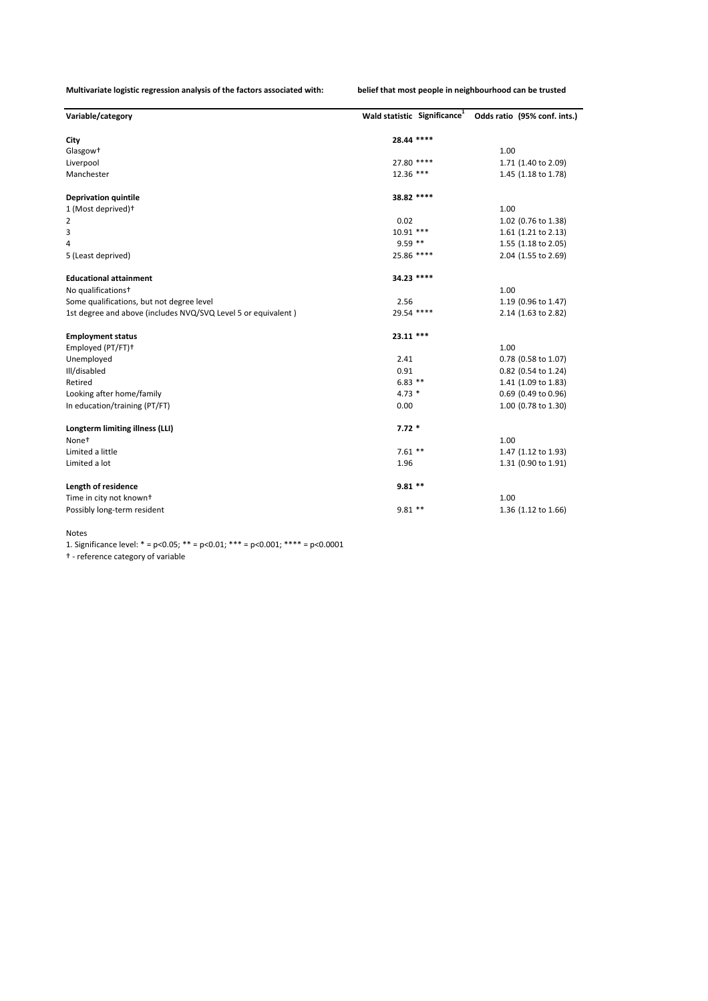Multivariate logistic regression analysis of the factors associated with: belief that most people in neighbourhood can be trusted

| Variable/category                                             | Wald statistic Significance <sup>1</sup> | Odds ratio (95% conf. ints.) |
|---------------------------------------------------------------|------------------------------------------|------------------------------|
| City                                                          | 28.44 ****                               |                              |
| Glasgow <sup>+</sup>                                          |                                          | 1.00                         |
| Liverpool                                                     | 27.80 ****                               | 1.71 (1.40 to 2.09)          |
| Manchester                                                    | 12.36 ***                                | 1.45 (1.18 to 1.78)          |
| <b>Deprivation quintile</b>                                   | 38.82 ****                               |                              |
| 1 (Most deprived) <sup>+</sup>                                |                                          | 1.00                         |
| 2                                                             | 0.02                                     | 1.02 (0.76 to 1.38)          |
| 3                                                             | $10.91$ ***                              | 1.61 (1.21 to 2.13)          |
| 4                                                             | $9.59$ **                                | 1.55 (1.18 to 2.05)          |
| 5 (Least deprived)                                            | 25.86 ****                               | 2.04 (1.55 to 2.69)          |
| <b>Educational attainment</b>                                 | 34.23 ****                               |                              |
| No qualifications <sup>+</sup>                                |                                          | 1.00                         |
| Some qualifications, but not degree level                     | 2.56                                     | 1.19 (0.96 to 1.47)          |
| 1st degree and above (includes NVQ/SVQ Level 5 or equivalent) | 29.54 ****                               | 2.14 (1.63 to 2.82)          |
| <b>Employment status</b>                                      | 23.11 ***                                |                              |
| Employed (PT/FT)+                                             |                                          | 1.00                         |
| Unemployed                                                    | 2.41                                     | 0.78 (0.58 to 1.07)          |
| Ill/disabled                                                  | 0.91                                     | 0.82 (0.54 to 1.24)          |
| Retired                                                       | $6.83$ **                                | 1.41 (1.09 to 1.83)          |
| Looking after home/family                                     | $4.73*$                                  | 0.69 (0.49 to 0.96)          |
| In education/training (PT/FT)                                 | 0.00                                     | 1.00 (0.78 to 1.30)          |
| Longterm limiting illness (LLI)                               | $7.72*$                                  |                              |
| None <sup>+</sup>                                             |                                          | 1.00                         |
| Limited a little                                              | $7.61$ **                                | 1.47 (1.12 to 1.93)          |
| Limited a lot                                                 | 1.96                                     | 1.31 (0.90 to 1.91)          |
| Length of residence                                           | $9.81**$                                 |                              |
| Time in city not known+                                       |                                          | 1.00                         |
| Possibly long-term resident                                   | $9.81$ **                                | 1.36 (1.12 to 1.66)          |

Notes

1. Significance level: \* = p<0.05; \*\* = p<0.01; \*\*\* = p<0.001; \*\*\*\* = p<0.0001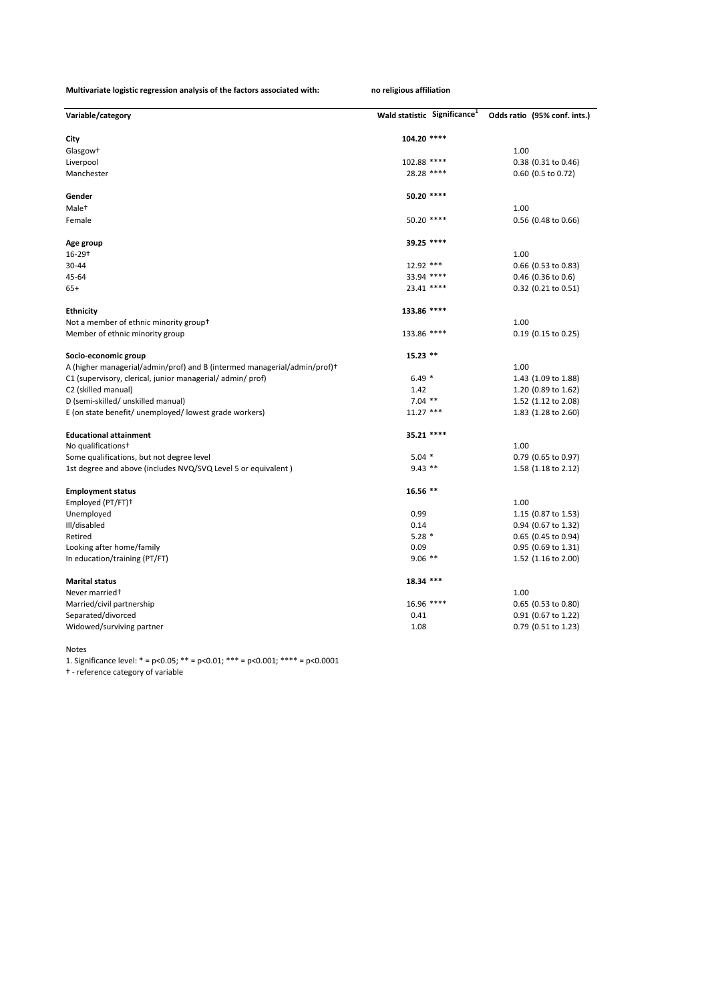**Multivariate logistic regression analysis of the factors associated with: no religious affiliation**

| Variable/category                                                                    | Wald statistic Significance <sup>1</sup> | Odds ratio (95% conf. ints.) |
|--------------------------------------------------------------------------------------|------------------------------------------|------------------------------|
|                                                                                      |                                          |                              |
| City                                                                                 | 104.20 ****                              |                              |
| Glasgow <sup>+</sup>                                                                 |                                          | 1.00                         |
| Liverpool                                                                            | 102.88 ****                              | $0.38$ (0.31 to 0.46)        |
| Manchester                                                                           | 28.28 ****                               | $0.60$ (0.5 to 0.72)         |
| Gender                                                                               | 50.20 ****                               |                              |
| Male <sup>+</sup>                                                                    |                                          | 1.00                         |
| Female                                                                               | 50.20 ****                               | 0.56 (0.48 to 0.66)          |
| Age group                                                                            | 39.25 ****                               |                              |
| $16 - 29$ <sup>+</sup>                                                               |                                          | 1.00                         |
| 30-44                                                                                | 12.92 ***                                | 0.66 (0.53 to 0.83)          |
| 45-64                                                                                | 33.94 ****                               | $0.46$ (0.36 to 0.6)         |
| $65+$                                                                                | 23.41 ****                               | 0.32 (0.21 to 0.51)          |
| <b>Ethnicity</b>                                                                     | 133.86 ****                              |                              |
| Not a member of ethnic minority group+                                               |                                          | 1.00                         |
| Member of ethnic minority group                                                      | 133.86 ****                              | 0.19 (0.15 to 0.25)          |
| Socio-economic group                                                                 | $15.23$ **                               |                              |
| A (higher managerial/admin/prof) and B (intermed managerial/admin/prof) <sup>+</sup> |                                          | 1.00                         |
| C1 (supervisory, clerical, junior managerial/admin/prof)                             | $6.49*$                                  | 1.43 (1.09 to 1.88)          |
| C2 (skilled manual)                                                                  | 1.42                                     | 1.20 (0.89 to 1.62)          |
| D (semi-skilled/ unskilled manual)                                                   | $7.04$ **                                | 1.52 (1.12 to 2.08)          |
| E (on state benefit/ unemployed/ lowest grade workers)                               | $11.27$ ***                              | 1.83 (1.28 to 2.60)          |
| <b>Educational attainment</b>                                                        | 35.21 ****                               |                              |
| No qualifications+                                                                   |                                          | 1.00                         |
| Some qualifications, but not degree level                                            | $5.04*$                                  | $0.79$ (0.65 to 0.97)        |
| 1st degree and above (includes NVQ/SVQ Level 5 or equivalent)                        | $9.43$ **                                | 1.58 (1.18 to 2.12)          |
| <b>Employment status</b>                                                             | $16.56$ **                               |                              |
| Employed (PT/FT)+                                                                    |                                          | 1.00                         |
| Unemployed                                                                           | 0.99                                     | 1.15 (0.87 to 1.53)          |
| Ill/disabled                                                                         | 0.14                                     | 0.94 (0.67 to 1.32)          |
| Retired                                                                              | $5.28*$                                  | 0.65 (0.45 to 0.94)          |
| Looking after home/family                                                            | 0.09                                     | 0.95 (0.69 to 1.31)          |
| In education/training (PT/FT)                                                        | $9.06$ **                                | 1.52 (1.16 to 2.00)          |
| <b>Marital status</b>                                                                | 18.34 ***                                |                              |
| Never married <sup>+</sup>                                                           |                                          | 1.00                         |
| Married/civil partnership                                                            | 16.96 ****                               | 0.65 (0.53 to 0.80)          |
| Separated/divorced                                                                   | 0.41                                     | 0.91 (0.67 to 1.22)          |
| Widowed/surviving partner                                                            | 1.08                                     | 0.79 (0.51 to 1.23)          |
|                                                                                      |                                          |                              |

Notes

1. Significance level: \* = p<0.05; \*\* = p<0.01; \*\*\* = p<0.001; \*\*\*\* = p<0.0001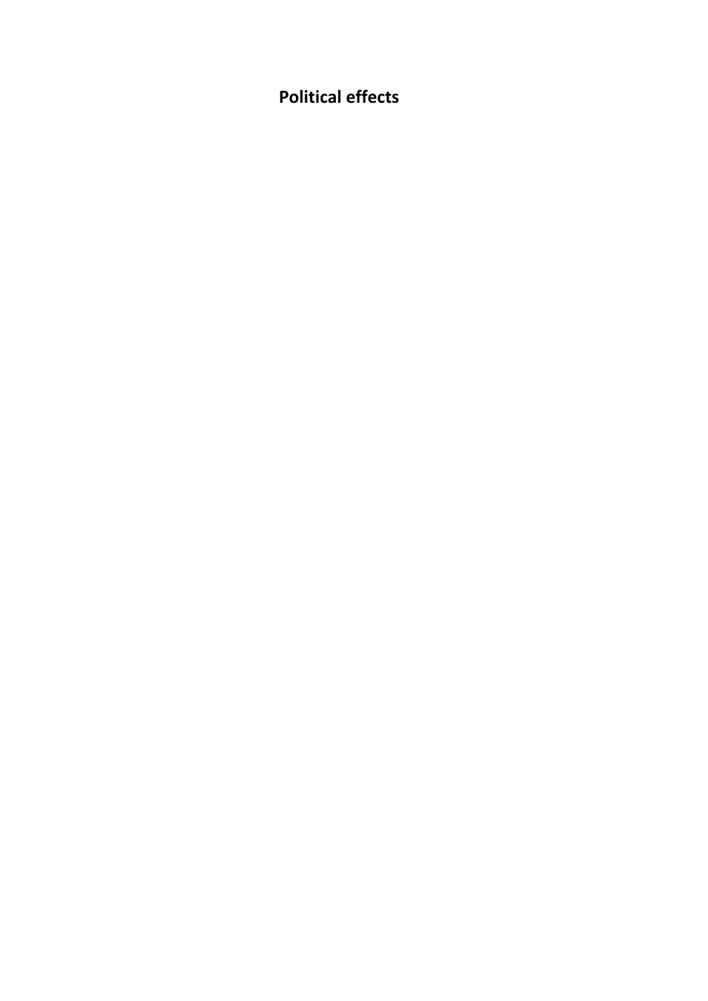# **Political effects**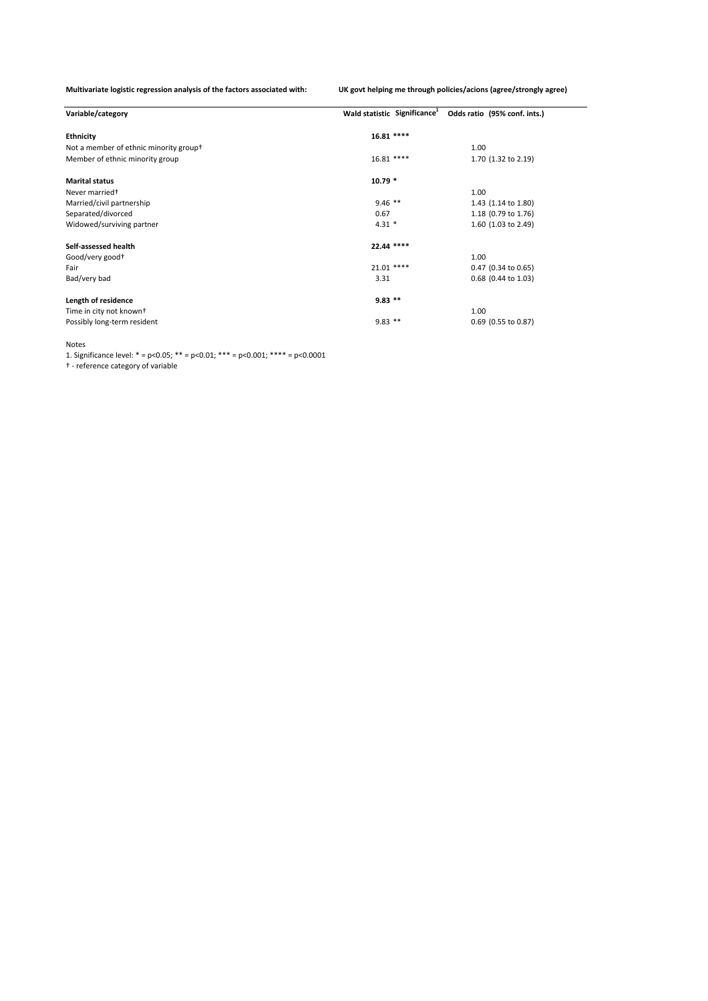Multivariate logistic regression analysis of the factors associated with: UK govt helping me through policies/acions (agree/strongly agree)

| Variable/category                      | Wald statistic Significance <sup>1</sup> | Odds ratio (95% conf. ints.) |
|----------------------------------------|------------------------------------------|------------------------------|
| <b>Ethnicity</b>                       | $16.81***$                               |                              |
| Not a member of ethnic minority group+ |                                          | 1.00                         |
| Member of ethnic minority group        | 16.81 ****                               | 1.70 (1.32 to 2.19)          |
| <b>Marital status</b>                  | $10.79*$                                 |                              |
| Never married <sup>+</sup>             |                                          | 1.00                         |
| Married/civil partnership              | $9.46$ **                                | 1.43 (1.14 to 1.80)          |
| Separated/divorced                     | 0.67                                     | 1.18 (0.79 to 1.76)          |
| Widowed/surviving partner              | $4.31*$                                  | 1.60 (1.03 to 2.49)          |
| Self-assessed health                   | 22.44 ****                               |                              |
| Good/very good+                        |                                          | 1.00                         |
| Fair                                   | $21.01$ ****                             | $0.47$ (0.34 to 0.65)        |
| Bad/very bad                           | 3.31                                     | 0.68 (0.44 to 1.03)          |
| Length of residence                    | $9.83**$                                 |                              |
| Time in city not known+                |                                          | 1.00                         |
| Possibly long-term resident            | $9.83$ **                                | 0.69 (0.55 to 0.87)          |

Notes

1. Significance level: \* = p<0.05; \*\* = p<0.01; \*\*\* = p<0.001; \*\*\*\* = p<0.0001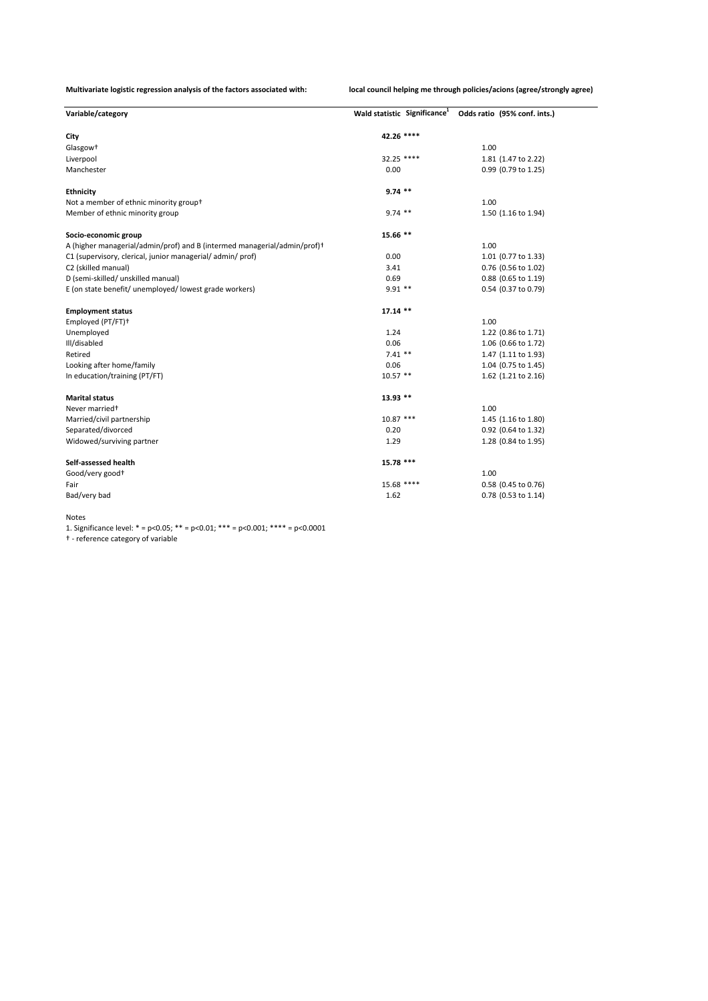Multivariate logistic regression analysis of the factors associated with: local council helping me through policies/acions (agree/strongly agree)

| Variable/category                                                                    | Wald statistic Significance <sup>1</sup> | Odds ratio (95% conf. ints.) |
|--------------------------------------------------------------------------------------|------------------------------------------|------------------------------|
| City                                                                                 | 42.26 ****                               |                              |
| Glasgow <sup>+</sup>                                                                 |                                          | 1.00                         |
| Liverpool                                                                            | 32.25 ****                               | 1.81 (1.47 to 2.22)          |
| Manchester                                                                           | 0.00                                     | 0.99 (0.79 to 1.25)          |
| <b>Ethnicity</b>                                                                     | $9.74$ **                                |                              |
| Not a member of ethnic minority group+                                               |                                          | 1.00                         |
| Member of ethnic minority group                                                      | $9.74$ **                                | 1.50 (1.16 to 1.94)          |
| Socio-economic group                                                                 | 15.66 **                                 |                              |
| A (higher managerial/admin/prof) and B (intermed managerial/admin/prof) <sup>+</sup> |                                          | 1.00                         |
| C1 (supervisory, clerical, junior managerial/ admin/ prof)                           | 0.00                                     | 1.01 (0.77 to 1.33)          |
| C2 (skilled manual)                                                                  | 3.41                                     | 0.76 (0.56 to 1.02)          |
| D (semi-skilled/ unskilled manual)                                                   | 0.69                                     | 0.88 (0.65 to 1.19)          |
| E (on state benefit/ unemployed/ lowest grade workers)                               | $9.91**$                                 | 0.54 (0.37 to 0.79)          |
| <b>Employment status</b>                                                             | $17.14$ **                               |                              |
| Employed (PT/FT)+                                                                    |                                          | 1.00                         |
| Unemployed                                                                           | 1.24                                     | 1.22 (0.86 to 1.71)          |
| Ill/disabled                                                                         | 0.06                                     | 1.06 (0.66 to 1.72)          |
| Retired                                                                              | $7.41**$                                 | 1.47 (1.11 to 1.93)          |
| Looking after home/family                                                            | 0.06                                     | 1.04 (0.75 to 1.45)          |
| In education/training (PT/FT)                                                        | $10.57$ **                               | 1.62 (1.21 to 2.16)          |
| <b>Marital status</b>                                                                | 13.93 **                                 |                              |
| Never married <sup>+</sup>                                                           |                                          | 1.00                         |
| Married/civil partnership                                                            | $10.87$ ***                              | 1.45 (1.16 to 1.80)          |
| Separated/divorced                                                                   | 0.20                                     | 0.92 (0.64 to 1.32)          |
| Widowed/surviving partner                                                            | 1.29                                     | 1.28 (0.84 to 1.95)          |
| Self-assessed health                                                                 | 15.78 ***                                |                              |
| Good/very good+                                                                      |                                          | 1.00                         |
| Fair                                                                                 | 15.68 ****                               | 0.58 (0.45 to 0.76)          |
| Bad/very bad                                                                         | 1.62                                     | 0.78 (0.53 to 1.14)          |

Notes

1. Significance level: \* = p<0.05; \*\* = p<0.01; \*\*\* = p<0.001; \*\*\*\* = p<0.0001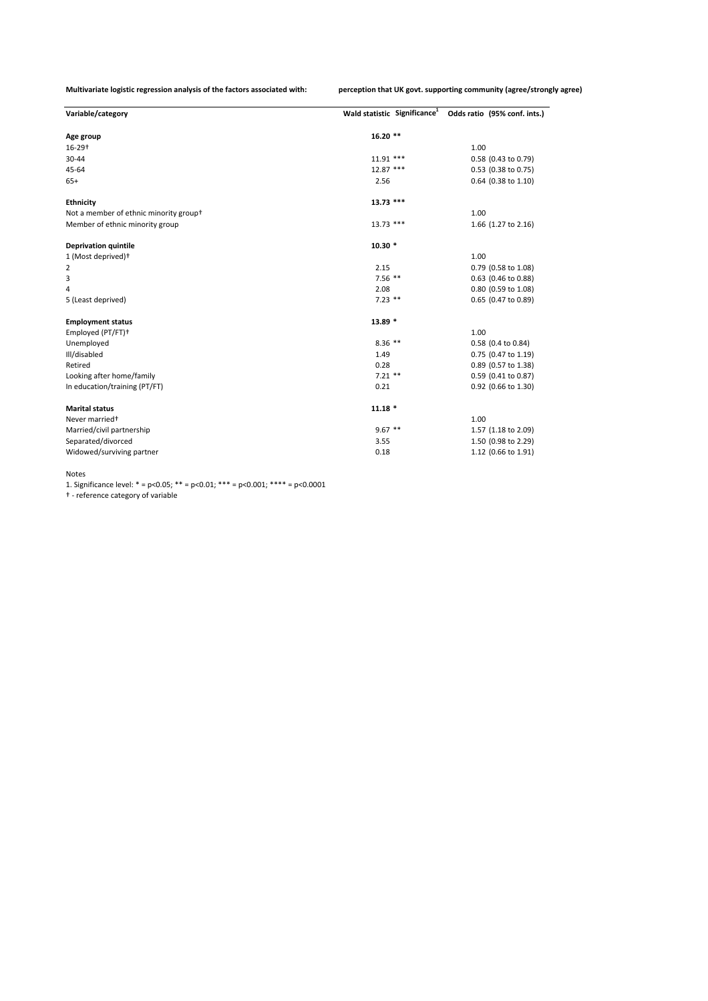Multivariate logistic regression analysis of the factors associated with: perception that UK govt. supporting community (agree/strongly agree)

| Variable/category                      | Wald statistic Significance <sup>1</sup> | Odds ratio (95% conf. ints.) |
|----------------------------------------|------------------------------------------|------------------------------|
| Age group                              | $16.20**$                                |                              |
| $16 - 29$ <sup>+</sup>                 |                                          | 1.00                         |
| 30-44                                  | $11.91$ ***                              | 0.58 (0.43 to 0.79)          |
| 45-64                                  | 12.87 ***                                | 0.53 (0.38 to 0.75)          |
| $65+$                                  | 2.56                                     | 0.64 (0.38 to 1.10)          |
| <b>Ethnicity</b>                       | $13.73$ ***                              |                              |
| Not a member of ethnic minority group+ |                                          | 1.00                         |
| Member of ethnic minority group        | $13.73$ ***                              | 1.66 (1.27 to 2.16)          |
| <b>Deprivation quintile</b>            | $10.30*$                                 |                              |
| 1 (Most deprived)+                     |                                          | 1.00                         |
| 2                                      | 2.15                                     | 0.79 (0.58 to 1.08)          |
| 3                                      | $7.56$ **                                | 0.63 (0.46 to 0.88)          |
| 4                                      | 2.08                                     | 0.80 (0.59 to 1.08)          |
| 5 (Least deprived)                     | $7.23$ **                                | 0.65 (0.47 to 0.89)          |
| <b>Employment status</b>               | 13.89 *                                  |                              |
| Employed (PT/FT)+                      |                                          | 1.00                         |
| Unemployed                             | $8.36$ **                                | 0.58 (0.4 to 0.84)           |
| Ill/disabled                           | 1.49                                     | 0.75 (0.47 to 1.19)          |
| Retired                                | 0.28                                     | 0.89 (0.57 to 1.38)          |
| Looking after home/family              | $7.21$ **                                | 0.59 (0.41 to 0.87)          |
| In education/training (PT/FT)          | 0.21                                     | 0.92 (0.66 to 1.30)          |
| <b>Marital status</b>                  | $11.18*$                                 |                              |
| Never married <sup>+</sup>             |                                          | 1.00                         |
| Married/civil partnership              | $9.67$ **                                | 1.57 (1.18 to 2.09)          |
| Separated/divorced                     | 3.55                                     | 1.50 (0.98 to 2.29)          |
| Widowed/surviving partner              | 0.18                                     | 1.12 (0.66 to 1.91)          |

Notes

1. Significance level: \* = p<0.05; \*\* = p<0.01; \*\*\* = p<0.001; \*\*\*\* = p<0.0001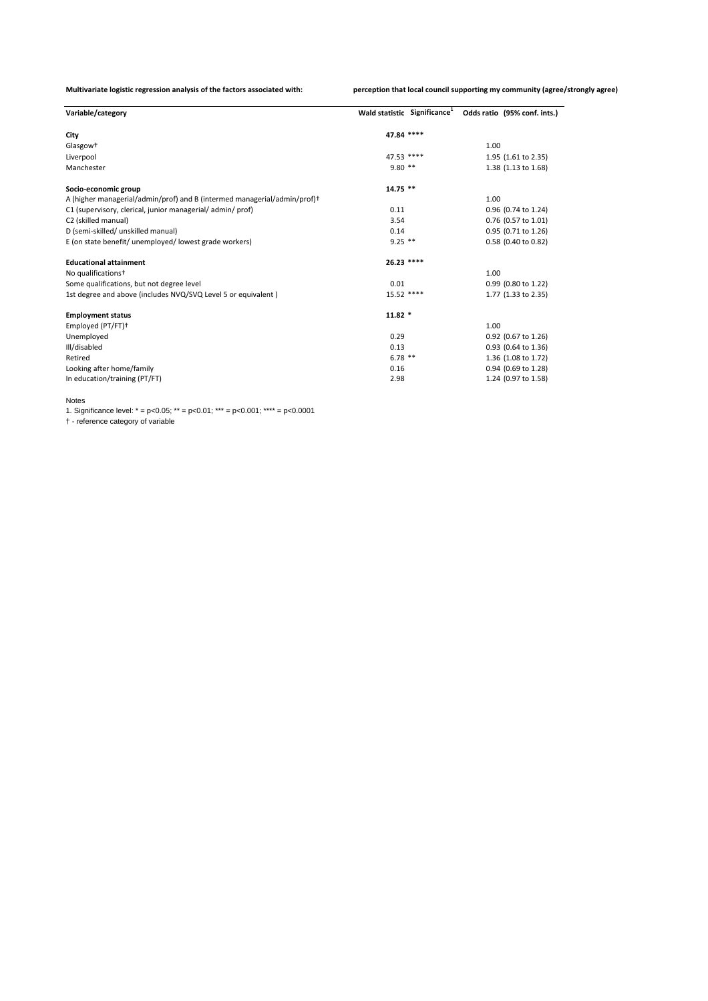Multivariate logistic regression analysis of the factors associated with: <br>perception that local council supporting my community (agree) agree) and the perception that local council supporting my community (agree) agree)

| Variable/category                                                                    | Wald statistic Significance <sup>1</sup> | Odds ratio (95% conf. ints.) |
|--------------------------------------------------------------------------------------|------------------------------------------|------------------------------|
| City                                                                                 | 47.84 ****                               |                              |
| Glasgow <sup>+</sup>                                                                 |                                          | 1.00                         |
| Liverpool                                                                            | 47.53 ****                               | 1.95 (1.61 to 2.35)          |
| Manchester                                                                           | $9.80**$                                 | 1.38 (1.13 to 1.68)          |
| Socio-economic group                                                                 | $14.75$ **                               |                              |
| A (higher managerial/admin/prof) and B (intermed managerial/admin/prof) <sup>+</sup> |                                          | 1.00                         |
| C1 (supervisory, clerical, junior managerial/admin/prof)                             | 0.11                                     | 0.96 (0.74 to 1.24)          |
| C2 (skilled manual)                                                                  | 3.54                                     | 0.76 (0.57 to 1.01)          |
| D (semi-skilled/ unskilled manual)                                                   | 0.14                                     | 0.95 (0.71 to 1.26)          |
| E (on state benefit/ unemployed/ lowest grade workers)                               | $9.25$ **                                | 0.58 (0.40 to 0.82)          |
| <b>Educational attainment</b>                                                        | $26.23$ ****                             |                              |
| No qualifications <sup>+</sup>                                                       |                                          | 1.00                         |
| Some qualifications, but not degree level                                            | 0.01                                     | 0.99 (0.80 to 1.22)          |
| 1st degree and above (includes NVQ/SVQ Level 5 or equivalent)                        | 15.52 ****                               | 1.77 (1.33 to 2.35)          |
| <b>Employment status</b>                                                             | $11.82*$                                 |                              |
| Employed (PT/FT)+                                                                    |                                          | 1.00                         |
| Unemployed                                                                           | 0.29                                     | 0.92 (0.67 to 1.26)          |
| Ill/disabled                                                                         | 0.13                                     | 0.93 (0.64 to 1.36)          |
| Retired                                                                              | $6.78$ **                                | 1.36 (1.08 to 1.72)          |
| Looking after home/family                                                            | 0.16                                     | 0.94 (0.69 to 1.28)          |
| In education/training (PT/FT)                                                        | 2.98                                     | 1.24 (0.97 to 1.58)          |
|                                                                                      |                                          |                              |

### Notes

1. Significance level:  $* = p < 0.05$ ;  $** = p < 0.01$ ;  $*** = p < 0.001$ ;  $*** = p < 0.0001$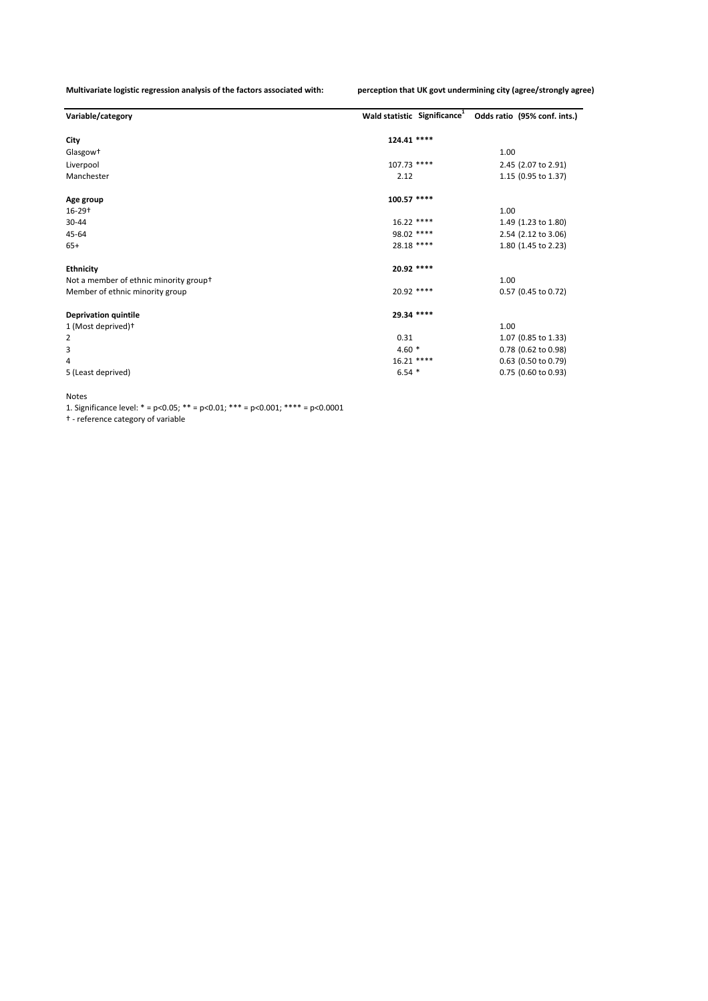Multivariate logistic regression analysis of the factors associated with: perception that UK govt undermining city (agree/strongly agree)

| Variable/category                      | Wald statistic Significance <sup>1</sup> | Odds ratio (95% conf. ints.) |
|----------------------------------------|------------------------------------------|------------------------------|
| City                                   | 124.41 ****                              |                              |
| Glasgow <sup>+</sup>                   |                                          | 1.00                         |
| Liverpool                              | $107.73$ ****                            | 2.45 (2.07 to 2.91)          |
| Manchester                             | 2.12                                     | 1.15 (0.95 to 1.37)          |
| Age group                              | 100.57 ****                              |                              |
| $16 - 29$ <sup>+</sup>                 |                                          | 1.00                         |
| 30-44                                  | $16.22$ ****                             | 1.49 (1.23 to 1.80)          |
| 45-64                                  | 98.02 ****                               | 2.54 (2.12 to 3.06)          |
| $65+$                                  | 28.18 ****                               | 1.80 (1.45 to 2.23)          |
| <b>Ethnicity</b>                       | 20.92 ****                               |                              |
| Not a member of ethnic minority group+ |                                          | 1.00                         |
| Member of ethnic minority group        | 20.92 ****                               | 0.57 (0.45 to 0.72)          |
| <b>Deprivation quintile</b>            | 29.34 ****                               |                              |
| 1 (Most deprived) <sup>+</sup>         |                                          | 1.00                         |
| 2                                      | 0.31                                     | 1.07 (0.85 to 1.33)          |
| 3                                      | $4.60*$                                  | 0.78 (0.62 to 0.98)          |
| 4                                      | $16.21$ ****                             | 0.63 (0.50 to 0.79)          |
| 5 (Least deprived)                     | $6.54*$                                  | 0.75 (0.60 to 0.93)          |

Notes

1. Significance level: \* = p<0.05; \*\* = p<0.01; \*\*\* = p<0.001; \*\*\*\* = p<0.0001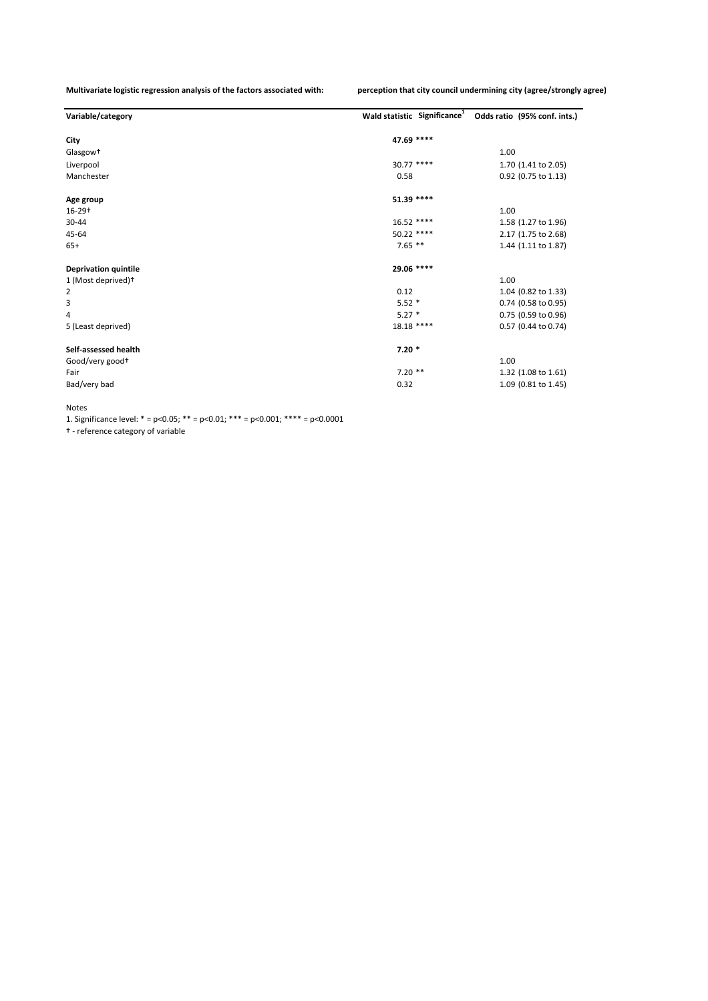Multivariate logistic regression analysis of the factors associated with: perception that city council undermining city (agree/strongly agree)

| Variable/category              | Wald statistic Significance <sup>1</sup> | Odds ratio (95% conf. ints.) |
|--------------------------------|------------------------------------------|------------------------------|
| City                           | 47.69 ****                               |                              |
| Glasgow <sup>+</sup>           |                                          | 1.00                         |
| Liverpool                      | 30.77 ****                               | 1.70 (1.41 to 2.05)          |
| Manchester                     | 0.58                                     | 0.92 (0.75 to 1.13)          |
| Age group                      | 51.39 ****                               |                              |
| $16 - 29$ <sup>+</sup>         |                                          | 1.00                         |
| $30 - 44$                      | $16.52$ ****                             | 1.58 (1.27 to 1.96)          |
| 45-64                          | 50.22 ****                               | 2.17 (1.75 to 2.68)          |
| $65+$                          | $7.65$ **                                | 1.44 (1.11 to 1.87)          |
| <b>Deprivation quintile</b>    | 29.06 ****                               |                              |
| 1 (Most deprived) <sup>+</sup> |                                          | 1.00                         |
| 2                              | 0.12                                     | 1.04 (0.82 to 1.33)          |
| 3                              | $5.52*$                                  | 0.74 (0.58 to 0.95)          |
| 4                              | $5.27*$                                  | 0.75 (0.59 to 0.96)          |
| 5 (Least deprived)             | 18.18 ****                               | 0.57 (0.44 to 0.74)          |
| Self-assessed health           | $7.20*$                                  |                              |
| Good/very good+                |                                          | 1.00                         |
| Fair                           | $7.20$ **                                | 1.32 (1.08 to 1.61)          |
| Bad/very bad                   | 0.32                                     | 1.09 (0.81 to 1.45)          |

Notes

1. Significance level: \* = p<0.05; \*\* = p<0.01; \*\*\* = p<0.001; \*\*\*\* = p<0.0001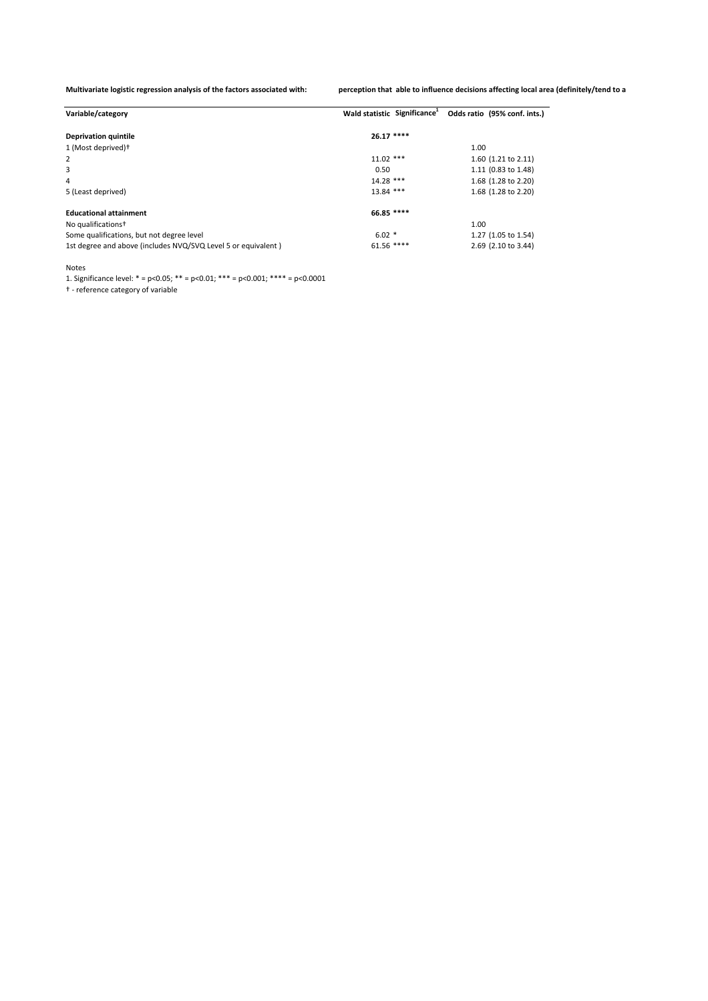Multivariate logistic regression analysis of the factors associated with: perception that able to influence decisions affecting local area (definitely/tend to a

| Variable/category                                             | Wald statistic Significance <sup>1</sup> | Odds ratio (95% conf. ints.) |
|---------------------------------------------------------------|------------------------------------------|------------------------------|
| <b>Deprivation quintile</b>                                   | $26.17***$                               |                              |
| 1 (Most deprived) <sup>+</sup>                                |                                          | 1.00                         |
| 2                                                             | $11.02$ ***                              | 1.60 (1.21 to 2.11)          |
| 3                                                             | 0.50                                     | 1.11 (0.83 to 1.48)          |
| 4                                                             | 14.28 ***                                | 1.68 (1.28 to 2.20)          |
| 5 (Least deprived)                                            | 13.84 ***                                | 1.68 (1.28 to 2.20)          |
| <b>Educational attainment</b>                                 | 66.85 ****                               |                              |
| No qualifications+                                            |                                          | 1.00                         |
| Some qualifications, but not degree level                     | $6.02*$                                  | 1.27 (1.05 to 1.54)          |
| 1st degree and above (includes NVQ/SVQ Level 5 or equivalent) | 61.56 ****                               | 2.69 (2.10 to 3.44)          |

Notes

1. Significance level:  $* = p < 0.05$ ;  $** = p < 0.01$ ;  $*** = p < 0.001$ ;  $*** = p < 0.0001$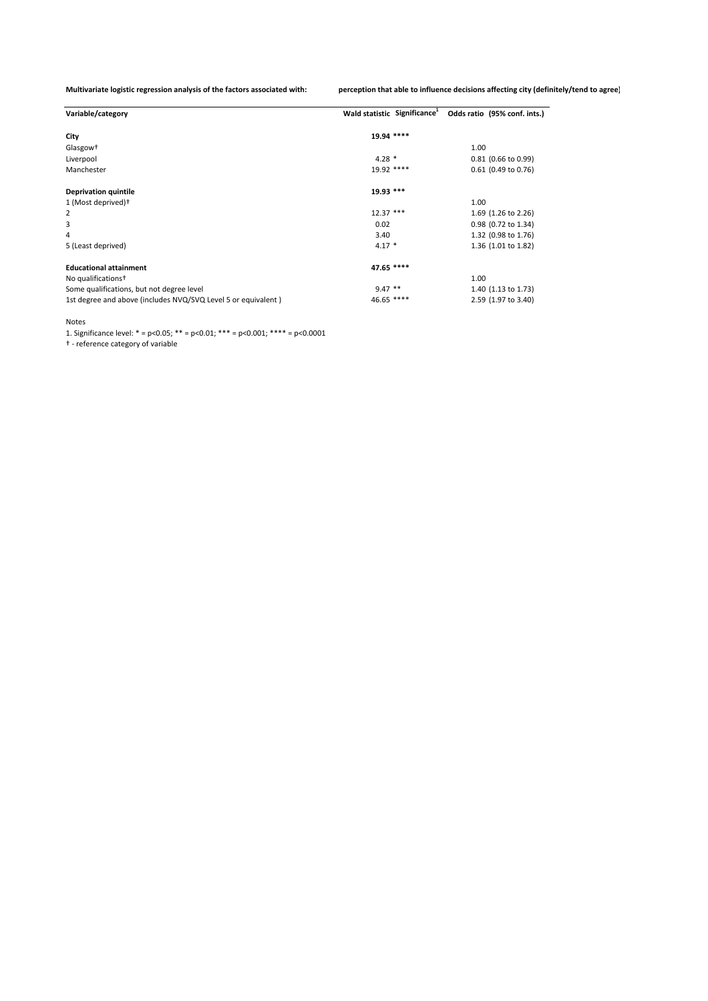Multivariate logistic regression analysis of the factors associated with: perception that able to influence decisions affecting city (definitely/tend to agree)

| Variable/category                                             | Wald statistic Significance <sup>1</sup> | Odds ratio (95% conf. ints.) |
|---------------------------------------------------------------|------------------------------------------|------------------------------|
| City                                                          | 19.94 ****                               |                              |
| Glasgow <sup>+</sup>                                          |                                          | 1.00                         |
| Liverpool                                                     | $4.28*$                                  | 0.81 (0.66 to 0.99)          |
| Manchester                                                    | 19.92 ****                               | 0.61 (0.49 to 0.76)          |
| <b>Deprivation quintile</b>                                   | 19.93 ***                                |                              |
| 1 (Most deprived) <sup>+</sup>                                |                                          | 1.00                         |
| 2                                                             | $12.37$ ***                              | 1.69 (1.26 to 2.26)          |
| 3                                                             | 0.02                                     | 0.98 (0.72 to 1.34)          |
| 4                                                             | 3.40                                     | 1.32 (0.98 to 1.76)          |
| 5 (Least deprived)                                            | $4.17*$                                  | 1.36 (1.01 to 1.82)          |
| <b>Educational attainment</b>                                 | 47.65 ****                               |                              |
| No qualifications <sup>+</sup>                                |                                          | 1.00                         |
| Some qualifications, but not degree level                     | $9.47$ **                                | 1.40 (1.13 to 1.73)          |
| 1st degree and above (includes NVQ/SVQ Level 5 or equivalent) | 46.65 ****                               | 2.59 (1.97 to 3.40)          |

Notes

1. Significance level: \* = p<0.05; \*\* = p<0.01; \*\*\* = p<0.001; \*\*\*\* = p<0.0001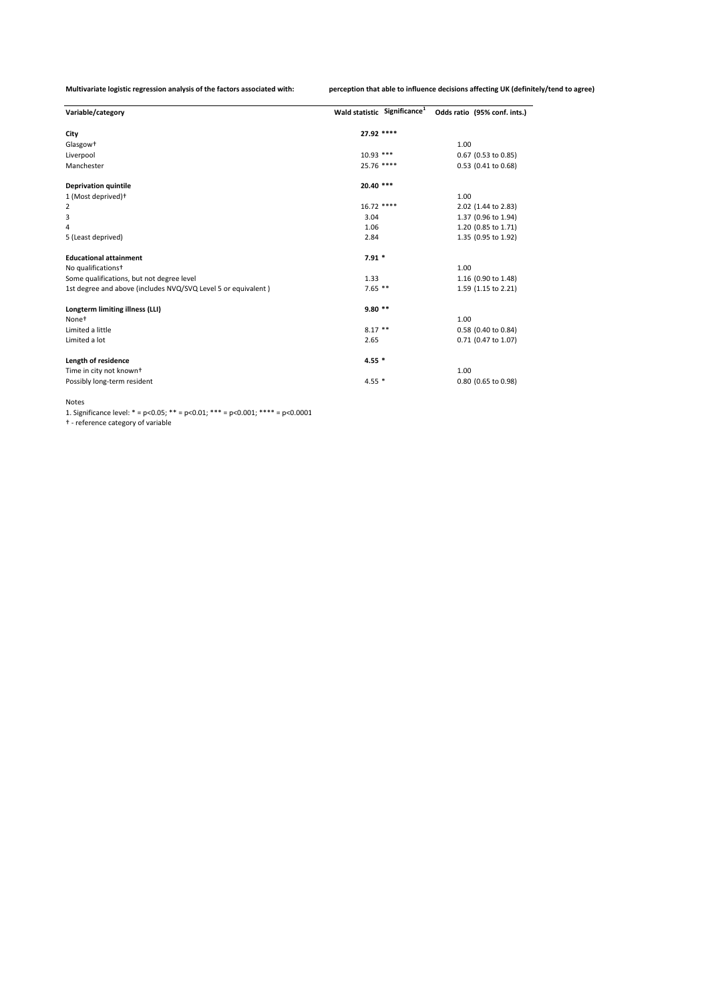Multivariate logistic regression analysis of the factors associated with: perception that able to influence decisions affecting UK (definitely/tend to agree)

| Variable/category                                             | Wald statistic Significance <sup>1</sup> | Odds ratio (95% conf. ints.) |
|---------------------------------------------------------------|------------------------------------------|------------------------------|
| City                                                          | 27.92 ****                               |                              |
| Glasgow <sup>+</sup>                                          |                                          | 1.00                         |
| Liverpool                                                     | $10.93$ ***                              | 0.67 (0.53 to 0.85)          |
| Manchester                                                    | 25.76 ****                               | 0.53 (0.41 to 0.68)          |
| <b>Deprivation quintile</b>                                   | $20.40$ ***                              |                              |
| 1 (Most deprived) <sup>+</sup>                                |                                          | 1.00                         |
| 2                                                             | $16.72$ ****                             | 2.02 (1.44 to 2.83)          |
| 3                                                             | 3.04                                     | 1.37 (0.96 to 1.94)          |
| 4                                                             | 1.06                                     | 1.20 (0.85 to 1.71)          |
| 5 (Least deprived)                                            | 2.84                                     | 1.35 (0.95 to 1.92)          |
| <b>Educational attainment</b>                                 | $7.91*$                                  |                              |
| No qualifications <sup>+</sup>                                |                                          | 1.00                         |
| Some qualifications, but not degree level                     | 1.33                                     | 1.16 (0.90 to 1.48)          |
| 1st degree and above (includes NVQ/SVQ Level 5 or equivalent) | $7.65$ **                                | 1.59 (1.15 to 2.21)          |
| Longterm limiting illness (LLI)                               | $9.80**$                                 |                              |
| None <sup>+</sup>                                             |                                          | 1.00                         |
| Limited a little                                              | $8.17**$                                 | 0.58 (0.40 to 0.84)          |
| Limited a lot                                                 | 2.65                                     | 0.71 (0.47 to 1.07)          |
| Length of residence                                           | $4.55*$                                  |                              |
| Time in city not known+                                       |                                          | 1.00                         |
| Possibly long-term resident                                   | $4.55*$                                  | 0.80 (0.65 to 0.98)          |

Notes

1. Significance level: \* = p<0.05; \*\* = p<0.01; \*\*\* = p<0.001; \*\*\*\* = p<0.0001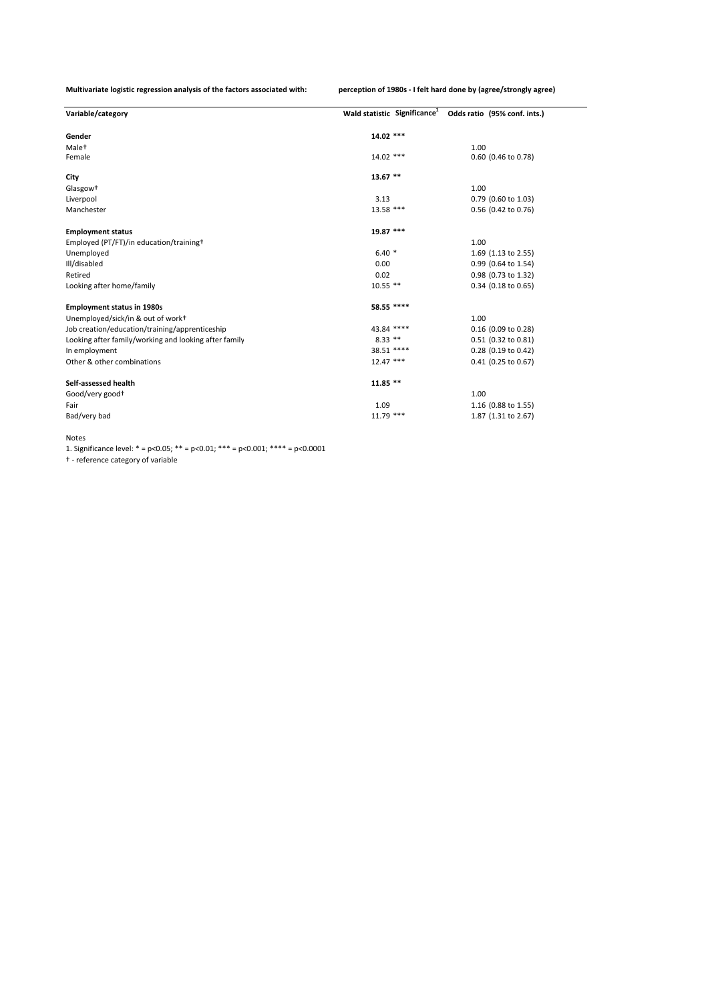Multivariate logistic regression analysis of the factors associated with: perception of 1980s - I felt hard done by (agree/strongly agree)

| Variable/category                                     | Wald statistic Significance <sup>1</sup> | Odds ratio (95% conf. ints.) |
|-------------------------------------------------------|------------------------------------------|------------------------------|
| Gender                                                | 14.02 ***                                |                              |
| Male <sup>+</sup>                                     |                                          | 1.00                         |
| Female                                                | 14.02 ***                                | 0.60 (0.46 to 0.78)          |
| City                                                  | $13.67**$                                |                              |
| Glasgow <sup>+</sup>                                  |                                          | 1.00                         |
| Liverpool                                             | 3.13                                     | 0.79 (0.60 to 1.03)          |
| Manchester                                            | 13.58 ***                                | 0.56 (0.42 to 0.76)          |
| <b>Employment status</b>                              | 19.87 ***                                |                              |
| Employed (PT/FT)/in education/training+               |                                          | 1.00                         |
| Unemployed                                            | $6.40*$                                  | 1.69 (1.13 to 2.55)          |
| Ill/disabled                                          | 0.00                                     | 0.99 (0.64 to 1.54)          |
| Retired                                               | 0.02                                     | 0.98 (0.73 to 1.32)          |
| Looking after home/family                             | $10.55$ **                               | 0.34 (0.18 to 0.65)          |
| <b>Employment status in 1980s</b>                     | 58.55 ****                               |                              |
| Unemployed/sick/in & out of work+                     |                                          | 1.00                         |
| Job creation/education/training/apprenticeship        | 43.84 ****                               | 0.16 (0.09 to 0.28)          |
| Looking after family/working and looking after family | $8.33$ **                                | 0.51 (0.32 to 0.81)          |
| In employment                                         | 38.51 ****                               | 0.28 (0.19 to 0.42)          |
| Other & other combinations                            | $12.47$ ***                              | $0.41$ (0.25 to 0.67)        |
| Self-assessed health                                  | $11.85**$                                |                              |
| Good/very good+                                       |                                          | 1.00                         |
| Fair                                                  | 1.09                                     | 1.16 (0.88 to 1.55)          |
| Bad/very bad                                          | $11.79$ ***                              | 1.87 (1.31 to 2.67)          |

Notes

1. Significance level: \* = p<0.05; \*\* = p<0.01; \*\*\* = p<0.001; \*\*\*\* = p<0.0001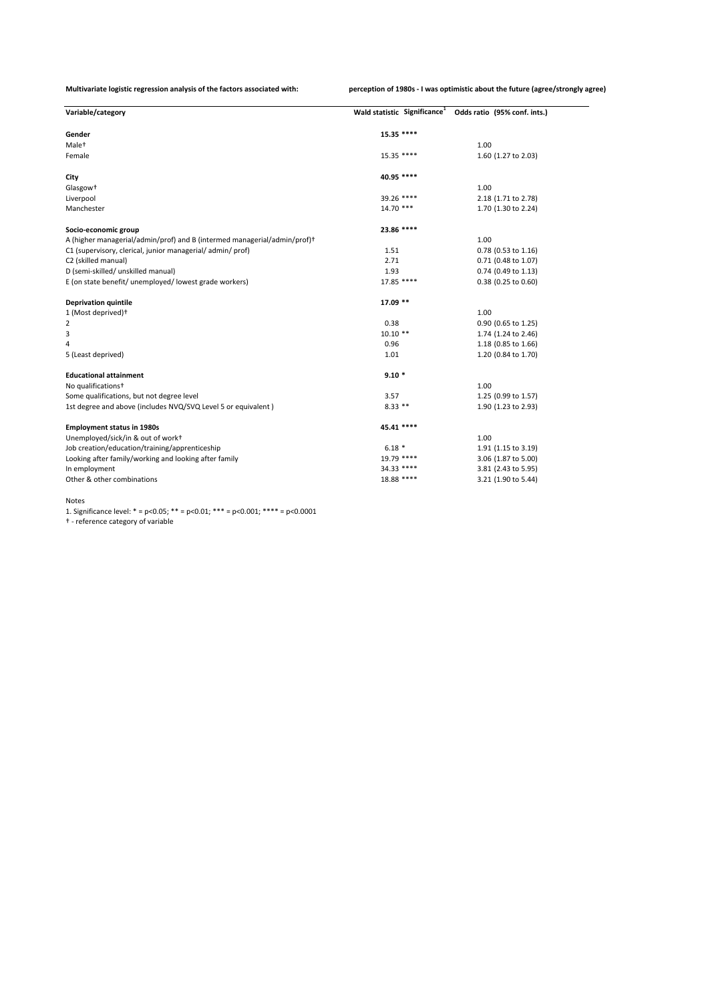Multivariate logistic regression analysis of the factors associated with: perception of 1980s - I was optimistic about the future (agree/strongly agree)

| Variable/category                                                        | Wald statistic Significance <sup>1</sup> | Odds ratio (95% conf. ints.) |
|--------------------------------------------------------------------------|------------------------------------------|------------------------------|
| Gender                                                                   | 15.35 ****                               |                              |
| Male <sup>+</sup>                                                        |                                          | 1.00                         |
| Female                                                                   | 15.35 ****                               | 1.60 (1.27 to 2.03)          |
| City                                                                     | 40.95 ****                               |                              |
| Glasgow <sup>+</sup>                                                     |                                          | 1.00                         |
| Liverpool                                                                | 39.26 ****                               | 2.18 (1.71 to 2.78)          |
| Manchester                                                               | 14.70 ***                                | 1.70 (1.30 to 2.24)          |
| Socio-economic group                                                     | 23.86 ****                               |                              |
| A (higher managerial/admin/prof) and B (intermed managerial/admin/prof)+ |                                          | 1.00                         |
| C1 (supervisory, clerical, junior managerial/admin/prof)                 | 1.51                                     | 0.78 (0.53 to 1.16)          |
| C2 (skilled manual)                                                      | 2.71                                     | 0.71 (0.48 to 1.07)          |
| D (semi-skilled/ unskilled manual)                                       | 1.93                                     | 0.74 (0.49 to 1.13)          |
| E (on state benefit/ unemployed/ lowest grade workers)                   | 17.85 ****                               | 0.38 (0.25 to 0.60)          |
| <b>Deprivation quintile</b>                                              | 17.09 **                                 |                              |
| 1 (Most deprived)+                                                       |                                          | 1.00                         |
| 2                                                                        | 0.38                                     | 0.90 (0.65 to 1.25)          |
| 3                                                                        | $10.10**$                                | 1.74 (1.24 to 2.46)          |
| 4                                                                        | 0.96                                     | 1.18 (0.85 to 1.66)          |
| 5 (Least deprived)                                                       | 1.01                                     | 1.20 (0.84 to 1.70)          |
| <b>Educational attainment</b>                                            | $9.10*$                                  |                              |
| No qualifications <sup>+</sup>                                           |                                          | 1.00                         |
| Some qualifications, but not degree level                                | 3.57                                     | 1.25 (0.99 to 1.57)          |
| 1st degree and above (includes NVQ/SVQ Level 5 or equivalent)            | $8.33***$                                | 1.90 (1.23 to 2.93)          |
| <b>Employment status in 1980s</b>                                        | 45.41 ****                               |                              |
| Unemployed/sick/in & out of work+                                        |                                          | 1.00                         |
| Job creation/education/training/apprenticeship                           | $6.18*$                                  | 1.91 (1.15 to 3.19)          |
| Looking after family/working and looking after family                    | $19.79$ ****                             | 3.06 (1.87 to 5.00)          |
| In employment                                                            | $34.33$ ****                             | 3.81 (2.43 to 5.95)          |
| Other & other combinations                                               | 18.88 ****                               | 3.21 (1.90 to 5.44)          |

Notes

1. Significance level:  $* = p < 0.05$ ;  $** = p < 0.01$ ;  $*** = p < 0.001$ ;  $*** = p < 0.0001$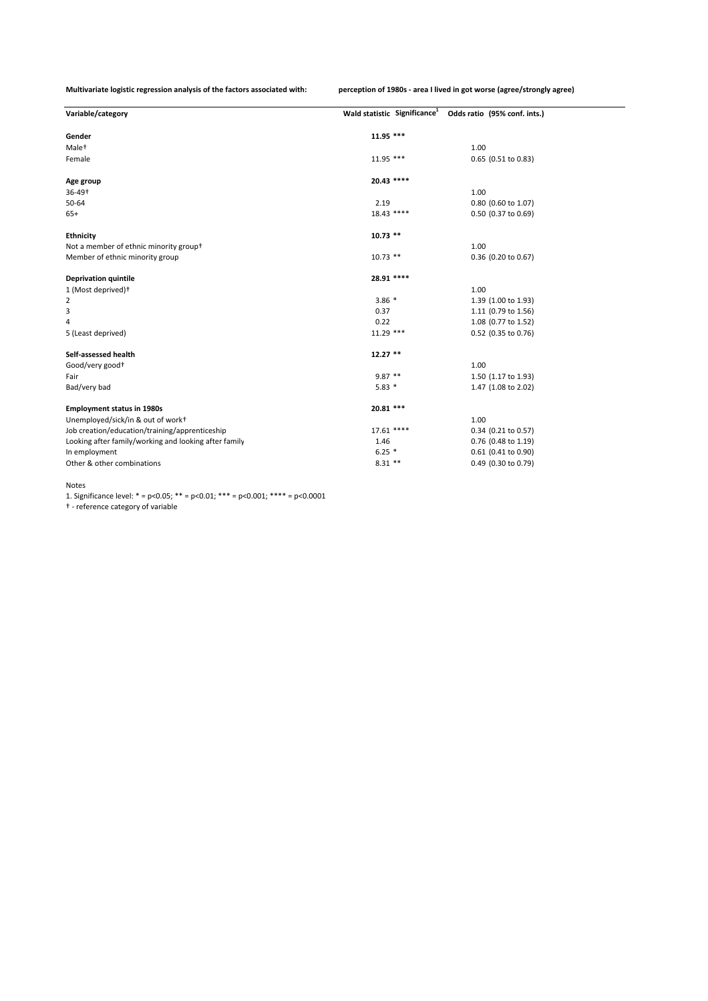Multivariate logistic regression analysis of the factors associated with: perception of 1980s - area I lived in got worse (agree/strongly agree)

| Variable/category                                     | Wald statistic Significance <sup>1</sup> | Odds ratio (95% conf. ints.) |
|-------------------------------------------------------|------------------------------------------|------------------------------|
| Gender                                                | 11.95 ***                                |                              |
| Male <sup>+</sup>                                     |                                          | 1.00                         |
| Female                                                | $11.95$ ***                              | 0.65 (0.51 to 0.83)          |
| Age group                                             | 20.43 ****                               |                              |
| 36-49+                                                |                                          | 1.00                         |
| 50-64                                                 | 2.19                                     | 0.80 (0.60 to 1.07)          |
| $65+$                                                 | 18.43 ****                               | 0.50 (0.37 to 0.69)          |
| Ethnicity                                             | $10.73$ **                               |                              |
| Not a member of ethnic minority group+                |                                          | 1.00                         |
| Member of ethnic minority group                       | $10.73$ **                               | 0.36 (0.20 to 0.67)          |
| <b>Deprivation quintile</b>                           | 28.91 ****                               |                              |
| 1 (Most deprived) <sup>+</sup>                        |                                          | 1.00                         |
| 2                                                     | $3.86*$                                  | 1.39 (1.00 to 1.93)          |
| 3                                                     | 0.37                                     | 1.11 (0.79 to 1.56)          |
| 4                                                     | 0.22                                     | 1.08 (0.77 to 1.52)          |
| 5 (Least deprived)                                    | $11.29$ ***                              | 0.52 (0.35 to 0.76)          |
| Self-assessed health                                  | $12.27$ **                               |                              |
| Good/very good+                                       |                                          | 1.00                         |
| Fair                                                  | $9.87$ **                                | 1.50 (1.17 to 1.93)          |
| Bad/very bad                                          | $5.83*$                                  | 1.47 (1.08 to 2.02)          |
| <b>Employment status in 1980s</b>                     | 20.81 ***                                |                              |
| Unemployed/sick/in & out of work+                     |                                          | 1.00                         |
| Job creation/education/training/apprenticeship        | 17.61 ****                               | 0.34 (0.21 to 0.57)          |
| Looking after family/working and looking after family | 1.46                                     | 0.76 (0.48 to 1.19)          |
| In employment                                         | $6.25*$                                  | 0.61 (0.41 to 0.90)          |
| Other & other combinations                            | $8.31**$                                 | 0.49 (0.30 to 0.79)          |

Notes

1. Significance level: \* = p<0.05; \*\* = p<0.01; \*\*\* = p<0.001; \*\*\*\* = p<0.0001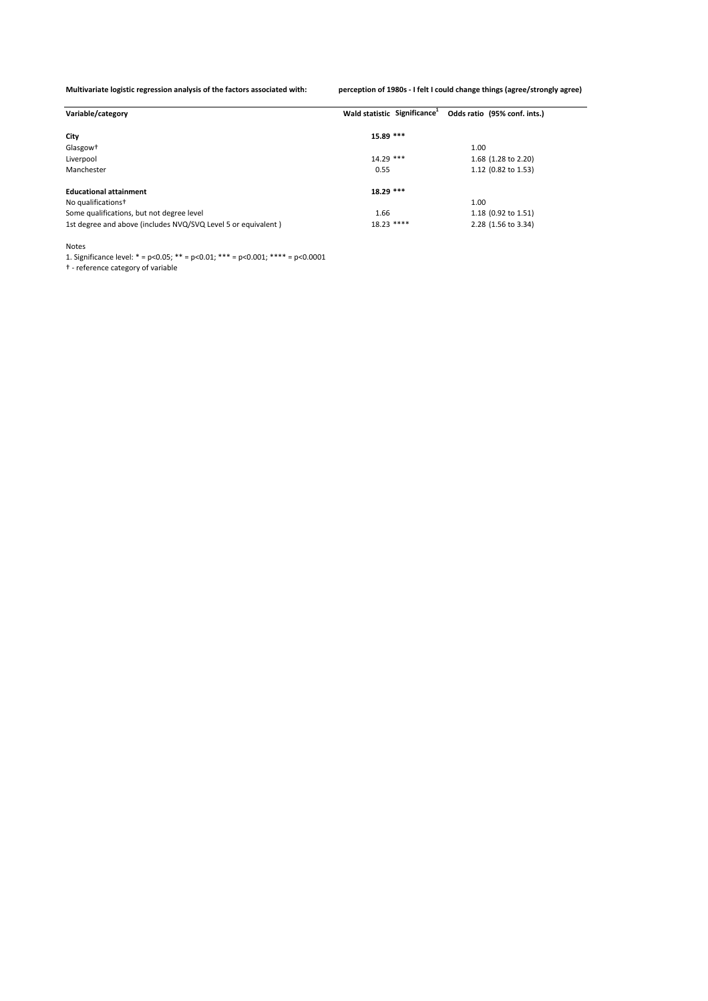Multivariate logistic regression analysis of the factors associated with: perception of 1980s - I felt I could change things (agree/strongly agree)

| Variable/category                                             | Wald statistic Significance <sup>+</sup> | Odds ratio (95% conf. ints.) |
|---------------------------------------------------------------|------------------------------------------|------------------------------|
| City                                                          | $15.89$ ***                              |                              |
| Glasgow <sup>+</sup>                                          |                                          | 1.00                         |
| Liverpool                                                     | $14.29$ ***                              | 1.68 (1.28 to 2.20)          |
| Manchester                                                    | 0.55                                     | 1.12 (0.82 to 1.53)          |
| <b>Educational attainment</b>                                 | $18.29$ ***                              |                              |
| No qualifications <sup>+</sup>                                |                                          | 1.00                         |
| Some qualifications, but not degree level                     | 1.66                                     | 1.18 (0.92 to 1.51)          |
| 1st degree and above (includes NVQ/SVQ Level 5 or equivalent) | $18.23$ ****                             | 2.28 (1.56 to 3.34)          |

Notes

1. Significance level: \* = p<0.05; \*\* = p<0.01; \*\*\* = p<0.001; \*\*\*\* = p<0.0001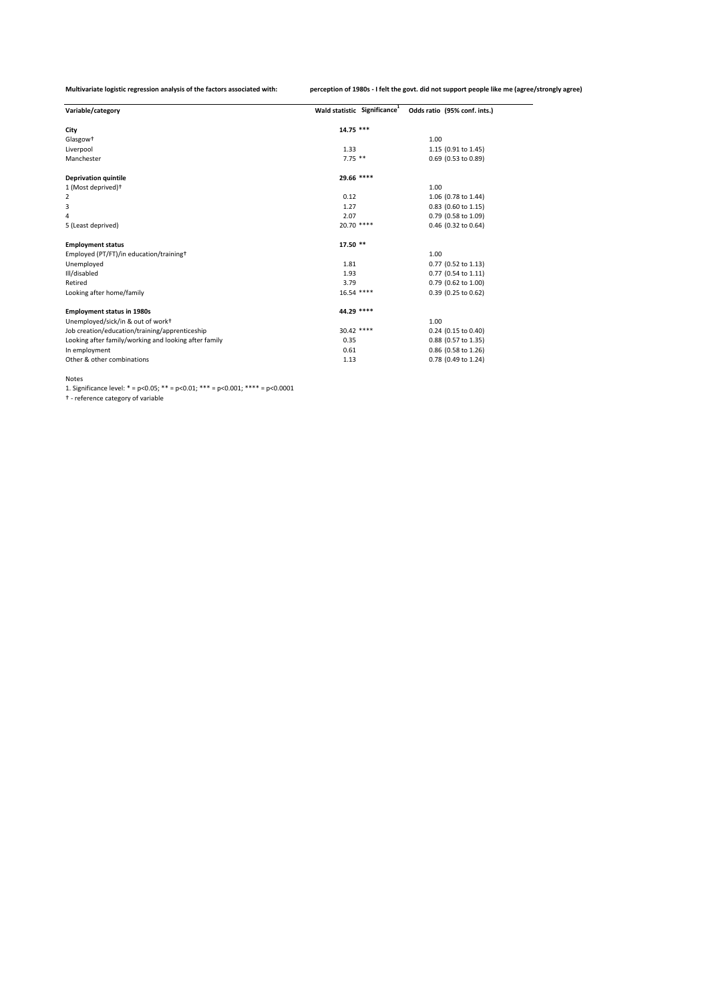Multivariate logistic regression analysis of the factors associated with: perception of 1980s - I felt the govt. did not support people like me (agree/strongly agree)

| Variable/category                                     | Wald statistic $Significance1$ | Odds ratio (95% conf. ints.) |
|-------------------------------------------------------|--------------------------------|------------------------------|
| City                                                  | $14.75$ ***                    |                              |
| Glasgow <sup>+</sup>                                  |                                | 1.00                         |
| Liverpool                                             | 1.33                           | 1.15 (0.91 to 1.45)          |
| Manchester                                            | $7.75$ **                      | 0.69 (0.53 to 0.89)          |
| <b>Deprivation quintile</b>                           | 29.66 ****                     |                              |
| 1 (Most deprived) <sup>+</sup>                        |                                | 1.00                         |
| 2                                                     | 0.12                           | 1.06 (0.78 to 1.44)          |
| 3                                                     | 1.27                           | 0.83 (0.60 to 1.15)          |
| 4                                                     | 2.07                           | 0.79 (0.58 to 1.09)          |
| 5 (Least deprived)                                    | 20.70 ****                     | 0.46 (0.32 to 0.64)          |
| <b>Employment status</b>                              | 17.50 **                       |                              |
| Employed (PT/FT)/in education/training+               |                                | 1.00                         |
| Unemployed                                            | 1.81                           | 0.77 (0.52 to 1.13)          |
| Ill/disabled                                          | 1.93                           | 0.77 (0.54 to 1.11)          |
| Retired                                               | 3.79                           | 0.79 (0.62 to 1.00)          |
| Looking after home/family                             | 16.54 ****                     | 0.39 (0.25 to 0.62)          |
| <b>Employment status in 1980s</b>                     | 44.29 ****                     |                              |
| Unemployed/sick/in & out of work+                     |                                | 1.00                         |
| Job creation/education/training/apprenticeship        | $30.42$ ****                   | 0.24 (0.15 to 0.40)          |
| Looking after family/working and looking after family | 0.35                           | 0.88 (0.57 to 1.35)          |
| In employment                                         | 0.61                           | 0.86 (0.58 to 1.26)          |
| Other & other combinations                            | 1.13                           | 0.78 (0.49 to 1.24)          |

Notes

1. Significance level: \* = p<0.05; \*\* = p<0.01; \*\*\* = p<0.001; \*\*\*\* = p<0.0001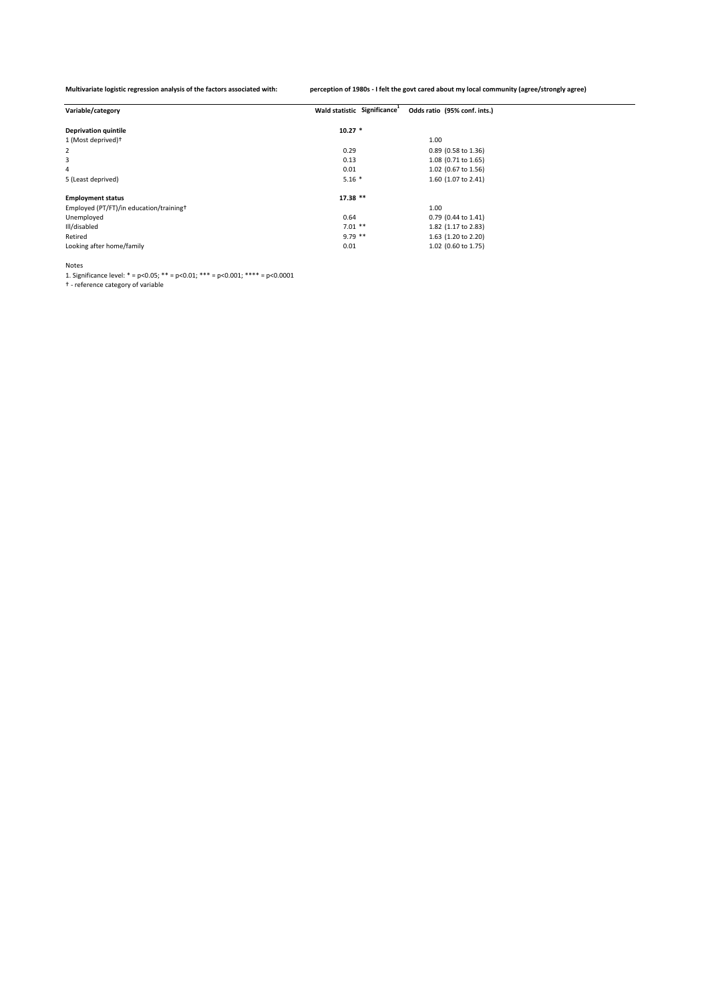Multivariate logistic regression analysis of the factors associated with: perception of 1980s - I felt the govt cared about my local community (agree/strongly agree)

| Variable/category                       | Wald statistic Significance <sup>1</sup> | Odds ratio (95% conf. ints.) |
|-----------------------------------------|------------------------------------------|------------------------------|
| <b>Deprivation quintile</b>             | $10.27*$                                 |                              |
| 1 (Most deprived) <sup>+</sup>          |                                          | 1.00                         |
| 2                                       | 0.29                                     | 0.89 (0.58 to 1.36)          |
| 3                                       | 0.13                                     | 1.08 (0.71 to 1.65)          |
| 4                                       | 0.01                                     | 1.02 (0.67 to 1.56)          |
| 5 (Least deprived)                      | $5.16*$                                  | 1.60 (1.07 to 2.41)          |
| <b>Employment status</b>                | $17.38**$                                |                              |
| Employed (PT/FT)/in education/training+ |                                          | 1.00                         |
| Unemployed                              | 0.64                                     | 0.79 (0.44 to 1.41)          |
| Ill/disabled                            | $7.01$ **                                | 1.82 (1.17 to 2.83)          |
| Retired                                 | $9.79$ **                                | 1.63 (1.20 to 2.20)          |
| Looking after home/family               | 0.01                                     | 1.02 (0.60 to 1.75)          |

#### Notes

1. Significance level: \* = p<0.05; \*\* = p<0.01; \*\*\* = p<0.001; \*\*\*\* = p<0.0001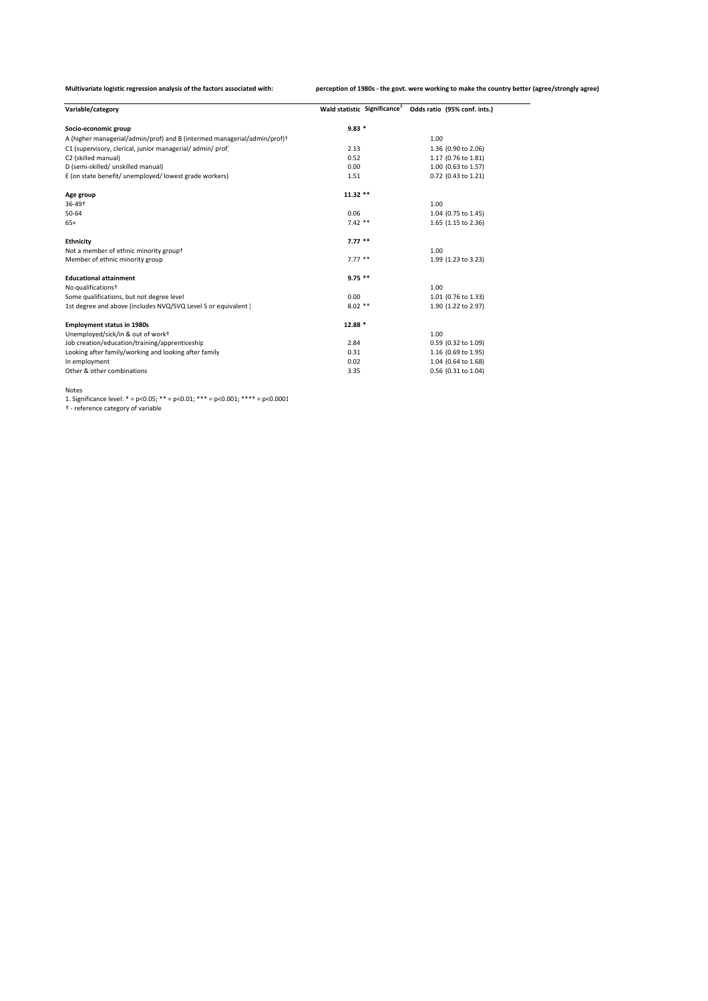Multivariate logistic regression analysis of the factors associated with: perception of 1980s - the govt. were working to make the country better (agree/strongly agree)

| Wald statistic Significance <sup>1</sup> | Odds ratio (95% conf. ints.) |
|------------------------------------------|------------------------------|
| $9.83*$                                  |                              |
|                                          | 1.00                         |
| 2.13                                     | 1.36 (0.90 to 2.06)          |
| 0.52                                     | 1.17 (0.76 to 1.81)          |
| 0.00                                     | 1.00 (0.63 to 1.57)          |
| 1.51                                     | 0.72 (0.43 to 1.21)          |
| $11.32**$                                |                              |
|                                          | 1.00                         |
| 0.06                                     | 1.04 (0.75 to 1.45)          |
| $7.42**$                                 | 1.65 (1.15 to 2.36)          |
| $7.77**$                                 |                              |
|                                          | 1.00                         |
| $7.77**$                                 | 1.99 (1.23 to 3.23)          |
| $9.75**$                                 |                              |
|                                          | 1.00                         |
| 0.00                                     | 1.01 (0.76 to 1.33)          |
| $8.02$ **                                | 1.90 (1.22 to 2.97)          |
| 12.88 *                                  |                              |
|                                          | 1.00                         |
| 2.84                                     | 0.59 (0.32 to 1.09)          |
| 0.31                                     | 1.16 (0.69 to 1.95)          |
| 0.02                                     | 1.04 (0.64 to 1.68)          |
| 3.35                                     | 0.56 (0.31 to 1.04)          |
|                                          |                              |

Notes

1. Significance level: \* = p<0.05; \*\* = p<0.01; \*\*\* = p<0.001; \*\*\*\* = p<0.0001 † ‐ reference category of variable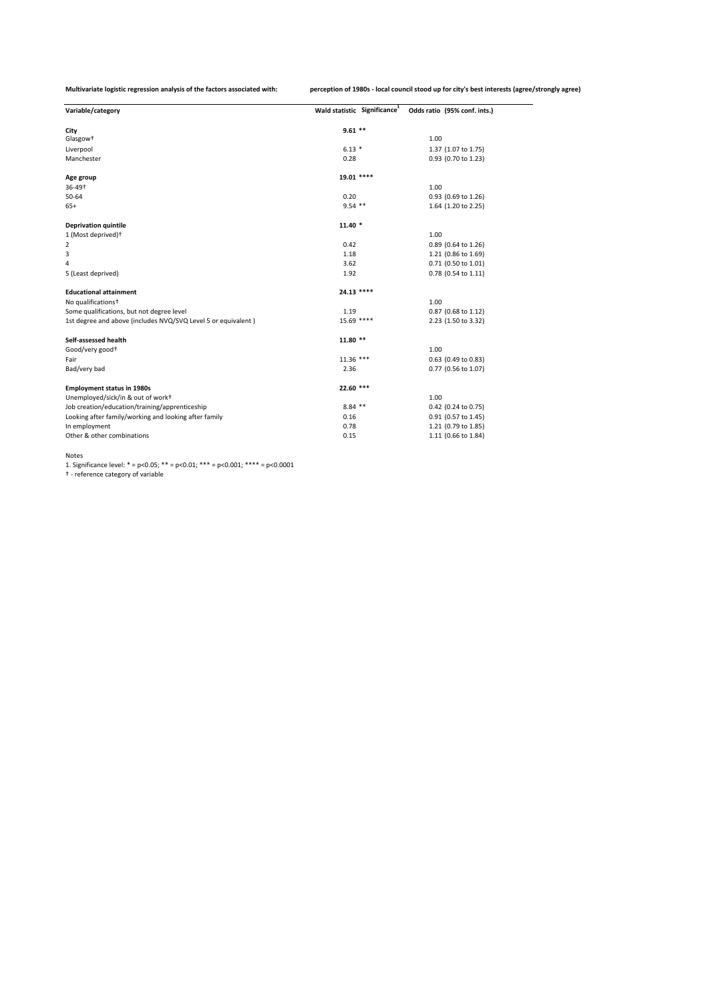Multivariate logistic regression analysis of the factors associated with: perception of 1980s - local council stood up for city's best interests (agree/strongly agree)

| Variable/category                                             |             | Wald statistic Significance <sup>1</sup> | Odds ratio (95% conf. ints.) |
|---------------------------------------------------------------|-------------|------------------------------------------|------------------------------|
| City                                                          | $9.61**$    |                                          |                              |
| Glasgow <sup>+</sup>                                          |             |                                          | 1.00                         |
| Liverpool                                                     | $6.13*$     |                                          | 1.37 (1.07 to 1.75)          |
| Manchester                                                    | 0.28        |                                          | 0.93 (0.70 to 1.23)          |
| Age group                                                     | 19.01 ****  |                                          |                              |
| 36-49+                                                        |             |                                          | 1.00                         |
| 50-64                                                         | 0.20        |                                          | 0.93 (0.69 to 1.26)          |
| $65+$                                                         | $9.54$ **   |                                          | 1.64 (1.20 to 2.25)          |
| <b>Deprivation quintile</b>                                   | $11.40*$    |                                          |                              |
| 1 (Most deprived) <sup>+</sup>                                |             |                                          | 1.00                         |
| 2                                                             | 0.42        |                                          | 0.89 (0.64 to 1.26)          |
| 3                                                             | 1.18        |                                          | 1.21 (0.86 to 1.69)          |
| 4                                                             | 3.62        |                                          | 0.71 (0.50 to 1.01)          |
| 5 (Least deprived)                                            | 1.92        |                                          | 0.78 (0.54 to 1.11)          |
| <b>Educational attainment</b>                                 | 24.13 ****  |                                          |                              |
| No qualifications <sup>+</sup>                                |             |                                          | 1.00                         |
| Some qualifications, but not degree level                     | 1.19        |                                          | 0.87 (0.68 to 1.12)          |
| 1st degree and above (includes NVQ/SVQ Level 5 or equivalent) | 15.69 ****  |                                          | 2.23 (1.50 to 3.32)          |
| Self-assessed health                                          | 11.80 **    |                                          |                              |
| Good/very good+                                               |             |                                          | 1.00                         |
| Fair                                                          | $11.36$ *** |                                          | 0.63 (0.49 to 0.83)          |
| Bad/very bad                                                  | 2.36        |                                          | 0.77 (0.56 to 1.07)          |
| <b>Employment status in 1980s</b>                             | 22.60 ***   |                                          |                              |
| Unemployed/sick/in & out of work+                             |             |                                          | 1.00                         |
| Job creation/education/training/apprenticeship                | $8.84$ **   |                                          | 0.42 (0.24 to 0.75)          |
| Looking after family/working and looking after family         | 0.16        |                                          | 0.91 (0.57 to 1.45)          |
| In employment                                                 | 0.78        |                                          | 1.21 (0.79 to 1.85)          |
| Other & other combinations                                    | 0.15        |                                          | 1.11 (0.66 to 1.84)          |

Notes

1. Significance level: \* = p<0.05; \*\* = p<0.01; \*\*\* = p<0.001; \*\*\*\* = p<0.0001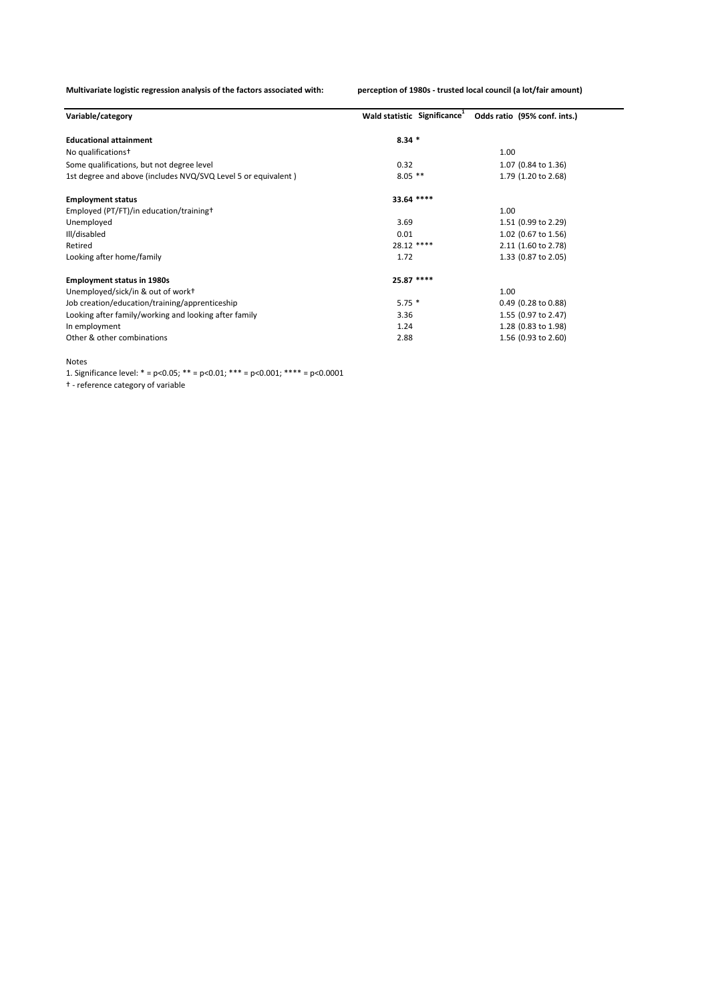Multivariate logistic regression analysis of the factors associated with: perception of 1980s - trusted local council (a lot/fair amount)

| Variable/category                                             | Wald statistic Significance <sup>1</sup> | Odds ratio (95% conf. ints.) |
|---------------------------------------------------------------|------------------------------------------|------------------------------|
| <b>Educational attainment</b>                                 | $8.34*$                                  |                              |
| No qualifications+                                            |                                          | 1.00                         |
| Some qualifications, but not degree level                     | 0.32                                     | 1.07 (0.84 to 1.36)          |
| 1st degree and above (includes NVQ/SVQ Level 5 or equivalent) | $8.05$ **                                | 1.79 (1.20 to 2.68)          |
| <b>Employment status</b>                                      | 33.64 ****                               |                              |
| Employed (PT/FT)/in education/training+                       |                                          | 1.00                         |
| Unemployed                                                    | 3.69                                     | 1.51 (0.99 to 2.29)          |
| Ill/disabled                                                  | 0.01                                     | 1.02 (0.67 to 1.56)          |
| Retired                                                       | 28.12 ****                               | 2.11 (1.60 to 2.78)          |
| Looking after home/family                                     | 1.72                                     | 1.33 (0.87 to 2.05)          |
| <b>Employment status in 1980s</b>                             | 25.87 ****                               |                              |
| Unemployed/sick/in & out of work+                             |                                          | 1.00                         |
| Job creation/education/training/apprenticeship                | $5.75*$                                  | 0.49 (0.28 to 0.88)          |
| Looking after family/working and looking after family         | 3.36                                     | 1.55 (0.97 to 2.47)          |
| In employment                                                 | 1.24                                     | 1.28 (0.83 to 1.98)          |
| Other & other combinations                                    | 2.88                                     | 1.56 (0.93 to 2.60)          |

Notes

1. Significance level: \* = p<0.05; \*\* = p<0.01; \*\*\* = p<0.001; \*\*\*\* = p<0.0001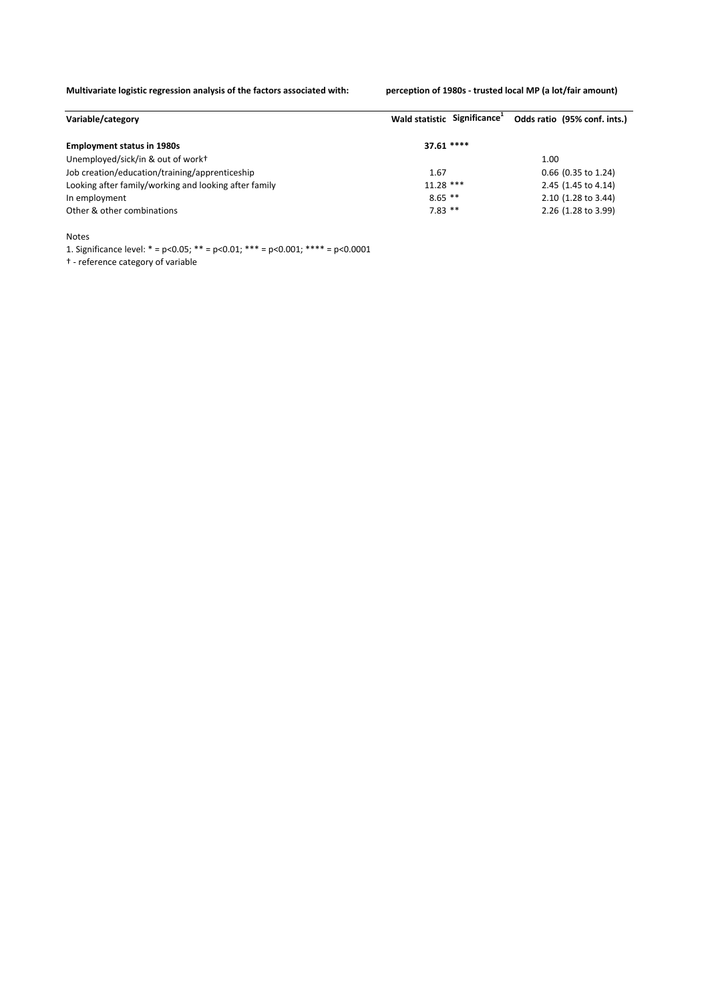Multivariate logistic regression analysis of the factors associated with: perception of 1980s - trusted local MP (a lot/fair amount)

| Variable/category                                     | Wald statistic Significance <sup>1</sup> |      | Odds ratio (95% conf. ints.) |
|-------------------------------------------------------|------------------------------------------|------|------------------------------|
| <b>Employment status in 1980s</b>                     | $37.61$ ****                             |      |                              |
| Unemployed/sick/in & out of work+                     |                                          | 1.00 |                              |
| Job creation/education/training/apprenticeship        | 1.67                                     |      | $0.66$ (0.35 to 1.24)        |
| Looking after family/working and looking after family | $11.28$ ***                              |      | 2.45 (1.45 to 4.14)          |
| In employment                                         | $8.65$ **                                |      | 2.10 (1.28 to 3.44)          |
| Other & other combinations                            | $7.83$ **                                |      | 2.26 (1.28 to 3.99)          |

### Notes

1. Significance level:  $* = p < 0.05$ ;  $** = p < 0.01$ ;  $*** = p < 0.001$ ;  $*** = p < 0.0001$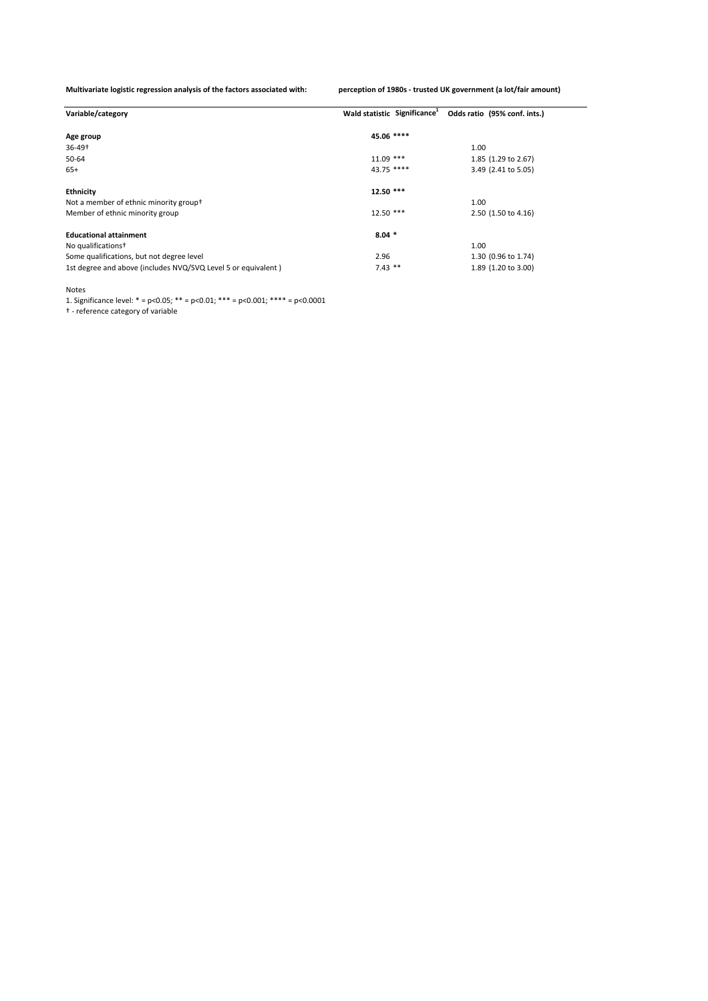Multivariate logistic regression analysis of the factors associated with: perception of 1980s - trusted UK government (a lot/fair amount)

| Variable/category                                             | Wald statistic Significance <sup>1</sup> | Odds ratio (95% conf. ints.) |
|---------------------------------------------------------------|------------------------------------------|------------------------------|
| Age group                                                     | 45.06 ****                               |                              |
| $36-49$ <sup>+</sup>                                          |                                          | 1.00                         |
| $50 - 64$                                                     | $11.09$ ***                              | 1.85 (1.29 to 2.67)          |
| $65+$                                                         | $43.75$ ****                             | 3.49 (2.41 to 5.05)          |
| <b>Ethnicity</b>                                              | 12.50 ***                                |                              |
| Not a member of ethnic minority group+                        |                                          | 1.00                         |
| Member of ethnic minority group                               | $12.50$ ***                              | 2.50 (1.50 to 4.16)          |
| <b>Educational attainment</b>                                 | $8.04*$                                  |                              |
| No qualifications <sup>+</sup>                                |                                          | 1.00                         |
| Some qualifications, but not degree level                     | 2.96                                     | 1.30 (0.96 to 1.74)          |
| 1st degree and above (includes NVQ/SVQ Level 5 or equivalent) | $7.43$ **                                | 1.89 (1.20 to 3.00)          |

Notes

1. Significance level:  $* = p < 0.05$ ;  $** = p < 0.01$ ;  $*** = p < 0.001$ ;  $*** = p < 0.0001$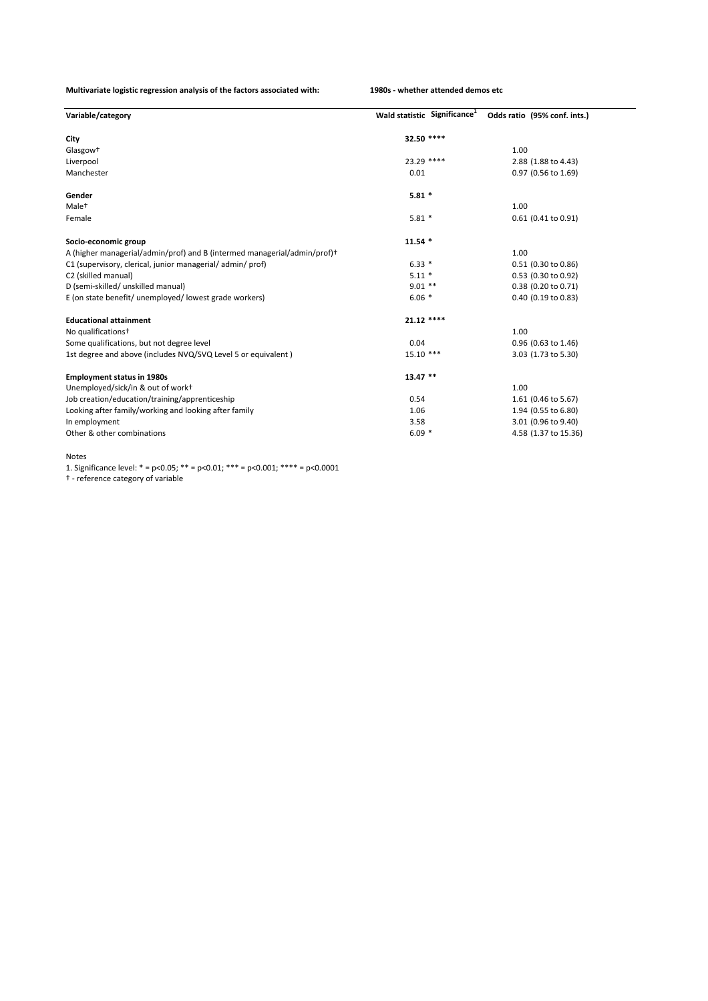**Multivariate logistic regression analysis of the factors associated with: 1980s ‐ whether attended demos etc**

| Variable/category                                                                    | Wald statistic Significance <sup>1</sup> | Odds ratio (95% conf. ints.) |
|--------------------------------------------------------------------------------------|------------------------------------------|------------------------------|
| City                                                                                 | 32.50 ****                               |                              |
| Glasgow <sup>+</sup>                                                                 |                                          | 1.00                         |
| Liverpool                                                                            | 23.29 ****                               | 2.88 (1.88 to 4.43)          |
| Manchester                                                                           | 0.01                                     | 0.97 (0.56 to 1.69)          |
| Gender                                                                               | $5.81*$                                  |                              |
| Male <sup>+</sup>                                                                    |                                          | 1.00                         |
| Female                                                                               | $5.81*$                                  | $0.61$ (0.41 to 0.91)        |
| Socio-economic group                                                                 | $11.54*$                                 |                              |
| A (higher managerial/admin/prof) and B (intermed managerial/admin/prof) <sup>+</sup> |                                          | 1.00                         |
| C1 (supervisory, clerical, junior managerial/admin/prof)                             | $6.33*$                                  | 0.51 (0.30 to 0.86)          |
| C2 (skilled manual)                                                                  | $5.11*$                                  | 0.53 (0.30 to 0.92)          |
| D (semi-skilled/ unskilled manual)                                                   | $9.01$ **                                | 0.38 (0.20 to 0.71)          |
| E (on state benefit/ unemployed/ lowest grade workers)                               | $6.06*$                                  | 0.40 (0.19 to 0.83)          |
| <b>Educational attainment</b>                                                        | 21.12 ****                               |                              |
| No qualifications <sup>+</sup>                                                       |                                          | 1.00                         |
| Some qualifications, but not degree level                                            | 0.04                                     | 0.96 (0.63 to 1.46)          |
| 1st degree and above (includes NVQ/SVQ Level 5 or equivalent)                        | 15.10 ***                                | 3.03 (1.73 to 5.30)          |
| <b>Employment status in 1980s</b>                                                    | $13.47**$                                |                              |
| Unemployed/sick/in & out of work+                                                    |                                          | 1.00                         |
| Job creation/education/training/apprenticeship                                       | 0.54                                     | 1.61 (0.46 to 5.67)          |
| Looking after family/working and looking after family                                | 1.06                                     | 1.94 (0.55 to 6.80)          |
| In employment                                                                        | 3.58                                     | 3.01 (0.96 to 9.40)          |
| Other & other combinations                                                           | $6.09*$                                  | 4.58 (1.37 to 15.36)         |

Notes

1. Significance level: \* = p<0.05; \*\* = p<0.01; \*\*\* = p<0.001; \*\*\*\* = p<0.0001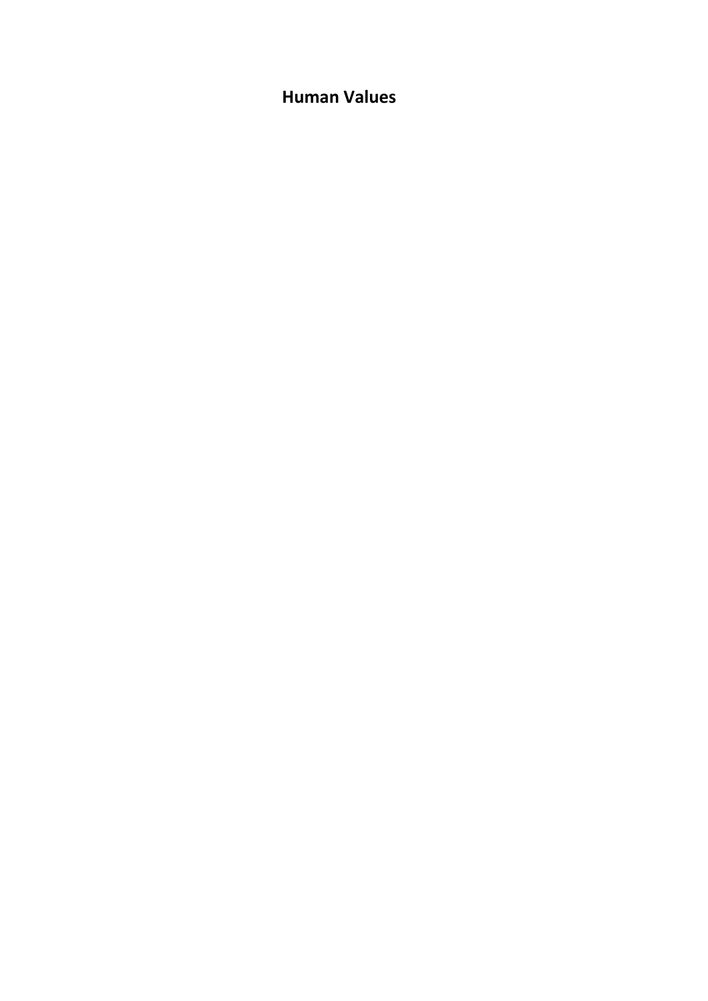# **Human Values**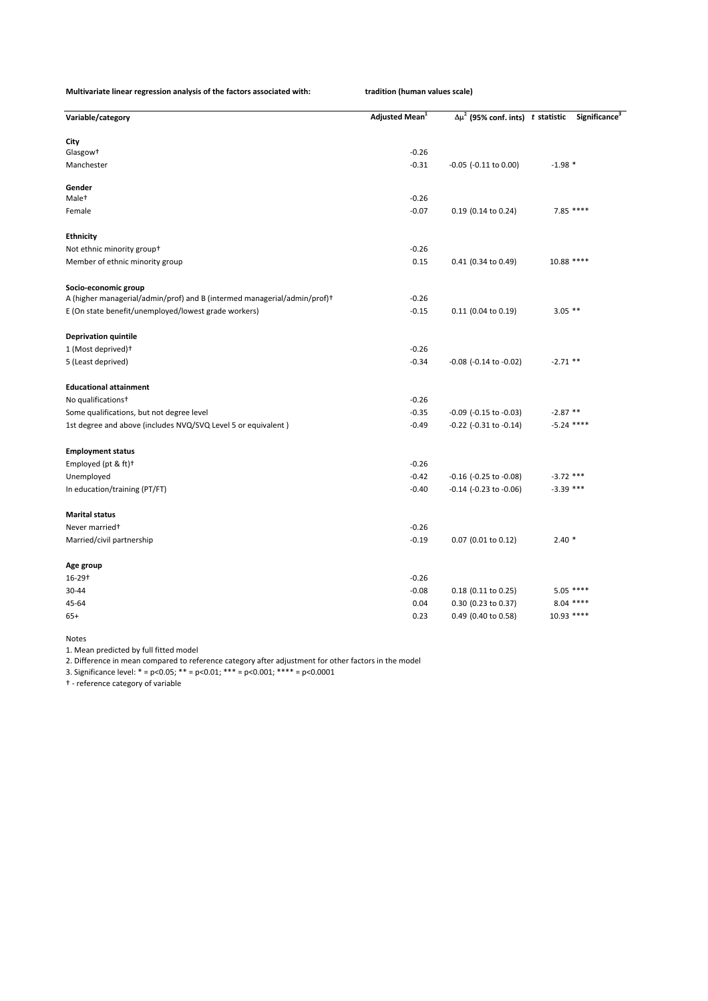**Multivariate linear regression analysis of the factors associated with: tradition (human values scale)**

| Variable/category                                                        | Adjusted Mean <sup>1</sup> | $\Delta \mu^2$ (95% conf. ints) t statistic |              | <b>Significance</b> |
|--------------------------------------------------------------------------|----------------------------|---------------------------------------------|--------------|---------------------|
| City                                                                     |                            |                                             |              |                     |
| Glasgow <sup>+</sup>                                                     | $-0.26$                    |                                             |              |                     |
| Manchester                                                               | $-0.31$                    | $-0.05$ ( $-0.11$ to $0.00$ )               | $-1.98*$     |                     |
| Gender                                                                   |                            |                                             |              |                     |
| Male <sup>+</sup>                                                        | $-0.26$                    |                                             |              |                     |
| Female                                                                   | $-0.07$                    | 0.19 (0.14 to 0.24)                         | 7.85 ****    |                     |
| <b>Ethnicity</b>                                                         |                            |                                             |              |                     |
| Not ethnic minority group+                                               | $-0.26$                    |                                             |              |                     |
| Member of ethnic minority group                                          | 0.15                       | 0.41 (0.34 to 0.49)                         | 10.88 ****   |                     |
| Socio-economic group                                                     |                            |                                             |              |                     |
| A (higher managerial/admin/prof) and B (intermed managerial/admin/prof)+ | $-0.26$                    |                                             |              |                     |
| E (On state benefit/unemployed/lowest grade workers)                     | $-0.15$                    | 0.11 (0.04 to 0.19)                         | $3.05$ **    |                     |
| <b>Deprivation quintile</b>                                              |                            |                                             |              |                     |
| 1 (Most deprived) <sup>+</sup>                                           | $-0.26$                    |                                             |              |                     |
| 5 (Least deprived)                                                       | $-0.34$                    | $-0.08$ ( $-0.14$ to $-0.02$ )              | $-2.71$ **   |                     |
| <b>Educational attainment</b>                                            |                            |                                             |              |                     |
| No qualifications <sup>+</sup>                                           | $-0.26$                    |                                             |              |                     |
| Some qualifications, but not degree level                                | $-0.35$                    | $-0.09$ ( $-0.15$ to $-0.03$ )              | $-2.87$ **   |                     |
| 1st degree and above (includes NVQ/SVQ Level 5 or equivalent)            | $-0.49$                    | $-0.22$ ( $-0.31$ to $-0.14$ )              | $-5.24$ **** |                     |
| <b>Employment status</b>                                                 |                            |                                             |              |                     |
| Employed (pt & ft)+                                                      | $-0.26$                    |                                             |              |                     |
| Unemployed                                                               | $-0.42$                    | $-0.16$ ( $-0.25$ to $-0.08$ )              | $-3.72$ ***  |                     |
| In education/training (PT/FT)                                            | $-0.40$                    | $-0.14$ ( $-0.23$ to $-0.06$ )              | $-3.39$ ***  |                     |
| <b>Marital status</b>                                                    |                            |                                             |              |                     |
| Never married <sup>+</sup>                                               | $-0.26$                    |                                             |              |                     |
| Married/civil partnership                                                | $-0.19$                    | 0.07 (0.01 to 0.12)                         | $2.40*$      |                     |
| Age group                                                                |                            |                                             |              |                     |
| $16 - 29$ <sup>+</sup>                                                   | $-0.26$                    |                                             |              |                     |
| 30-44                                                                    | $-0.08$                    | 0.18 (0.11 to 0.25)                         | 5.05 ****    |                     |
| 45-64                                                                    | 0.04                       | 0.30 (0.23 to 0.37)                         | $8.04$ ****  |                     |
| $65+$                                                                    | 0.23                       | 0.49 (0.40 to 0.58)                         | $10.93$ **** |                     |

Notes

1. Mean predicted by full fitted model

2. Difference in mean compared to reference category after adjustment for other factors in the model

3. Significance level: \* = p<0.05; \*\* = p<0.01; \*\*\* = p<0.001; \*\*\*\* = p<0.0001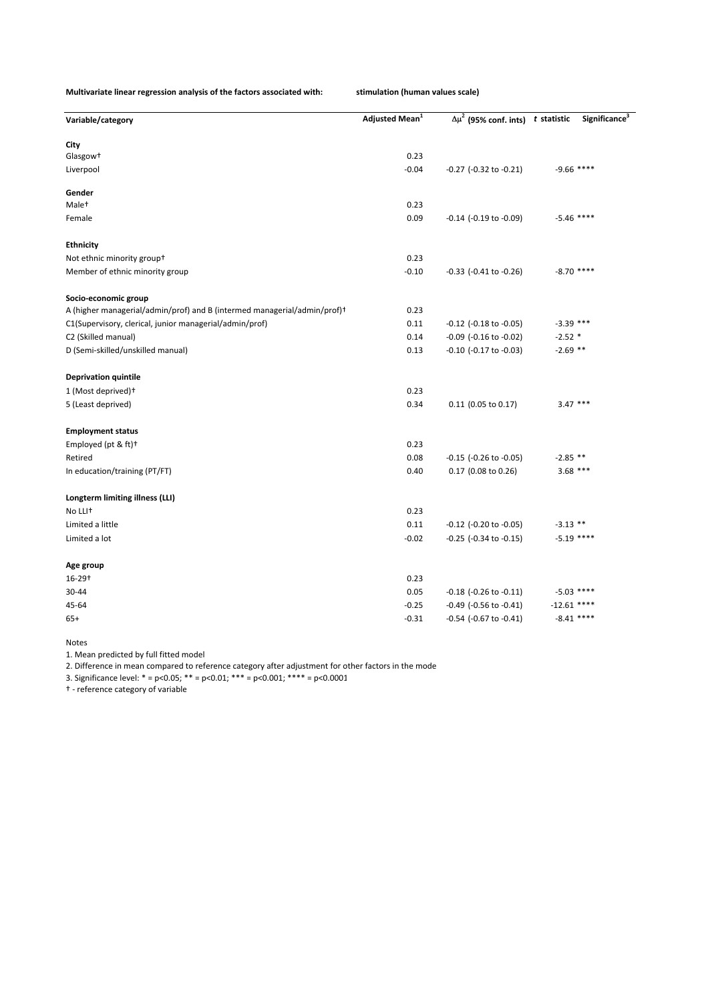**Multivariate linear regression analysis of the factors associated with: stimulation (human values scale)**

| Variable/category                                                        | Adjusted Mean <sup>1</sup> | $\Delta \mu^2$ (95% conf. ints) t statistic | <b>Significance</b> <sup>3</sup> |
|--------------------------------------------------------------------------|----------------------------|---------------------------------------------|----------------------------------|
| City                                                                     |                            |                                             |                                  |
| Glasgow <sup>+</sup>                                                     | 0.23                       |                                             |                                  |
| Liverpool                                                                | $-0.04$                    | $-0.27$ ( $-0.32$ to $-0.21$ )              | $-9.66$ ****                     |
| Gender                                                                   |                            |                                             |                                  |
| Male <sup>+</sup>                                                        | 0.23                       |                                             |                                  |
| Female                                                                   | 0.09                       | $-0.14$ ( $-0.19$ to $-0.09$ )              | $-5.46$ ****                     |
| <b>Ethnicity</b>                                                         |                            |                                             |                                  |
| Not ethnic minority group+                                               | 0.23                       |                                             |                                  |
| Member of ethnic minority group                                          | $-0.10$                    | $-0.33$ ( $-0.41$ to $-0.26$ )              | $-8.70$ ****                     |
| Socio-economic group                                                     |                            |                                             |                                  |
| A (higher managerial/admin/prof) and B (intermed managerial/admin/prof)1 | 0.23                       |                                             |                                  |
| C1(Supervisory, clerical, junior managerial/admin/prof)                  | 0.11                       | $-0.12$ ( $-0.18$ to $-0.05$ )              | $-3.39$ ***                      |
| C2 (Skilled manual)                                                      | 0.14                       | $-0.09$ ( $-0.16$ to $-0.02$ )              | $-2.52$ *                        |
| D (Semi-skilled/unskilled manual)                                        | 0.13                       | $-0.10$ ( $-0.17$ to $-0.03$ )              | $-2.69$ **                       |
| <b>Deprivation quintile</b>                                              |                            |                                             |                                  |
| 1 (Most deprived) <sup>+</sup>                                           | 0.23                       |                                             |                                  |
| 5 (Least deprived)                                                       | 0.34                       | $0.11$ (0.05 to 0.17)                       | $3.47***$                        |
| <b>Employment status</b>                                                 |                            |                                             |                                  |
| Employed (pt & $ft$ ) <sup>+</sup>                                       | 0.23                       |                                             |                                  |
| Retired                                                                  | 0.08                       | $-0.15$ ( $-0.26$ to $-0.05$ )              | $-2.85$ **                       |
| In education/training (PT/FT)                                            | 0.40                       | 0.17 (0.08 to 0.26)                         | $3.68$ ***                       |
| Longterm limiting illness (LLI)                                          |                            |                                             |                                  |
| No LLI <sup>+</sup>                                                      | 0.23                       |                                             |                                  |
| Limited a little                                                         | 0.11                       | $-0.12$ ( $-0.20$ to $-0.05$ )              | $-3.13$ **                       |
| Limited a lot                                                            | $-0.02$                    | $-0.25$ ( $-0.34$ to $-0.15$ )              | $-5.19$ ****                     |
| Age group                                                                |                            |                                             |                                  |
| $16 - 29$ <sup>+</sup>                                                   | 0.23                       |                                             |                                  |
| 30-44                                                                    | 0.05                       | $-0.18$ ( $-0.26$ to $-0.11$ )              | $-5.03$ ****                     |
| 45-64                                                                    | $-0.25$                    | -0.49 (-0.56 to -0.41)                      | $-12.61$ ****                    |
| $65+$                                                                    | $-0.31$                    | $-0.54$ ( $-0.67$ to $-0.41$ )              | $-8.41$ ****                     |

Notes

1. Mean predicted by full fitted model

2. Difference in mean compared to reference category after adjustment for other factors in the mode

3. Significance level: \* = p<0.05; \*\* = p<0.01; \*\*\* = p<0.001; \*\*\*\* = p<0.0001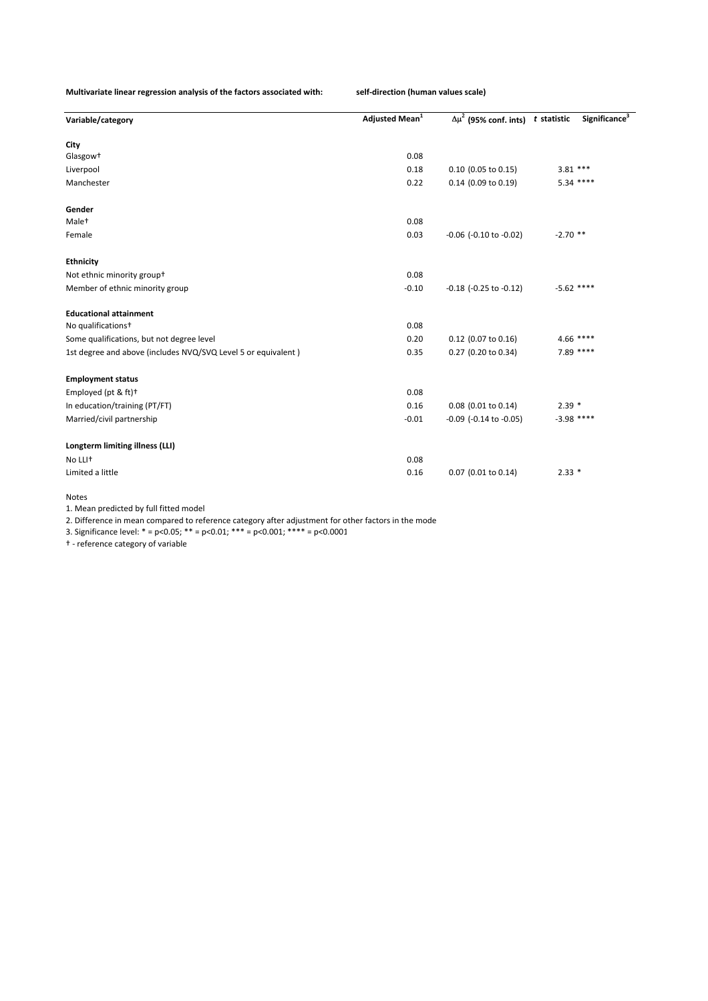**Multivariate linear regression analysis of the factors associated with: self‐direction (human values scale)**

| Variable/category                                             | Adjusted Mean <sup>1</sup> | $\overline{\Delta \mu}^2$ (95% conf. ints) t statistic | <b>Significance</b> <sup>3</sup> |
|---------------------------------------------------------------|----------------------------|--------------------------------------------------------|----------------------------------|
| City                                                          |                            |                                                        |                                  |
| Glasgow <sup>+</sup>                                          | 0.08                       |                                                        |                                  |
| Liverpool                                                     | 0.18                       | $0.10$ (0.05 to 0.15)                                  | $3.81***$                        |
| Manchester                                                    | 0.22                       | 0.14 (0.09 to 0.19)                                    | $5.34$ ****                      |
| Gender                                                        |                            |                                                        |                                  |
| Male <sup>+</sup>                                             | 0.08                       |                                                        |                                  |
| Female                                                        | 0.03                       | $-0.06$ ( $-0.10$ to $-0.02$ )                         | $-2.70$ **                       |
| <b>Ethnicity</b>                                              |                            |                                                        |                                  |
| Not ethnic minority group+                                    | 0.08                       |                                                        |                                  |
| Member of ethnic minority group                               | $-0.10$                    | $-0.18$ ( $-0.25$ to $-0.12$ )                         | $-5.62$ ****                     |
| <b>Educational attainment</b>                                 |                            |                                                        |                                  |
| No qualifications+                                            | 0.08                       |                                                        |                                  |
| Some qualifications, but not degree level                     | 0.20                       | 0.12 (0.07 to 0.16)                                    | $4.66$ ****                      |
| 1st degree and above (includes NVQ/SVQ Level 5 or equivalent) | 0.35                       | 0.27 (0.20 to 0.34)                                    | 7.89 ****                        |
| <b>Employment status</b>                                      |                            |                                                        |                                  |
| Employed (pt & ft)+                                           | 0.08                       |                                                        |                                  |
| In education/training (PT/FT)                                 | 0.16                       | 0.08 (0.01 to 0.14)                                    | $2.39*$                          |
| Married/civil partnership                                     | $-0.01$                    | $-0.09$ ( $-0.14$ to $-0.05$ )                         | $-3.98$ ****                     |
| Longterm limiting illness (LLI)                               |                            |                                                        |                                  |
| No LLI+                                                       | 0.08                       |                                                        |                                  |
| Limited a little                                              | 0.16                       | 0.07 (0.01 to 0.14)                                    | $2.33*$                          |

Notes

1. Mean predicted by full fitted model

2. Difference in mean compared to reference category after adjustment for other factors in the mode

3. Significance level: \* = p<0.05; \*\* = p<0.01; \*\*\* = p<0.001; \*\*\*\* = p<0.0001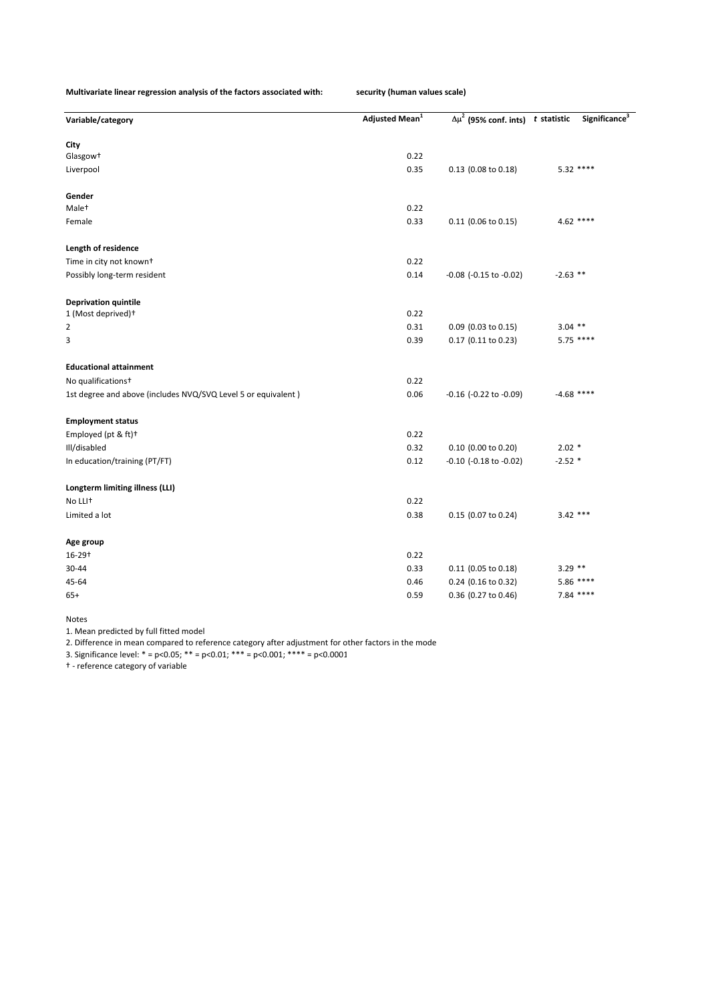**Multivariate linear regression analysis of the factors associated with: security (human values scale)**

| Variable/category                                             | Adjusted Mean <sup>1</sup> | $\overline{\Delta \mu^2}$ (95% conf. ints) t statistic | Significance <sup>3</sup> |
|---------------------------------------------------------------|----------------------------|--------------------------------------------------------|---------------------------|
| City                                                          |                            |                                                        |                           |
| Glasgow <sup>+</sup>                                          | 0.22                       |                                                        |                           |
| Liverpool                                                     | 0.35                       | $0.13$ (0.08 to 0.18)                                  | $5.32$ ****               |
| Gender                                                        |                            |                                                        |                           |
| Male <sup>+</sup>                                             | 0.22                       |                                                        |                           |
| Female                                                        | 0.33                       | $0.11$ (0.06 to 0.15)                                  | $4.62$ ****               |
| Length of residence                                           |                            |                                                        |                           |
| Time in city not known <sup>+</sup>                           | 0.22                       |                                                        |                           |
| Possibly long-term resident                                   | 0.14                       | $-0.08$ ( $-0.15$ to $-0.02$ )                         | $-2.63$ **                |
| <b>Deprivation quintile</b>                                   |                            |                                                        |                           |
| 1 (Most deprived) <sup>+</sup>                                | 0.22                       |                                                        |                           |
| 2                                                             | 0.31                       | 0.09 (0.03 to 0.15)                                    | $3.04$ **                 |
| 3                                                             | 0.39                       | 0.17 (0.11 to 0.23)                                    | 5.75 ****                 |
| <b>Educational attainment</b>                                 |                            |                                                        |                           |
| No qualifications <sup>+</sup>                                | 0.22                       |                                                        |                           |
| 1st degree and above (includes NVQ/SVQ Level 5 or equivalent) | 0.06                       | $-0.16$ ( $-0.22$ to $-0.09$ )                         | $-4.68$ ****              |
| <b>Employment status</b>                                      |                            |                                                        |                           |
| Employed (pt & ft)+                                           | 0.22                       |                                                        |                           |
| Ill/disabled                                                  | 0.32                       | $0.10$ (0.00 to 0.20)                                  | $2.02*$                   |
| In education/training (PT/FT)                                 | 0.12                       | $-0.10$ ( $-0.18$ to $-0.02$ )                         | $-2.52$ *                 |
| Longterm limiting illness (LLI)                               |                            |                                                        |                           |
| No LLI+                                                       | 0.22                       |                                                        |                           |
| Limited a lot                                                 | 0.38                       | 0.15 (0.07 to 0.24)                                    | $3.42$ ***                |
| Age group                                                     |                            |                                                        |                           |
| $16 - 29$ <sup>+</sup>                                        | 0.22                       |                                                        |                           |
| 30-44                                                         | 0.33                       | $0.11$ (0.05 to 0.18)                                  | $3.29**$                  |
| 45-64                                                         | 0.46                       | 0.24 (0.16 to 0.32)                                    | 5.86 ****                 |
| $65+$                                                         | 0.59                       | 0.36 (0.27 to 0.46)                                    | 7.84 ****                 |

### Notes

1. Mean predicted by full fitted model

2. Difference in mean compared to reference category after adjustment for other factors in the mode

3. Significance level: \* = p<0.05; \*\* = p<0.01; \*\*\* = p<0.001; \*\*\*\* = p<0.0001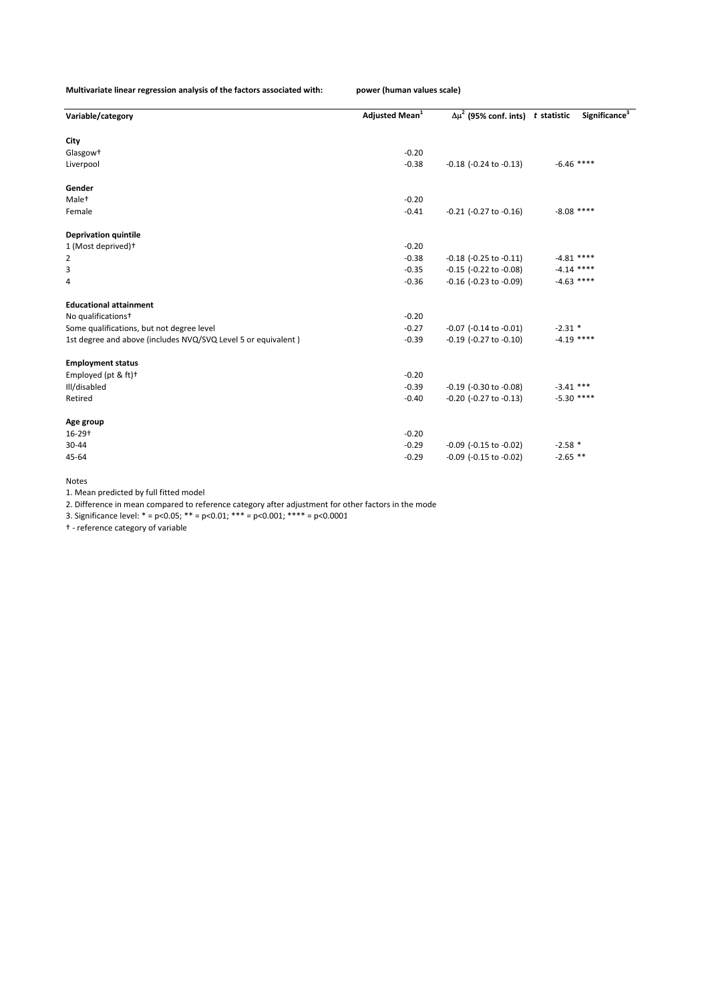**Multivariate linear regression analysis of the factors associated with: power (human values scale)**

| Variable/category                                             | Adjusted Mean <sup>1</sup> | $\Delta \mu^2$<br>$(95% \text{ conf. int})$ t statistic | Significance <sup>3</sup> |
|---------------------------------------------------------------|----------------------------|---------------------------------------------------------|---------------------------|
| City                                                          |                            |                                                         |                           |
| Glasgow <sup>+</sup>                                          | $-0.20$                    |                                                         |                           |
| Liverpool                                                     | $-0.38$                    | $-0.18$ ( $-0.24$ to $-0.13$ )                          | $-6.46$ ****              |
| Gender                                                        |                            |                                                         |                           |
| Male <sup>+</sup>                                             | $-0.20$                    |                                                         |                           |
| Female                                                        | $-0.41$                    | $-0.21$ ( $-0.27$ to $-0.16$ )                          | $-8.08$ ****              |
| <b>Deprivation quintile</b>                                   |                            |                                                         |                           |
| 1 (Most deprived) <sup>+</sup>                                | $-0.20$                    |                                                         |                           |
| 2                                                             | $-0.38$                    | $-0.18$ ( $-0.25$ to $-0.11$ )                          | $-4.81$ ****              |
| 3                                                             | $-0.35$                    | $-0.15$ ( $-0.22$ to $-0.08$ )                          | $-4.14$ ****              |
| 4                                                             | $-0.36$                    | $-0.16$ ( $-0.23$ to $-0.09$ )                          | $-4.63$ ****              |
| <b>Educational attainment</b>                                 |                            |                                                         |                           |
| No qualifications+                                            | $-0.20$                    |                                                         |                           |
| Some qualifications, but not degree level                     | $-0.27$                    | $-0.07$ ( $-0.14$ to $-0.01$ )                          | $-2.31$ *                 |
| 1st degree and above (includes NVQ/SVQ Level 5 or equivalent) | $-0.39$                    | $-0.19$ ( $-0.27$ to $-0.10$ )                          | $-4.19$ ****              |
| <b>Employment status</b>                                      |                            |                                                         |                           |
| Employed (pt & $ft$ ) <sup>+</sup>                            | $-0.20$                    |                                                         |                           |
| Ill/disabled                                                  | $-0.39$                    | $-0.19$ ( $-0.30$ to $-0.08$ )                          | $-3.41$ ***               |
| Retired                                                       | $-0.40$                    | $-0.20$ ( $-0.27$ to $-0.13$ )                          | $-5.30$ ****              |
| Age group                                                     |                            |                                                         |                           |
| $16 - 29$ <sup>+</sup>                                        | $-0.20$                    |                                                         |                           |
| 30-44                                                         | $-0.29$                    | $-0.09$ ( $-0.15$ to $-0.02$ )                          | $-2.58$ *                 |
| 45-64                                                         | $-0.29$                    | $-0.09$ ( $-0.15$ to $-0.02$ )                          | $-2.65$ **                |

Notes

1. Mean predicted by full fitted model

2. Difference in mean compared to reference category after adjustment for other factors in the mode

3. Significance level: \* = p<0.05; \*\* = p<0.01; \*\*\* = p<0.001; \*\*\*\* = p<0.0001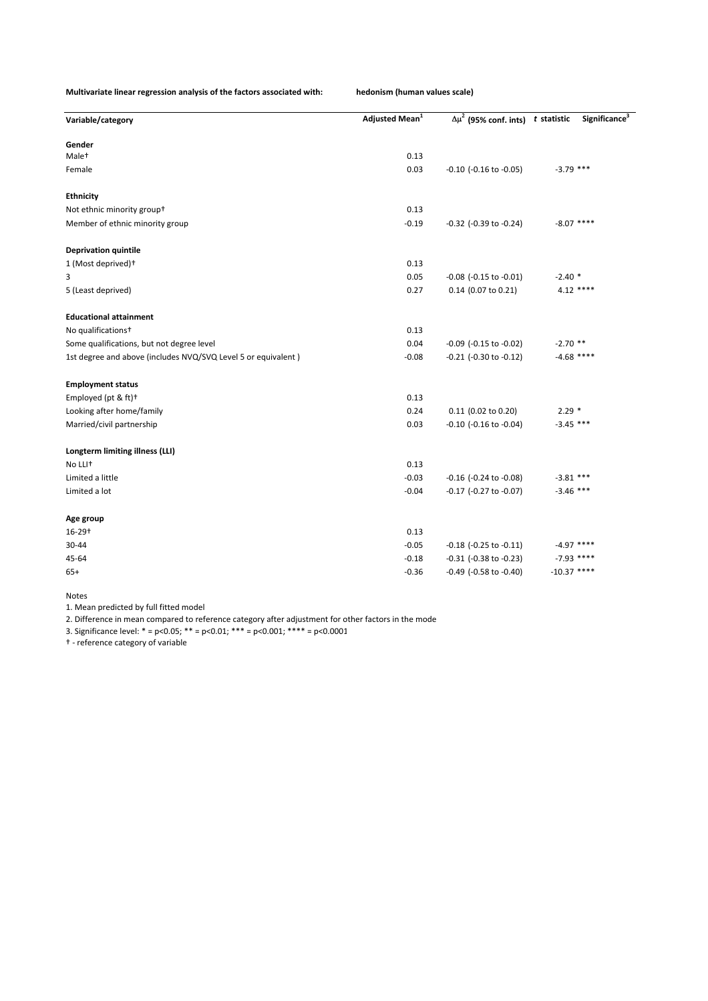**Multivariate linear regression analysis of the factors associated with: hedonism (human values scale)**

| Variable/category                                             | Adjusted Mean <sup>1</sup> | $\Delta \mu^2$ (95% conf. ints) t statistic | <b>Significance</b> <sup>3</sup> |
|---------------------------------------------------------------|----------------------------|---------------------------------------------|----------------------------------|
| Gender                                                        |                            |                                             |                                  |
| Male <sup>+</sup>                                             | 0.13                       |                                             |                                  |
| Female                                                        | 0.03                       | $-0.10$ ( $-0.16$ to $-0.05$ )              | $-3.79$ ***                      |
| <b>Ethnicity</b>                                              |                            |                                             |                                  |
| Not ethnic minority group+                                    | 0.13                       |                                             |                                  |
| Member of ethnic minority group                               | $-0.19$                    | -0.32 (-0.39 to -0.24)                      | $-8.07$ ****                     |
| <b>Deprivation quintile</b>                                   |                            |                                             |                                  |
| 1 (Most deprived) <sup>+</sup>                                | 0.13                       |                                             |                                  |
| 3                                                             | 0.05                       | $-0.08$ ( $-0.15$ to $-0.01$ )              | $-2.40*$                         |
| 5 (Least deprived)                                            | 0.27                       | 0.14 (0.07 to 0.21)                         | $4.12$ ****                      |
| <b>Educational attainment</b>                                 |                            |                                             |                                  |
| No qualifications <sup>+</sup>                                | 0.13                       |                                             |                                  |
| Some qualifications, but not degree level                     | 0.04                       | -0.09 (-0.15 to -0.02)                      | $-2.70$ **                       |
| 1st degree and above (includes NVQ/SVQ Level 5 or equivalent) | $-0.08$                    | $-0.21$ ( $-0.30$ to $-0.12$ )              | $-4.68$ ****                     |
| <b>Employment status</b>                                      |                            |                                             |                                  |
| Employed (pt & ft)+                                           | 0.13                       |                                             |                                  |
| Looking after home/family                                     | 0.24                       | 0.11 (0.02 to 0.20)                         | $2.29*$                          |
| Married/civil partnership                                     | 0.03                       | $-0.10$ ( $-0.16$ to $-0.04$ )              | $-3.45$ ***                      |
| Longterm limiting illness (LLI)                               |                            |                                             |                                  |
| No LLI+                                                       | 0.13                       |                                             |                                  |
| Limited a little                                              | $-0.03$                    | $-0.16$ ( $-0.24$ to $-0.08$ )              | $-3.81$ ***                      |
| Limited a lot                                                 | $-0.04$                    | $-0.17$ ( $-0.27$ to $-0.07$ )              | $-3.46$ ***                      |
| Age group                                                     |                            |                                             |                                  |
| $16 - 29$ <sup>+</sup>                                        | 0.13                       |                                             |                                  |
| 30-44                                                         | $-0.05$                    | $-0.18$ ( $-0.25$ to $-0.11$ )              | $-4.97$ ****                     |
| 45-64                                                         | $-0.18$                    | $-0.31$ ( $-0.38$ to $-0.23$ )              | $-7.93$ ****                     |
| $65+$                                                         | $-0.36$                    | $-0.49$ ( $-0.58$ to $-0.40$ )              | $-10.37$ ****                    |

Notes

1. Mean predicted by full fitted model

2. Difference in mean compared to reference category after adjustment for other factors in the mode

3. Significance level:  $* = p < 0.05$ ;  $* = p < 0.01$ ;  $* * * = p < 0.001$ ;  $* * * * = p < 0.0001$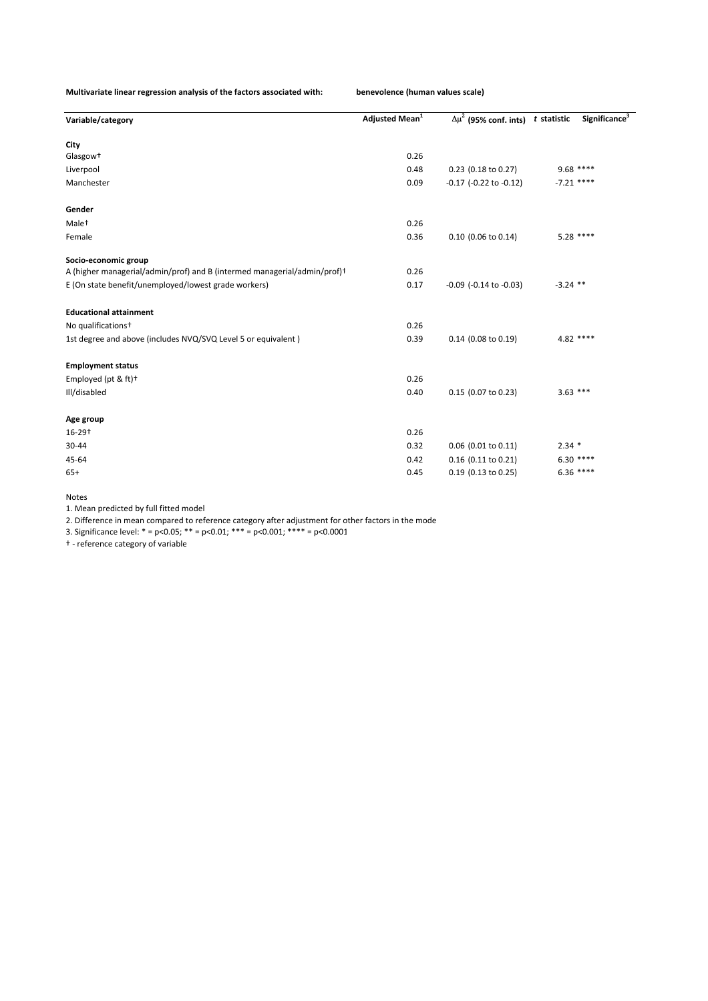**Multivariate linear regression analysis of the factors associated with: benevolence (human values scale)**

| Variable/category                                                        | Adjusted Mean <sup>1</sup> | $\overline{\Delta \mu^2}$ (95% conf. ints) t statistic |              | Significance <sup>3</sup> |
|--------------------------------------------------------------------------|----------------------------|--------------------------------------------------------|--------------|---------------------------|
| City                                                                     |                            |                                                        |              |                           |
| Glasgow <sup>+</sup>                                                     | 0.26                       |                                                        |              |                           |
| Liverpool                                                                | 0.48                       | 0.23 (0.18 to 0.27)                                    |              | $9.68$ ****               |
| Manchester                                                               | 0.09                       | $-0.17$ $(-0.22$ to $-0.12)$                           | $-7.21$ **** |                           |
| Gender                                                                   |                            |                                                        |              |                           |
| Male <sup>+</sup>                                                        | 0.26                       |                                                        |              |                           |
| Female                                                                   | 0.36                       | $0.10$ (0.06 to 0.14)                                  |              | $5.28$ ****               |
| Socio-economic group                                                     |                            |                                                        |              |                           |
| A (higher managerial/admin/prof) and B (intermed managerial/admin/prof)1 | 0.26                       |                                                        |              |                           |
| E (On state benefit/unemployed/lowest grade workers)                     | 0.17                       | $-0.09$ ( $-0.14$ to $-0.03$ )                         | $-3.24$ **   |                           |
| <b>Educational attainment</b>                                            |                            |                                                        |              |                           |
| No qualifications <sup>+</sup>                                           | 0.26                       |                                                        |              |                           |
| 1st degree and above (includes NVQ/SVQ Level 5 or equivalent)            | 0.39                       | 0.14 (0.08 to 0.19)                                    | 4.82 ****    |                           |
| <b>Employment status</b>                                                 |                            |                                                        |              |                           |
| Employed (pt & ft)+                                                      | 0.26                       |                                                        |              |                           |
| Ill/disabled                                                             | 0.40                       | 0.15 (0.07 to 0.23)                                    | $3.63$ ***   |                           |
| Age group                                                                |                            |                                                        |              |                           |
| $16 - 29$ <sup>+</sup>                                                   | 0.26                       |                                                        |              |                           |
| 30-44                                                                    | 0.32                       | 0.06 (0.01 to 0.11)                                    | $2.34*$      |                           |
| 45-64                                                                    | 0.42                       | 0.16 (0.11 to 0.21)                                    |              | $6.30***$                 |
| $65+$                                                                    | 0.45                       | 0.19 (0.13 to 0.25)                                    |              | $6.36$ ****               |

Notes

1. Mean predicted by full fitted model

2. Difference in mean compared to reference category after adjustment for other factors in the mode

3. Significance level: \* = p<0.05; \*\* = p<0.01; \*\*\* = p<0.001; \*\*\*\* = p<0.0001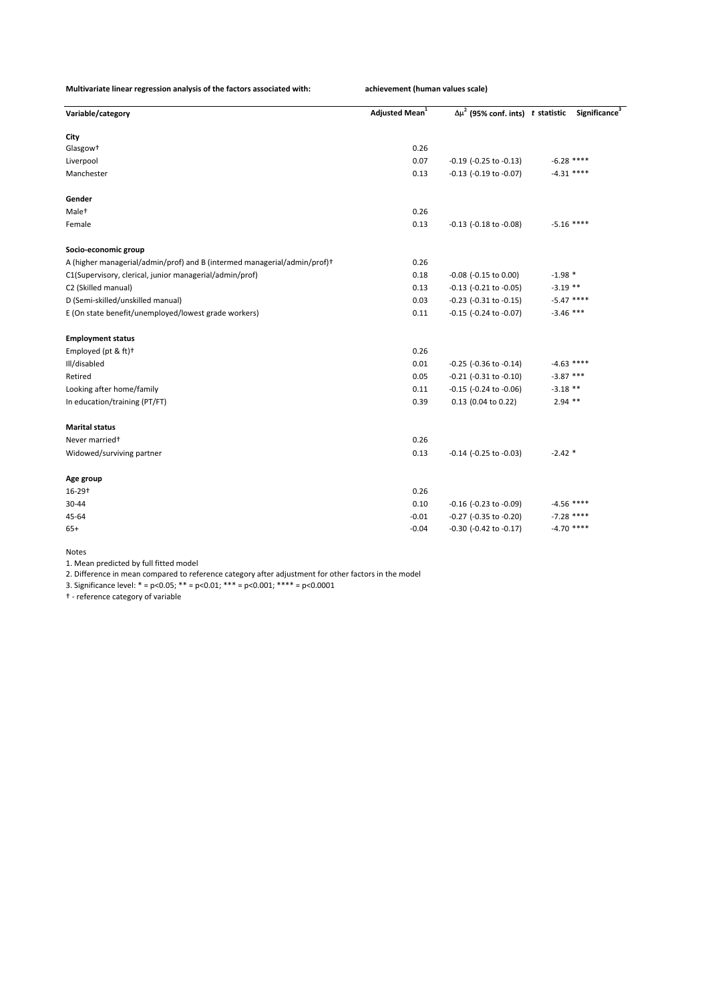**Multivariate linear regression analysis of the factors associated with: achievement (human values scale)**

| Variable/category                                                                    | Adjusted Mean <sup>1</sup> | $\Delta \mu^2$ (95% conf. ints) t statistic | <b>Significance</b> <sup>3</sup> |
|--------------------------------------------------------------------------------------|----------------------------|---------------------------------------------|----------------------------------|
| City                                                                                 |                            |                                             |                                  |
| Glasgow <sup>+</sup>                                                                 | 0.26                       |                                             |                                  |
| Liverpool                                                                            | 0.07                       | $-0.19$ ( $-0.25$ to $-0.13$ )              | $-6.28$ ****                     |
| Manchester                                                                           | 0.13                       | $-0.13$ ( $-0.19$ to $-0.07$ )              | $-4.31$ ****                     |
| Gender                                                                               |                            |                                             |                                  |
| Male <sup>+</sup>                                                                    | 0.26                       |                                             |                                  |
| Female                                                                               | 0.13                       | $-0.13$ ( $-0.18$ to $-0.08$ )              | $-5.16$ ****                     |
| Socio-economic group                                                                 |                            |                                             |                                  |
| A (higher managerial/admin/prof) and B (intermed managerial/admin/prof) <sup>+</sup> | 0.26                       |                                             |                                  |
| C1(Supervisory, clerical, junior managerial/admin/prof)                              | 0.18                       | $-0.08$ ( $-0.15$ to $0.00$ )               | $-1.98*$                         |
| C2 (Skilled manual)                                                                  | 0.13                       | $-0.13$ ( $-0.21$ to $-0.05$ )              | $-3.19$ **                       |
| D (Semi-skilled/unskilled manual)                                                    | 0.03                       | $-0.23$ ( $-0.31$ to $-0.15$ )              | $-5.47$ ****                     |
| E (On state benefit/unemployed/lowest grade workers)                                 | 0.11                       | $-0.15$ ( $-0.24$ to $-0.07$ )              | $-3.46$ ***                      |
| <b>Employment status</b>                                                             |                            |                                             |                                  |
| Employed (pt & ft)+                                                                  | 0.26                       |                                             |                                  |
| Ill/disabled                                                                         | 0.01                       | $-0.25$ ( $-0.36$ to $-0.14$ )              | $-4.63$ ****                     |
| Retired                                                                              | 0.05                       | $-0.21$ ( $-0.31$ to $-0.10$ )              | $-3.87$ ***                      |
| Looking after home/family                                                            | 0.11                       | $-0.15$ ( $-0.24$ to $-0.06$ )              | $-3.18$ **                       |
| In education/training (PT/FT)                                                        | 0.39                       | 0.13 (0.04 to 0.22)                         | $2.94$ **                        |
| <b>Marital status</b>                                                                |                            |                                             |                                  |
| Never married <sup>+</sup>                                                           | 0.26                       |                                             |                                  |
| Widowed/surviving partner                                                            | 0.13                       | $-0.14$ ( $-0.25$ to $-0.03$ )              | $-2.42$ *                        |
| Age group                                                                            |                            |                                             |                                  |
| 16-29†                                                                               | 0.26                       |                                             |                                  |
| 30-44                                                                                | 0.10                       | $-0.16$ ( $-0.23$ to $-0.09$ )              | $-4.56$ ****                     |
| 45-64                                                                                | $-0.01$                    | -0.27 (-0.35 to -0.20)                      | $-7.28$ ****                     |
| $65+$                                                                                | $-0.04$                    | $-0.30$ ( $-0.42$ to $-0.17$ )              | $-4.70$ ****                     |

Notes

1. Mean predicted by full fitted model

2. Difference in mean compared to reference category after adjustment for other factors in the model

3. Significance level: \* = p<0.05; \*\* = p<0.01; \*\*\* = p<0.001; \*\*\*\* = p<0.0001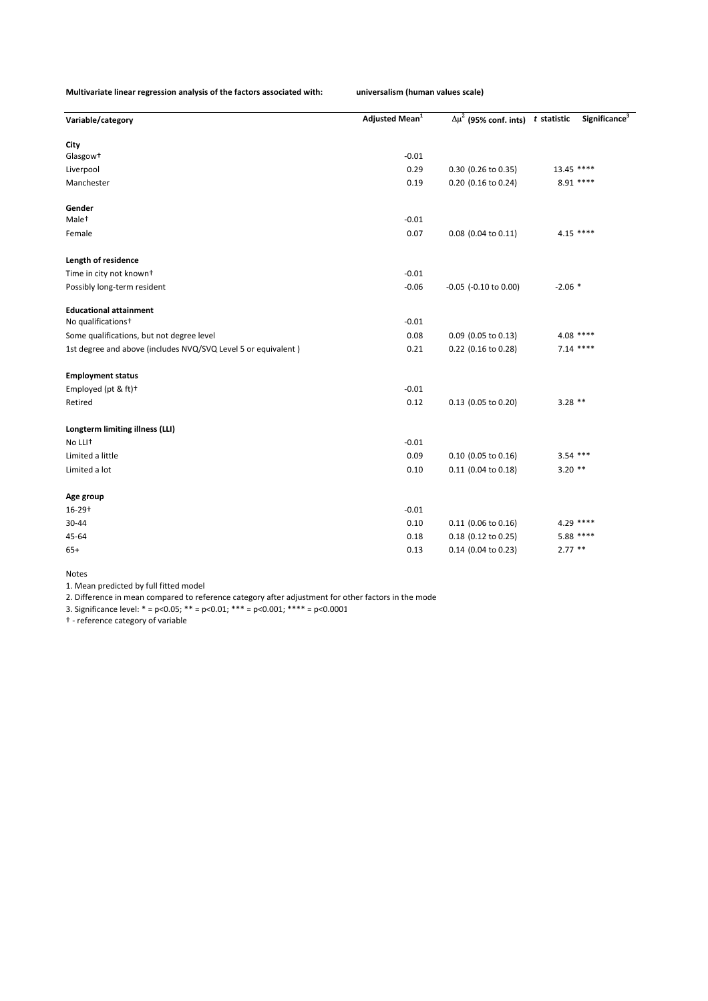**Multivariate linear regression analysis of the factors associated with: universalism (human values scale)**

| Variable/category                                             | Adjusted Mean <sup>1</sup> | $\overline{\Delta \mu}^2$ (95% conf. ints) t statistic | Significance <sup>3</sup> |
|---------------------------------------------------------------|----------------------------|--------------------------------------------------------|---------------------------|
| City                                                          |                            |                                                        |                           |
| Glasgow <sup>+</sup>                                          | $-0.01$                    |                                                        |                           |
| Liverpool                                                     | 0.29                       | 0.30 (0.26 to 0.35)                                    | 13.45 ****                |
| Manchester                                                    | 0.19                       | 0.20 (0.16 to 0.24)                                    | $8.91***$                 |
| Gender                                                        |                            |                                                        |                           |
| Male <sup>+</sup>                                             | $-0.01$                    |                                                        |                           |
| Female                                                        | 0.07                       | 0.08 (0.04 to 0.11)                                    | $4.15***$                 |
| Length of residence                                           |                            |                                                        |                           |
| Time in city not known+                                       | $-0.01$                    |                                                        |                           |
| Possibly long-term resident                                   | $-0.06$                    | $-0.05$ ( $-0.10$ to $0.00$ )                          | $-2.06*$                  |
| <b>Educational attainment</b>                                 |                            |                                                        |                           |
| No qualifications <sup>+</sup>                                | $-0.01$                    |                                                        |                           |
| Some qualifications, but not degree level                     | 0.08                       | 0.09 (0.05 to 0.13)                                    | 4.08 ****                 |
| 1st degree and above (includes NVQ/SVQ Level 5 or equivalent) | 0.21                       | 0.22 (0.16 to 0.28)                                    | $7.14$ ****               |
| <b>Employment status</b>                                      |                            |                                                        |                           |
| Employed (pt & ft)+                                           | $-0.01$                    |                                                        |                           |
| Retired                                                       | 0.12                       | 0.13 (0.05 to 0.20)                                    | $3.28$ **                 |
| Longterm limiting illness (LLI)                               |                            |                                                        |                           |
| No LLI <sup>+</sup>                                           | $-0.01$                    |                                                        |                           |
| Limited a little                                              | 0.09                       | $0.10$ (0.05 to 0.16)                                  | $3.54$ ***                |
| Limited a lot                                                 | 0.10                       | $0.11$ (0.04 to 0.18)                                  | $3.20**$                  |
| Age group                                                     |                            |                                                        |                           |
| $16 - 29$ <sup>+</sup>                                        | $-0.01$                    |                                                        |                           |
| 30-44                                                         | 0.10                       | $0.11$ (0.06 to 0.16)                                  | 4.29 ****                 |
| 45-64                                                         | 0.18                       | 0.18 (0.12 to 0.25)                                    | 5.88 ****                 |
| $65+$                                                         | 0.13                       | 0.14 (0.04 to 0.23)                                    | $2.77$ **                 |

Notes

1. Mean predicted by full fitted model

2. Difference in mean compared to reference category after adjustment for other factors in the mode

3. Significance level:  $* = p < 0.05$ ;  $** = p < 0.01$ ;  $*** = p < 0.001$ ;  $*** = p < 0.0001$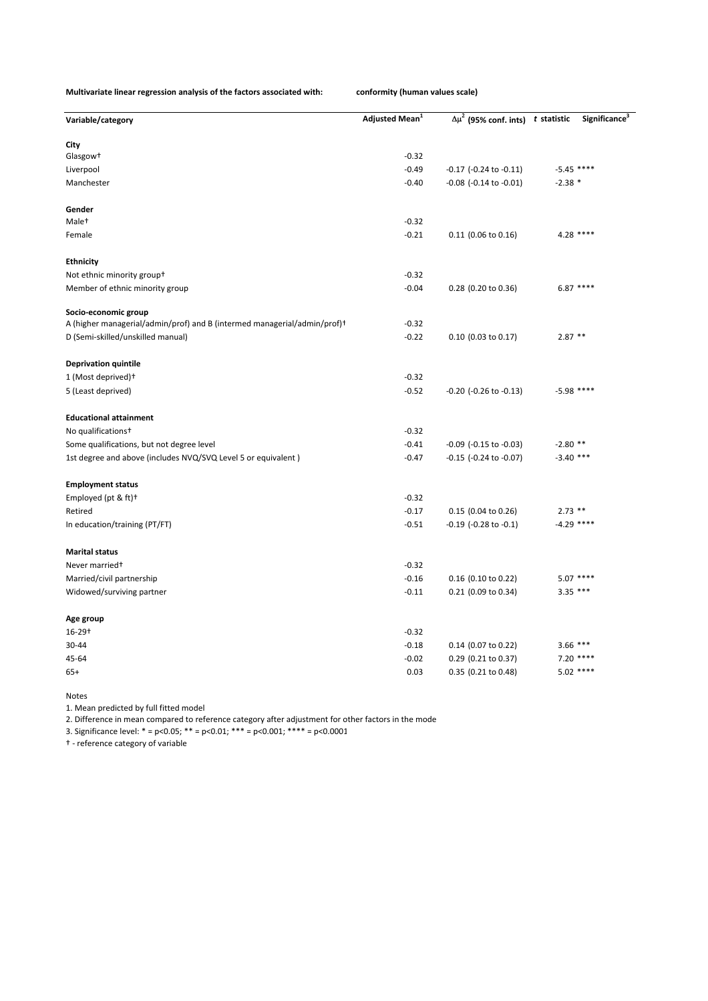**Multivariate linear regression analysis of the factors associated with: conformity (human values scale)**

| Variable/category                                                        | Adjusted Mean <sup>1</sup> | $\Delta \mu^2$ (95% conf. ints) t statistic |              | Significance <sup>3</sup> |
|--------------------------------------------------------------------------|----------------------------|---------------------------------------------|--------------|---------------------------|
| City                                                                     |                            |                                             |              |                           |
| Glasgow <sup>+</sup>                                                     | $-0.32$                    |                                             |              |                           |
| Liverpool                                                                | $-0.49$                    | $-0.17$ ( $-0.24$ to $-0.11$ )              | $-5.45$ **** |                           |
| Manchester                                                               | $-0.40$                    | $-0.08$ ( $-0.14$ to $-0.01$ )              | $-2.38*$     |                           |
| Gender                                                                   |                            |                                             |              |                           |
| Male <sup>+</sup>                                                        | $-0.32$                    |                                             |              |                           |
| Female                                                                   | $-0.21$                    | 0.11 (0.06 to 0.16)                         |              | 4.28 ****                 |
| <b>Ethnicity</b>                                                         |                            |                                             |              |                           |
| Not ethnic minority group+                                               | $-0.32$                    |                                             |              |                           |
| Member of ethnic minority group                                          | $-0.04$                    | 0.28 (0.20 to 0.36)                         |              | $6.87***$                 |
| Socio-economic group                                                     |                            |                                             |              |                           |
| A (higher managerial/admin/prof) and B (intermed managerial/admin/prof)1 | $-0.32$                    |                                             |              |                           |
| D (Semi-skilled/unskilled manual)                                        | $-0.22$                    | $0.10$ (0.03 to 0.17)                       | $2.87**$     |                           |
| <b>Deprivation quintile</b>                                              |                            |                                             |              |                           |
| 1 (Most deprived) <sup>+</sup>                                           | $-0.32$                    |                                             |              |                           |
| 5 (Least deprived)                                                       | $-0.52$                    | $-0.20$ ( $-0.26$ to $-0.13$ )              | $-5.98$ **** |                           |
| <b>Educational attainment</b>                                            |                            |                                             |              |                           |
| No qualifications <sup>+</sup>                                           | $-0.32$                    |                                             |              |                           |
| Some qualifications, but not degree level                                | $-0.41$                    | $-0.09$ ( $-0.15$ to $-0.03$ )              | $-2.80$ **   |                           |
| 1st degree and above (includes NVQ/SVQ Level 5 or equivalent)            | $-0.47$                    | $-0.15$ ( $-0.24$ to $-0.07$ )              | $-3.40$ ***  |                           |
| <b>Employment status</b>                                                 |                            |                                             |              |                           |
| Employed (pt & ft)+                                                      | $-0.32$                    |                                             |              |                           |
| Retired                                                                  | $-0.17$                    | 0.15 (0.04 to 0.26)                         | $2.73$ **    |                           |
| In education/training (PT/FT)                                            | $-0.51$                    | $-0.19$ ( $-0.28$ to $-0.1$ )               | $-4.29$ **** |                           |
| <b>Marital status</b>                                                    |                            |                                             |              |                           |
| Never married <sup>+</sup>                                               | $-0.32$                    |                                             |              |                           |
| Married/civil partnership                                                | $-0.16$                    | 0.16 (0.10 to 0.22)                         |              | $5.07$ ****               |
| Widowed/surviving partner                                                | $-0.11$                    | 0.21 (0.09 to 0.34)                         | $3.35***$    |                           |
| Age group                                                                |                            |                                             |              |                           |
| $16 - 29$ <sup>+</sup>                                                   | $-0.32$                    |                                             |              |                           |
| 30-44                                                                    | $-0.18$                    | 0.14 (0.07 to 0.22)                         | $3.66$ ***   |                           |
| 45-64                                                                    | $-0.02$                    | 0.29 (0.21 to 0.37)                         |              | 7.20 ****                 |
| $65+$                                                                    | 0.03                       | 0.35 (0.21 to 0.48)                         |              | 5.02 ****                 |
|                                                                          |                            |                                             |              |                           |

Notes

1. Mean predicted by full fitted model

2. Difference in mean compared to reference category after adjustment for other factors in the mode

3. Significance level: \* = p<0.05; \*\* = p<0.01; \*\*\* = p<0.001; \*\*\*\* = p<0.0001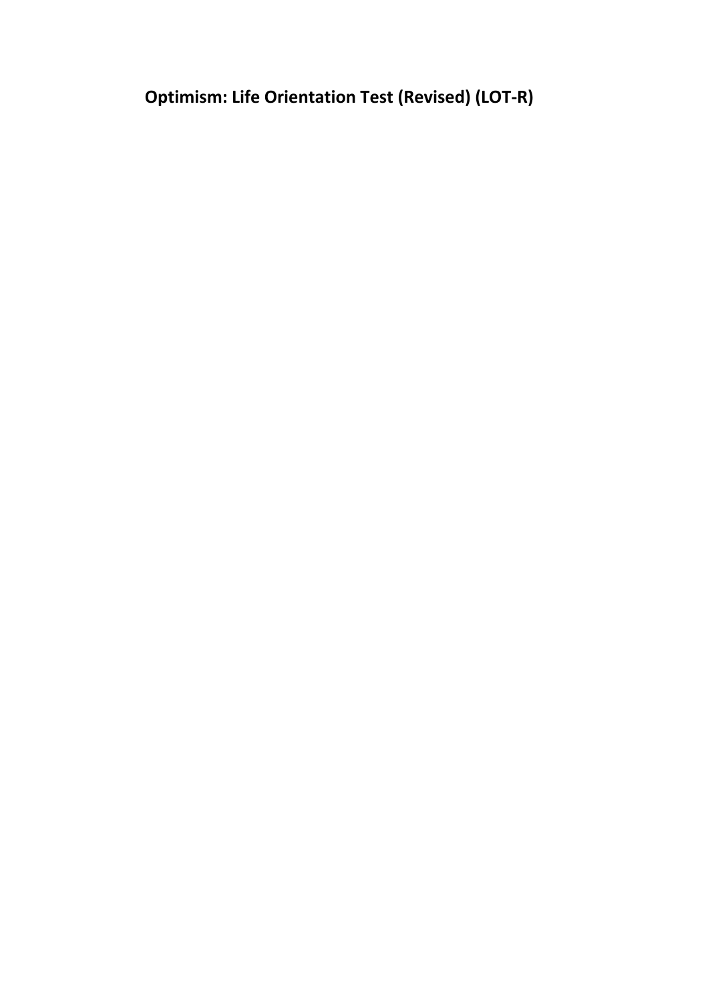**Optimism: Life Orientation Test (Revised) (LOT‐R)**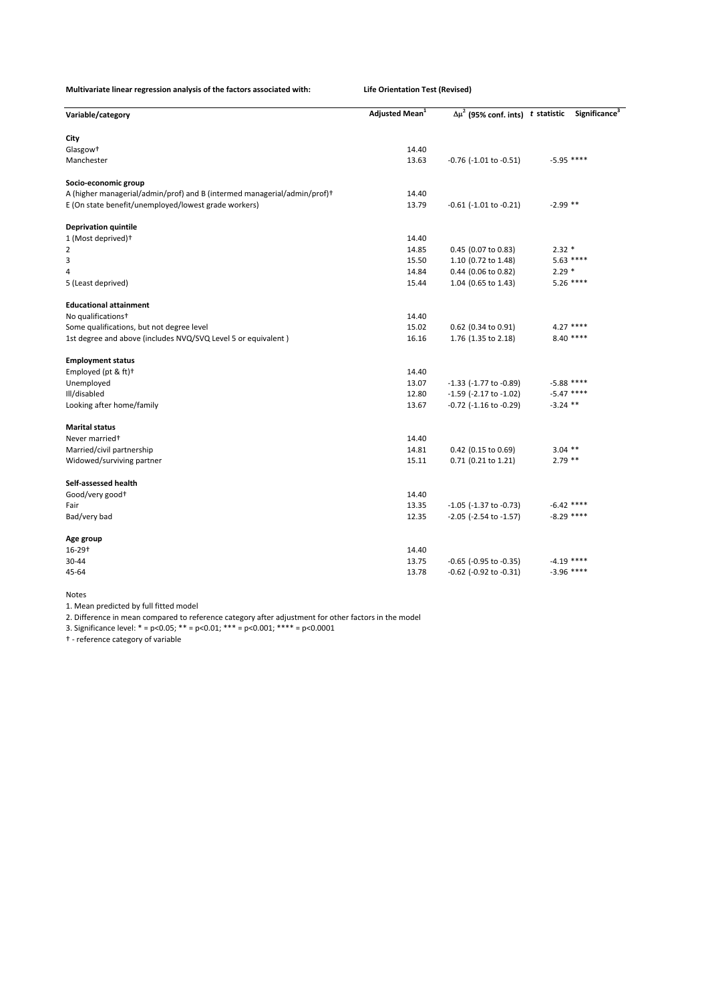**Multivariate linear regression analysis of the factors associated with: Life Orientation Test (Revised)**

| Variable/category                                                                    | Adjusted Mean <sup>1</sup> | $\sqrt{\Delta \mu^2}$ (95% conf. ints) t statistic | Significance |  |
|--------------------------------------------------------------------------------------|----------------------------|----------------------------------------------------|--------------|--|
| City                                                                                 |                            |                                                    |              |  |
| Glasgow <sup>+</sup>                                                                 | 14.40                      |                                                    |              |  |
| Manchester                                                                           | 13.63                      | -0.76 (-1.01 to -0.51)                             | $-5.95$ **** |  |
| Socio-economic group                                                                 |                            |                                                    |              |  |
| A (higher managerial/admin/prof) and B (intermed managerial/admin/prof) <sup>+</sup> | 14.40                      |                                                    |              |  |
| E (On state benefit/unemployed/lowest grade workers)                                 | 13.79                      | $-0.61$ ( $-1.01$ to $-0.21$ )                     | $-2.99$ **   |  |
| <b>Deprivation quintile</b>                                                          |                            |                                                    |              |  |
| 1 (Most deprived) <sup>+</sup>                                                       | 14.40                      |                                                    |              |  |
| 2                                                                                    | 14.85                      | 0.45 (0.07 to 0.83)                                | $2.32*$      |  |
| 3                                                                                    | 15.50                      | 1.10 (0.72 to 1.48)                                | $5.63$ ****  |  |
| 4                                                                                    | 14.84                      | 0.44 (0.06 to 0.82)                                | $2.29*$      |  |
| 5 (Least deprived)                                                                   | 15.44                      | 1.04 (0.65 to 1.43)                                | 5.26 ****    |  |
| <b>Educational attainment</b>                                                        |                            |                                                    |              |  |
| No qualifications <sup>+</sup>                                                       | 14.40                      |                                                    |              |  |
| Some qualifications, but not degree level                                            | 15.02                      | 0.62 (0.34 to 0.91)                                | 4.27 ****    |  |
| 1st degree and above (includes NVQ/SVQ Level 5 or equivalent)                        | 16.16                      | 1.76 (1.35 to 2.18)                                | $8.40***$    |  |
| <b>Employment status</b>                                                             |                            |                                                    |              |  |
| Employed (pt & ft)+                                                                  | 14.40                      |                                                    |              |  |
| Unemployed                                                                           | 13.07                      | -1.33 (-1.77 to -0.89)                             | $-5.88$ **** |  |
| Ill/disabled                                                                         | 12.80                      | -1.59 (-2.17 to -1.02)                             | $-5.47$ **** |  |
| Looking after home/family                                                            | 13.67                      | -0.72 (-1.16 to -0.29)                             | $-3.24$ **   |  |
| <b>Marital status</b>                                                                |                            |                                                    |              |  |
| Never married <sup>+</sup>                                                           | 14.40                      |                                                    |              |  |
| Married/civil partnership                                                            | 14.81                      | 0.42 (0.15 to 0.69)                                | $3.04$ **    |  |
| Widowed/surviving partner                                                            | 15.11                      | 0.71 (0.21 to 1.21)                                | $2.79$ **    |  |
| Self-assessed health                                                                 |                            |                                                    |              |  |
| Good/very good+                                                                      | 14.40                      |                                                    |              |  |
| Fair                                                                                 | 13.35                      | $-1.05$ ( $-1.37$ to $-0.73$ )                     | $-6.42$ **** |  |
| Bad/very bad                                                                         | 12.35                      | $-2.05$ ( $-2.54$ to $-1.57$ )                     | $-8.29$ **** |  |
| Age group                                                                            |                            |                                                    |              |  |
| $16 - 29$ <sup>+</sup>                                                               | 14.40                      |                                                    |              |  |
| 30-44                                                                                | 13.75                      | $-0.65$ ( $-0.95$ to $-0.35$ )                     | $-4.19$ **** |  |
| 45-64                                                                                | 13.78                      | -0.62 (-0.92 to -0.31)                             | $-3.96$ **** |  |

Notes

1. Mean predicted by full fitted model

2. Difference in mean compared to reference category after adjustment for other factors in the model

3. Significance level: \* = p<0.05; \*\* = p<0.01; \*\*\* = p<0.001; \*\*\*\* = p<0.0001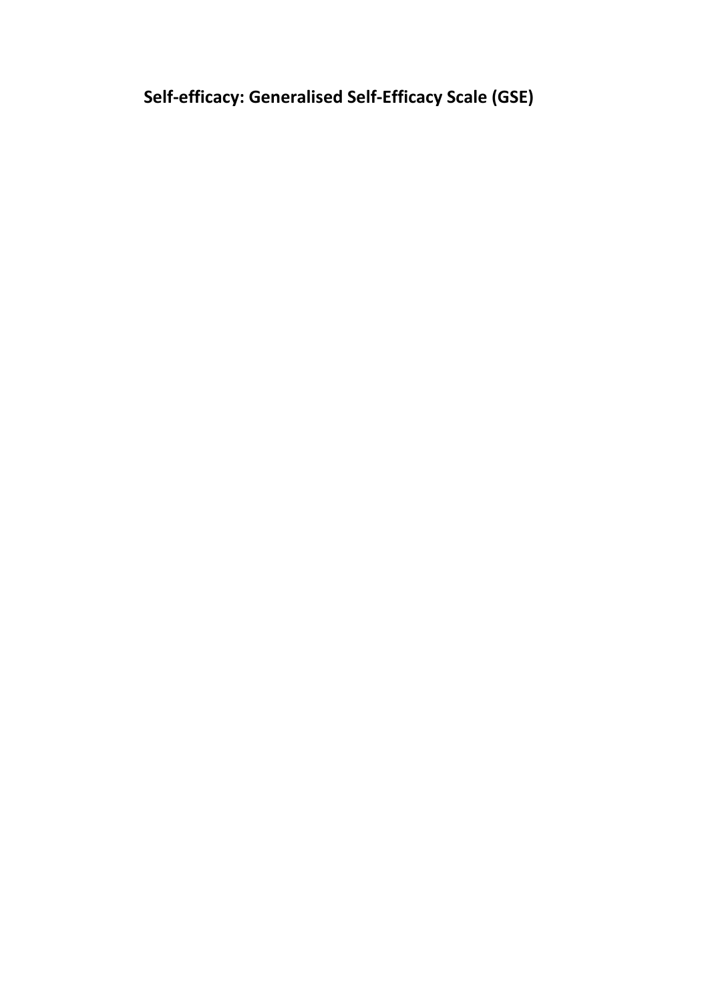**Self‐efficacy: Generalised Self‐Efficacy Scale (GSE)**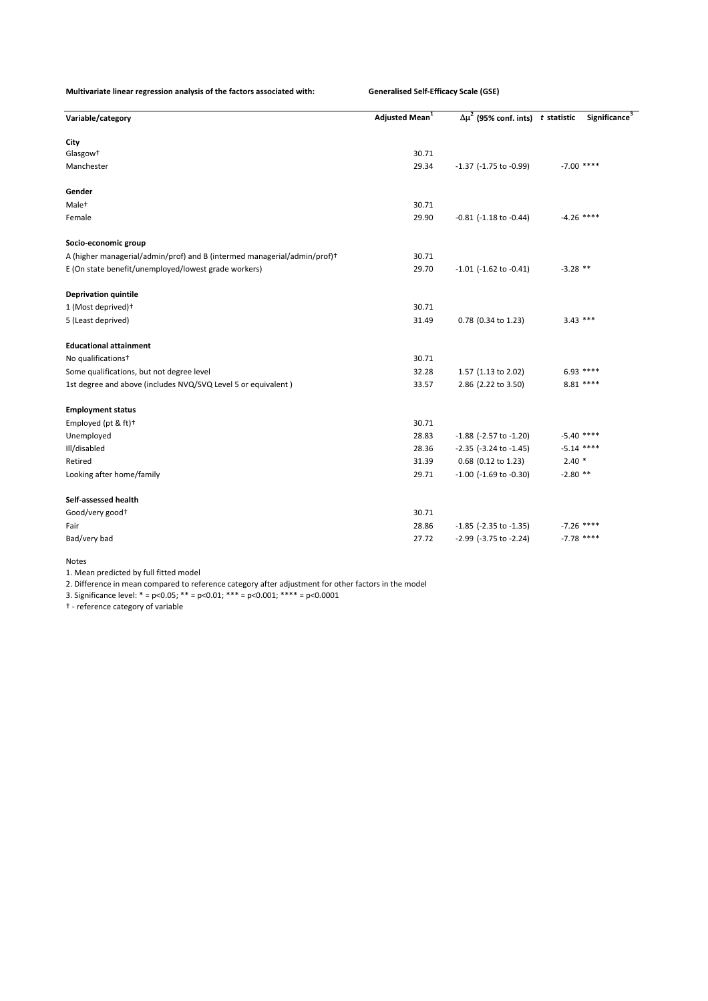**Multivariate linear regression analysis of the factors associated with: Generalised Self‐Efficacy Scale (GSE)**

| Variable/category                                                        | Adjusted Mean <sup>1</sup> | $\Delta \mu^2$ (95% conf. ints) t statistic | Significance <sup>3</sup> |
|--------------------------------------------------------------------------|----------------------------|---------------------------------------------|---------------------------|
| City                                                                     |                            |                                             |                           |
| Glasgow <sup>+</sup>                                                     | 30.71                      |                                             |                           |
| Manchester                                                               | 29.34                      | $-1.37$ ( $-1.75$ to $-0.99$ )              | $-7.00$ ****              |
| Gender                                                                   |                            |                                             |                           |
| Male <sup>+</sup>                                                        | 30.71                      |                                             |                           |
| Female                                                                   | 29.90                      | $-0.81$ ( $-1.18$ to $-0.44$ )              | $-4.26$ ****              |
| Socio-economic group                                                     |                            |                                             |                           |
| A (higher managerial/admin/prof) and B (intermed managerial/admin/prof)+ | 30.71                      |                                             |                           |
| E (On state benefit/unemployed/lowest grade workers)                     | 29.70                      | $-1.01$ ( $-1.62$ to $-0.41$ )              | $-3.28$ **                |
| <b>Deprivation quintile</b>                                              |                            |                                             |                           |
| 1 (Most deprived) <sup>+</sup>                                           | 30.71                      |                                             |                           |
| 5 (Least deprived)                                                       | 31.49                      | 0.78 (0.34 to 1.23)                         | $3.43$ ***                |
| <b>Educational attainment</b>                                            |                            |                                             |                           |
| No qualifications <sup>+</sup>                                           | 30.71                      |                                             |                           |
| Some qualifications, but not degree level                                | 32.28                      | 1.57 (1.13 to 2.02)                         | $6.93***$                 |
| 1st degree and above (includes NVQ/SVQ Level 5 or equivalent)            | 33.57                      | 2.86 (2.22 to 3.50)                         | $8.81***$                 |
| <b>Employment status</b>                                                 |                            |                                             |                           |
| Employed (pt & ft)+                                                      | 30.71                      |                                             |                           |
| Unemployed                                                               | 28.83                      | $-1.88$ (-2.57 to $-1.20$ )                 | $-5.40$ ****              |
| Ill/disabled                                                             | 28.36                      | $-2.35$ ( $-3.24$ to $-1.45$ )              | $-5.14$ ****              |
| Retired                                                                  | 31.39                      | 0.68 (0.12 to 1.23)                         | $2.40*$                   |
| Looking after home/family                                                | 29.71                      | $-1.00$ ( $-1.69$ to $-0.30$ )              | $-2.80$ **                |
| Self-assessed health                                                     |                            |                                             |                           |
| Good/very good+                                                          | 30.71                      |                                             |                           |
| Fair                                                                     | 28.86                      | $-1.85$ ( $-2.35$ to $-1.35$ )              | $-7.26$ ****              |
| Bad/very bad                                                             | 27.72                      | -2.99 (-3.75 to -2.24)                      | $-7.78$ ****              |

Notes

1. Mean predicted by full fitted model

2. Difference in mean compared to reference category after adjustment for other factors in the model

3. Significance level: \* = p<0.05; \*\* = p<0.01; \*\*\* = p<0.001; \*\*\*\* = p<0.0001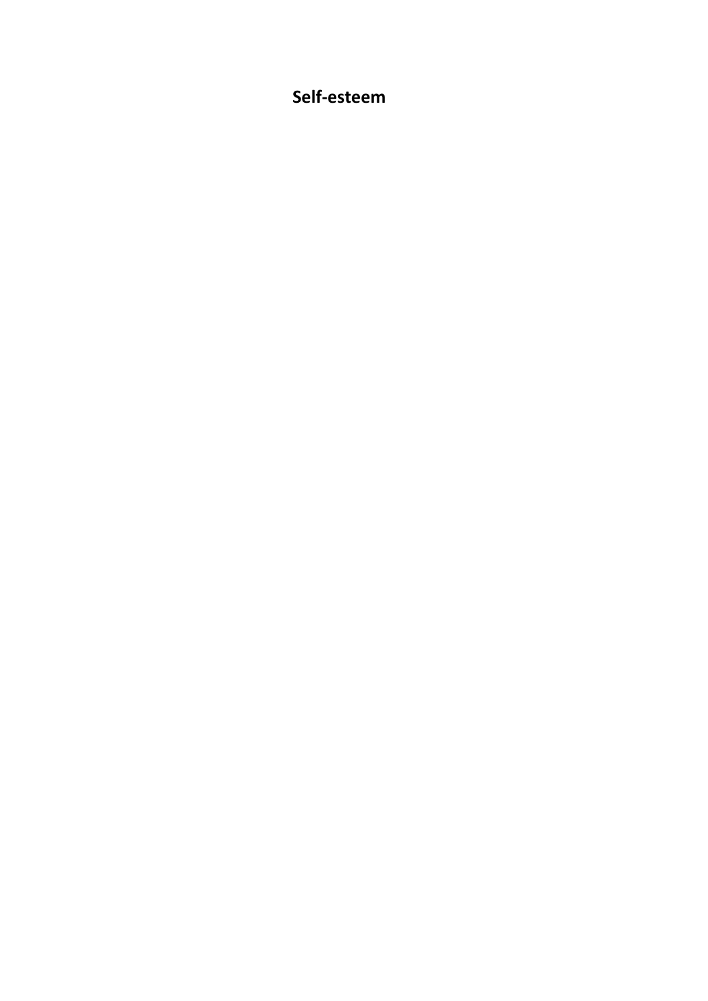**Self‐esteem**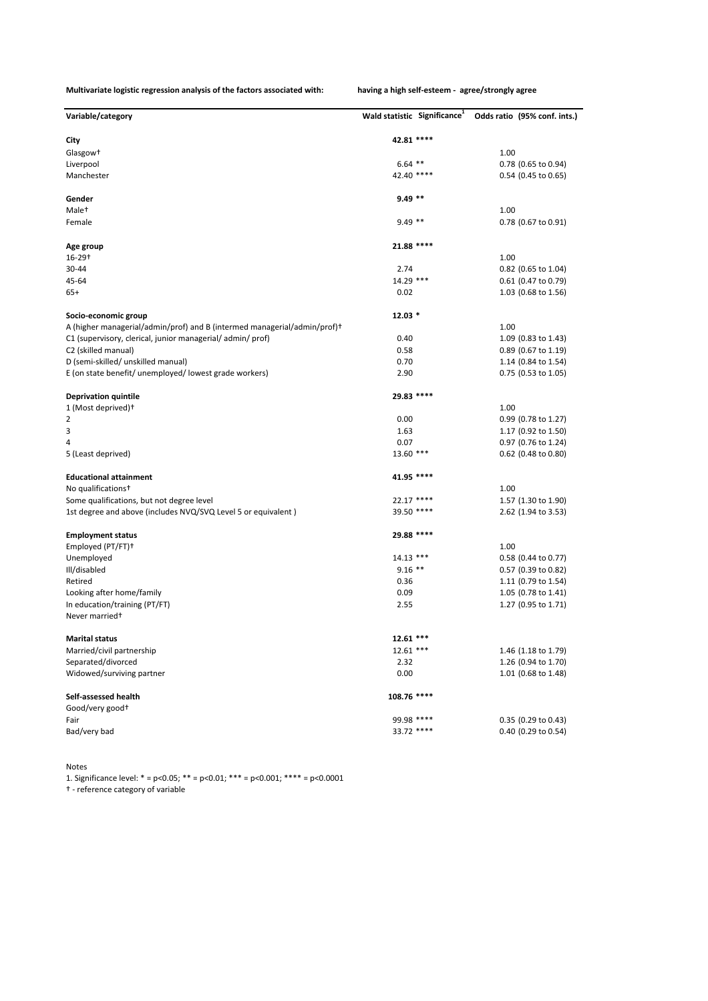Multivariate logistic regression analysis of the factors associated with: having a high self-esteem - agree/strongly agree

| Variable/category                                                        | Wald statistic Significance <sup>1</sup> | Odds ratio (95% conf. ints.) |
|--------------------------------------------------------------------------|------------------------------------------|------------------------------|
| City                                                                     | 42.81 ****                               |                              |
| Glasgow <sup>+</sup>                                                     |                                          | 1.00                         |
| Liverpool                                                                | $6.64$ **                                | 0.78 (0.65 to 0.94)          |
| Manchester                                                               | 42.40 ****                               | 0.54 (0.45 to 0.65)          |
|                                                                          |                                          |                              |
| Gender<br>Male <sup>+</sup>                                              | $9.49**$                                 | 1.00                         |
| Female                                                                   | $9.49$ **                                | 0.78 (0.67 to 0.91)          |
|                                                                          |                                          |                              |
| Age group                                                                | 21.88 ****                               |                              |
| $16 - 29$ <sup>+</sup>                                                   |                                          | 1.00                         |
| 30-44                                                                    | 2.74                                     | 0.82 (0.65 to 1.04)          |
| 45-64                                                                    | 14.29 ***                                | 0.61 (0.47 to 0.79)          |
| $65+$                                                                    | 0.02                                     | 1.03 (0.68 to 1.56)          |
| Socio-economic group                                                     | $12.03*$                                 |                              |
| A (higher managerial/admin/prof) and B (intermed managerial/admin/prof)+ |                                          | 1.00                         |
| C1 (supervisory, clerical, junior managerial/admin/prof)                 | 0.40                                     | 1.09 (0.83 to 1.43)          |
| C2 (skilled manual)                                                      | 0.58                                     | 0.89 (0.67 to 1.19)          |
| D (semi-skilled/ unskilled manual)                                       | 0.70                                     | 1.14 (0.84 to 1.54)          |
| E (on state benefit/ unemployed/ lowest grade workers)                   | 2.90                                     | 0.75 (0.53 to 1.05)          |
|                                                                          |                                          |                              |
| <b>Deprivation quintile</b>                                              | 29.83 ****                               |                              |
| 1 (Most deprived) <sup>+</sup>                                           |                                          | 1.00                         |
| 2                                                                        | 0.00                                     | 0.99 (0.78 to 1.27)          |
| 3                                                                        | 1.63                                     | 1.17 (0.92 to 1.50)          |
| 4                                                                        | 0.07                                     | 0.97 (0.76 to 1.24)          |
| 5 (Least deprived)                                                       | 13.60 ***                                | 0.62 (0.48 to 0.80)          |
| <b>Educational attainment</b>                                            | 41.95 ****                               |                              |
| No qualifications <sup>+</sup>                                           |                                          | 1.00                         |
| Some qualifications, but not degree level                                | $22.17$ ****                             | 1.57 (1.30 to 1.90)          |
| 1st degree and above (includes NVQ/SVQ Level 5 or equivalent)            | 39.50 ****                               | 2.62 (1.94 to 3.53)          |
|                                                                          |                                          |                              |
| <b>Employment status</b>                                                 | 29.88 ****                               |                              |
| Employed (PT/FT)+                                                        |                                          | 1.00                         |
| Unemployed                                                               | 14.13 ***                                | 0.58 (0.44 to 0.77)          |
| Ill/disabled                                                             | $9.16$ **                                | 0.57 (0.39 to 0.82)          |
| Retired                                                                  | 0.36                                     | 1.11 (0.79 to 1.54)          |
| Looking after home/family                                                | 0.09                                     | 1.05 (0.78 to 1.41)          |
| In education/training (PT/FT)<br>Never married <sup>+</sup>              | 2.55                                     | 1.27 (0.95 to 1.71)          |
|                                                                          |                                          |                              |
| <b>Marital status</b>                                                    | $12.61***$                               |                              |
| Married/civil partnership                                                | $12.61$ ***                              | 1.46 (1.18 to 1.79)          |
| Separated/divorced                                                       | 2.32                                     | 1.26 (0.94 to 1.70)          |
| Widowed/surviving partner                                                | 0.00                                     | 1.01 (0.68 to 1.48)          |
| Self-assessed health                                                     | 108.76 ****                              |                              |
| Good/very good+                                                          |                                          |                              |
| Fair                                                                     | 99.98 ****                               | 0.35 (0.29 to 0.43)          |
| Bad/very bad                                                             | 33.72 ****                               | 0.40 (0.29 to 0.54)          |
|                                                                          |                                          |                              |

Notes

1. Significance level: \* = p<0.05; \*\* = p<0.01; \*\*\* = p<0.001; \*\*\*\* = p<0.0001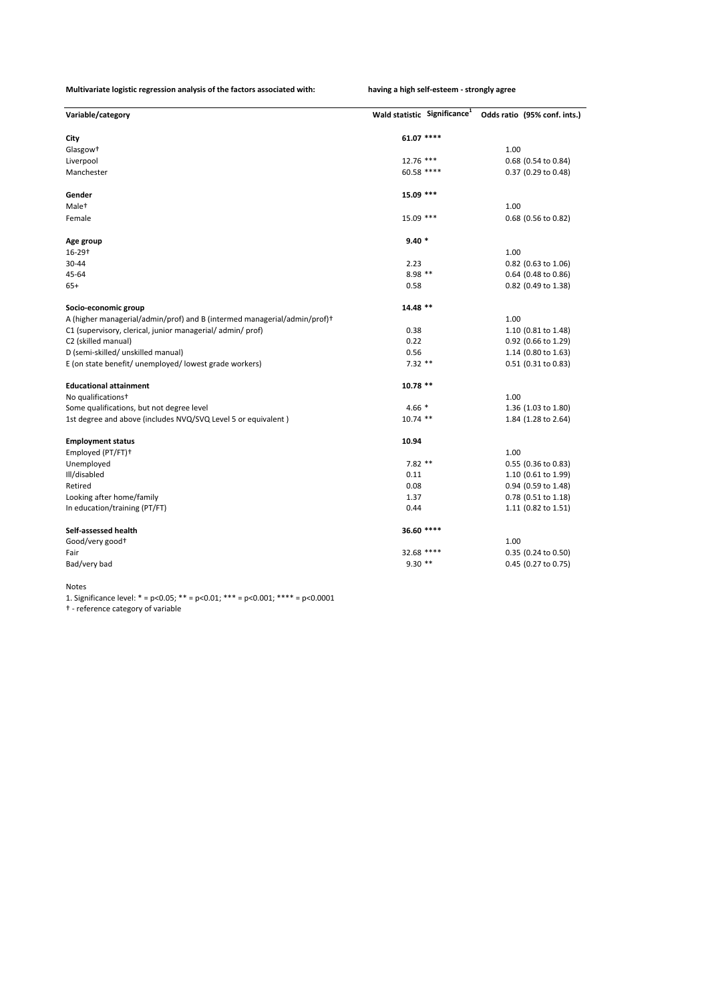Multivariate logistic regression analysis of the factors associated with: having a high self-esteem - strongly agree

|                                                                                      | Wald statistic Significance <sup>1</sup> |                              |
|--------------------------------------------------------------------------------------|------------------------------------------|------------------------------|
| Variable/category                                                                    |                                          | Odds ratio (95% conf. ints.) |
| City                                                                                 | 61.07 ****                               |                              |
| Glasgow <sup>+</sup>                                                                 |                                          | 1.00                         |
| Liverpool                                                                            | 12.76 ***                                | 0.68 (0.54 to 0.84)          |
| Manchester                                                                           | 60.58 ****                               | 0.37 (0.29 to 0.48)          |
| Gender                                                                               | 15.09 ***                                |                              |
| Male <sup>+</sup>                                                                    |                                          | 1.00                         |
| Female                                                                               | 15.09 ***                                | 0.68 (0.56 to 0.82)          |
| Age group                                                                            | $9.40*$                                  |                              |
| $16 - 29$ <sup>+</sup>                                                               |                                          | 1.00                         |
| 30-44                                                                                | 2.23                                     | 0.82 (0.63 to 1.06)          |
| 45-64                                                                                | $8.98**$                                 | 0.64 (0.48 to 0.86)          |
| $65+$                                                                                | 0.58                                     | 0.82 (0.49 to 1.38)          |
| Socio-economic group                                                                 | $14.48**$                                |                              |
| A (higher managerial/admin/prof) and B (intermed managerial/admin/prof) <sup>+</sup> |                                          | 1.00                         |
| C1 (supervisory, clerical, junior managerial/admin/prof)                             | 0.38                                     | 1.10 (0.81 to 1.48)          |
| C2 (skilled manual)                                                                  | 0.22                                     | 0.92 (0.66 to 1.29)          |
| D (semi-skilled/ unskilled manual)                                                   | 0.56                                     | 1.14 (0.80 to 1.63)          |
| E (on state benefit/ unemployed/ lowest grade workers)                               | $7.32**$                                 | 0.51 (0.31 to 0.83)          |
| <b>Educational attainment</b>                                                        | $10.78**$                                |                              |
| No qualifications <sup>+</sup>                                                       |                                          | 1.00                         |
| Some qualifications, but not degree level                                            | $4.66*$                                  | 1.36 (1.03 to 1.80)          |
| 1st degree and above (includes NVQ/SVQ Level 5 or equivalent)                        | $10.74$ **                               | 1.84 (1.28 to 2.64)          |
| <b>Employment status</b>                                                             | 10.94                                    |                              |
| Employed (PT/FT)+                                                                    |                                          | 1.00                         |
| Unemployed                                                                           | $7.82**$                                 | 0.55 (0.36 to 0.83)          |
| Ill/disabled                                                                         | 0.11                                     | 1.10 (0.61 to 1.99)          |
| Retired                                                                              | 0.08                                     | 0.94 (0.59 to 1.48)          |
| Looking after home/family                                                            | 1.37                                     | 0.78 (0.51 to 1.18)          |
| In education/training (PT/FT)                                                        | 0.44                                     | 1.11 (0.82 to 1.51)          |
| Self-assessed health                                                                 | 36.60 ****                               |                              |
| Good/very good+                                                                      |                                          | 1.00                         |
| Fair                                                                                 | 32.68 ****                               | 0.35 (0.24 to 0.50)          |
| Bad/very bad                                                                         | $9.30**$                                 | 0.45 (0.27 to 0.75)          |

Notes

1. Significance level: \* = p<0.05; \*\* = p<0.01; \*\*\* = p<0.001; \*\*\*\* = p<0.0001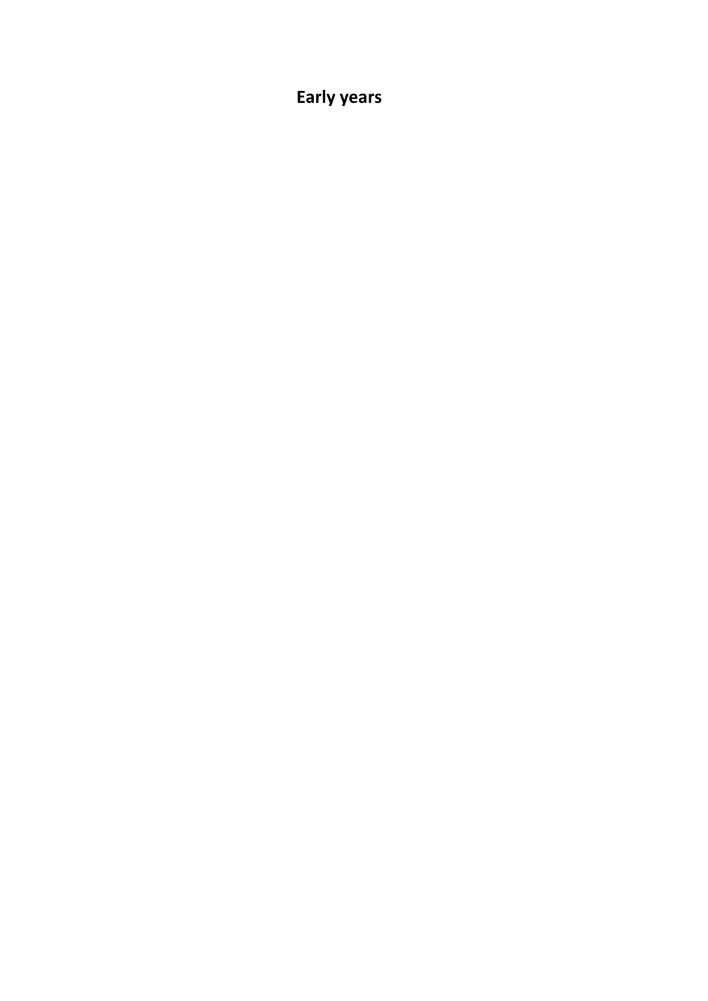**Early years**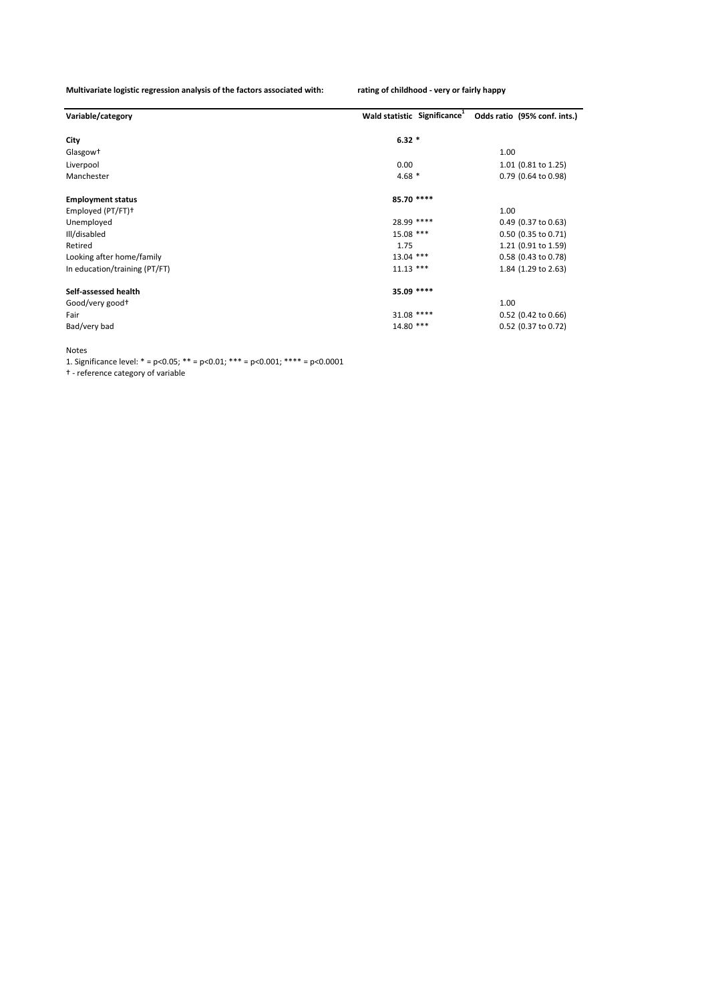Multivariate logistic regression analysis of the factors associated with: rating of childhood - very or fairly happy

| Variable/category             | Wald statistic Significance <sup>1</sup> | Odds ratio (95% conf. ints.) |
|-------------------------------|------------------------------------------|------------------------------|
| City                          | $6.32*$                                  |                              |
| Glasgow <sup>+</sup>          |                                          | 1.00                         |
| Liverpool                     | 0.00                                     | 1.01 (0.81 to 1.25)          |
| Manchester                    | $4.68*$                                  | 0.79 (0.64 to 0.98)          |
| <b>Employment status</b>      | 85.70 ****                               |                              |
| Employed (PT/FT)+             |                                          | 1.00                         |
| Unemployed                    | 28.99 ****                               | 0.49 (0.37 to 0.63)          |
| Ill/disabled                  | 15.08 ***                                | 0.50 (0.35 to 0.71)          |
| Retired                       | 1.75                                     | 1.21 (0.91 to 1.59)          |
| Looking after home/family     | $13.04$ ***                              | 0.58 (0.43 to 0.78)          |
| In education/training (PT/FT) | $11.13$ ***                              | 1.84 (1.29 to 2.63)          |
| Self-assessed health          | 35.09 ****                               |                              |
| Good/very good+               |                                          | 1.00                         |
| Fair                          | 31.08 ****                               | 0.52 (0.42 to 0.66)          |
| Bad/very bad                  | 14.80 ***                                | 0.52 (0.37 to 0.72)          |

Notes

1. Significance level: \* = p<0.05; \*\* = p<0.01; \*\*\* = p<0.001; \*\*\*\* = p<0.0001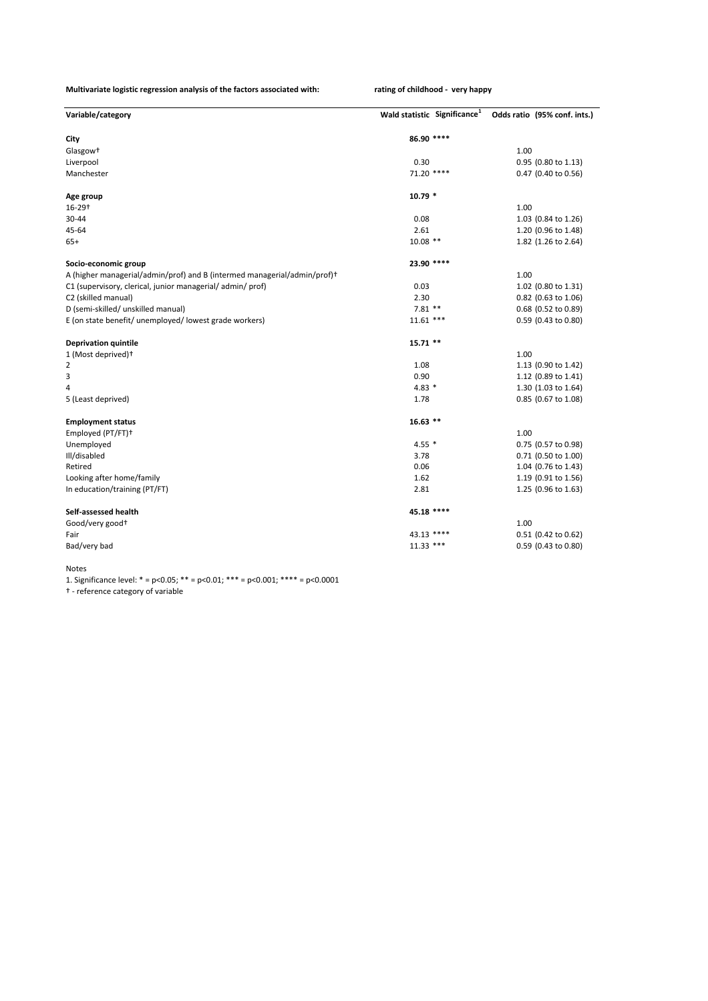**Multivariate logistic regression analysis of the factors associated with: rating of childhood ‐ very happy**

| Variable/category                                                        | Wald statistic Significance <sup>1</sup> | Odds ratio (95% conf. ints.) |
|--------------------------------------------------------------------------|------------------------------------------|------------------------------|
| City                                                                     | 86.90 ****                               |                              |
| Glasgow <sup>+</sup>                                                     |                                          | 1.00                         |
| Liverpool                                                                | 0.30                                     | 0.95 (0.80 to 1.13)          |
| Manchester                                                               | 71.20 ****                               | 0.47 (0.40 to 0.56)          |
| Age group                                                                | $10.79*$                                 |                              |
| $16 - 29$ <sup>+</sup>                                                   |                                          | 1.00                         |
| 30-44                                                                    | 0.08                                     | 1.03 (0.84 to 1.26)          |
| 45-64                                                                    | 2.61                                     | 1.20 (0.96 to 1.48)          |
| $65+$                                                                    | $10.08$ **                               | 1.82 (1.26 to 2.64)          |
| Socio-economic group                                                     | 23.90 ****                               |                              |
| A (higher managerial/admin/prof) and B (intermed managerial/admin/prof)+ |                                          | 1.00                         |
| C1 (supervisory, clerical, junior managerial/admin/prof)                 | 0.03                                     | 1.02 (0.80 to 1.31)          |
| C2 (skilled manual)                                                      | 2.30                                     | 0.82 (0.63 to 1.06)          |
| D (semi-skilled/ unskilled manual)                                       | $7.81**$                                 | 0.68 (0.52 to 0.89)          |
| E (on state benefit/ unemployed/ lowest grade workers)                   | $11.61$ ***                              | 0.59 (0.43 to 0.80)          |
| <b>Deprivation quintile</b>                                              | $15.71$ **                               |                              |
| 1 (Most deprived) <sup>+</sup>                                           |                                          | 1.00                         |
| 2                                                                        | 1.08                                     | 1.13 (0.90 to 1.42)          |
| 3                                                                        | 0.90                                     | 1.12 (0.89 to 1.41)          |
| $\overline{4}$                                                           | $4.83*$                                  | 1.30 (1.03 to 1.64)          |
| 5 (Least deprived)                                                       | 1.78                                     | 0.85 (0.67 to 1.08)          |
| <b>Employment status</b>                                                 | $16.63$ **                               |                              |
| Employed (PT/FT)+                                                        |                                          | 1.00                         |
| Unemployed                                                               | $4.55*$                                  | 0.75 (0.57 to 0.98)          |
| Ill/disabled                                                             | 3.78                                     | 0.71 (0.50 to 1.00)          |
| Retired                                                                  | 0.06                                     | 1.04 (0.76 to 1.43)          |
| Looking after home/family                                                | 1.62                                     | 1.19 (0.91 to 1.56)          |
| In education/training (PT/FT)                                            | 2.81                                     | 1.25 (0.96 to 1.63)          |
| Self-assessed health                                                     | 45.18 ****                               |                              |
| Good/very good+                                                          |                                          | 1.00                         |
| Fair                                                                     | 43.13 ****                               | 0.51 (0.42 to 0.62)          |
| Bad/very bad                                                             | $11.33$ ***                              | 0.59 (0.43 to 0.80)          |

### Notes

1. Significance level: \* = p<0.05; \*\* = p<0.01; \*\*\* = p<0.001; \*\*\*\* = p<0.0001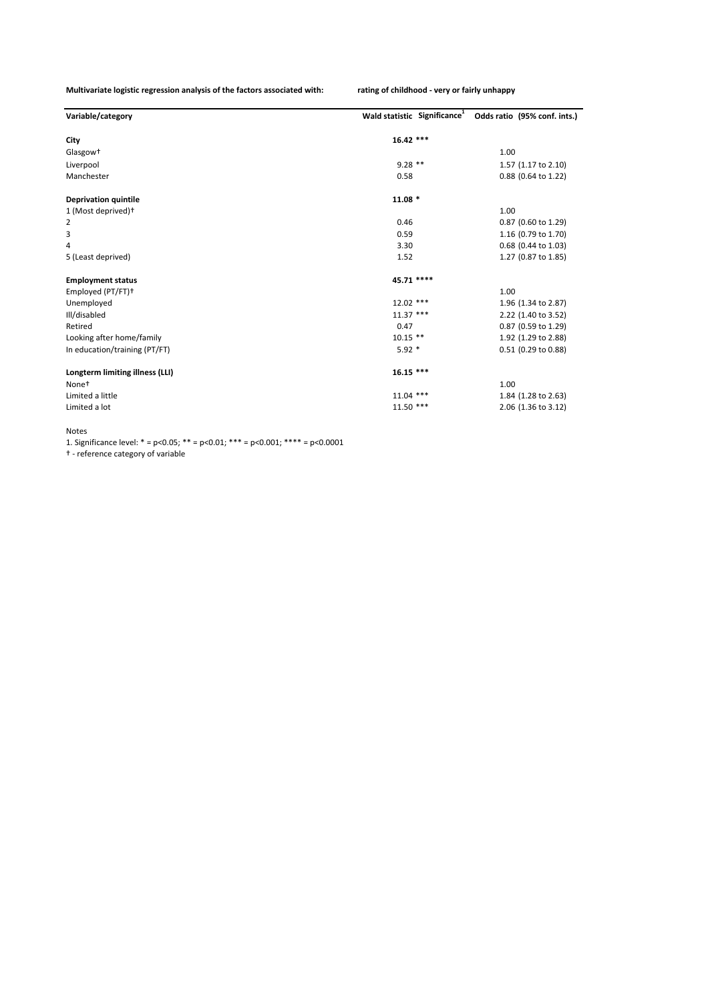Multivariate logistic regression analysis of the factors associated with: rating of childhood - very or fairly unhappy

| Variable/category               | Wald statistic Significance <sup>1</sup> | Odds ratio (95% conf. ints.) |
|---------------------------------|------------------------------------------|------------------------------|
|                                 |                                          |                              |
| City                            | $16.42$ ***                              |                              |
| Glasgow <sup>+</sup>            |                                          | 1.00                         |
| Liverpool                       | $9.28$ **                                | 1.57 (1.17 to 2.10)          |
| Manchester                      | 0.58                                     | 0.88 (0.64 to 1.22)          |
| <b>Deprivation quintile</b>     | $11.08*$                                 |                              |
| 1 (Most deprived) <sup>+</sup>  |                                          | 1.00                         |
| 2                               | 0.46                                     | 0.87 (0.60 to 1.29)          |
| 3                               | 0.59                                     | 1.16 (0.79 to 1.70)          |
| 4                               | 3.30                                     | 0.68 (0.44 to 1.03)          |
| 5 (Least deprived)              | 1.52                                     | 1.27 (0.87 to 1.85)          |
| <b>Employment status</b>        | 45.71 ****                               |                              |
| Employed (PT/FT)+               |                                          | 1.00                         |
| Unemployed                      | $12.02$ ***                              | 1.96 (1.34 to 2.87)          |
| Ill/disabled                    | $11.37***$                               | 2.22 (1.40 to 3.52)          |
| Retired                         | 0.47                                     | 0.87 (0.59 to 1.29)          |
| Looking after home/family       | $10.15$ **                               | 1.92 (1.29 to 2.88)          |
| In education/training (PT/FT)   | $5.92*$                                  | 0.51 (0.29 to 0.88)          |
| Longterm limiting illness (LLI) | $16.15***$                               |                              |
| None <sup>+</sup>               |                                          | 1.00                         |
| Limited a little                | $11.04$ ***                              | 1.84 (1.28 to 2.63)          |
| Limited a lot                   | $11.50$ ***                              | 2.06 (1.36 to 3.12)          |

Notes

1. Significance level:  $* = p < 0.05$ ;  $** = p < 0.01$ ;  $*** = p < 0.001$ ;  $*** = p < 0.0001$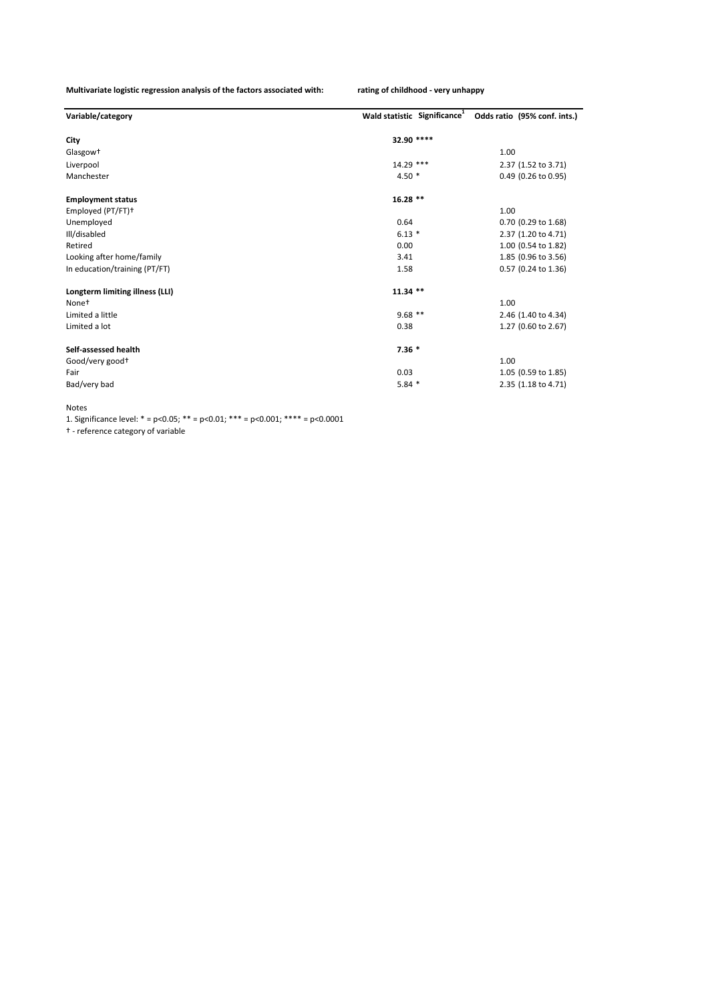**Multivariate logistic regression analysis of the factors associated with: rating of childhood ‐ very unhappy**

| Variable/category               | Wald statistic Significance <sup>1</sup> | Odds ratio (95% conf. ints.) |
|---------------------------------|------------------------------------------|------------------------------|
| City                            | 32.90 ****                               |                              |
| Glasgow <sup>+</sup>            |                                          | 1.00                         |
| Liverpool                       | $14.29$ ***                              | 2.37 (1.52 to 3.71)          |
| Manchester                      | $4.50*$                                  | 0.49 (0.26 to 0.95)          |
| <b>Employment status</b>        | $16.28**$                                |                              |
| Employed (PT/FT)+               |                                          | 1.00                         |
| Unemployed                      | 0.64                                     | 0.70 (0.29 to 1.68)          |
| Ill/disabled                    | $6.13*$                                  | 2.37 (1.20 to 4.71)          |
| Retired                         | 0.00                                     | 1.00 (0.54 to 1.82)          |
| Looking after home/family       | 3.41                                     | 1.85 (0.96 to 3.56)          |
| In education/training (PT/FT)   | 1.58                                     | 0.57 (0.24 to 1.36)          |
| Longterm limiting illness (LLI) | $11.34$ **                               |                              |
| None <sup>+</sup>               |                                          | 1.00                         |
| Limited a little                | $9.68$ **                                | 2.46 (1.40 to 4.34)          |
| Limited a lot                   | 0.38                                     | 1.27 (0.60 to 2.67)          |
| Self-assessed health            | $7.36*$                                  |                              |
| Good/very good+                 |                                          | 1.00                         |
| Fair                            | 0.03                                     | 1.05 (0.59 to 1.85)          |
| Bad/very bad                    | $5.84*$                                  | 2.35 (1.18 to 4.71)          |

Notes

1. Significance level: \* = p<0.05; \*\* = p<0.01; \*\*\* = p<0.001; \*\*\*\* = p<0.0001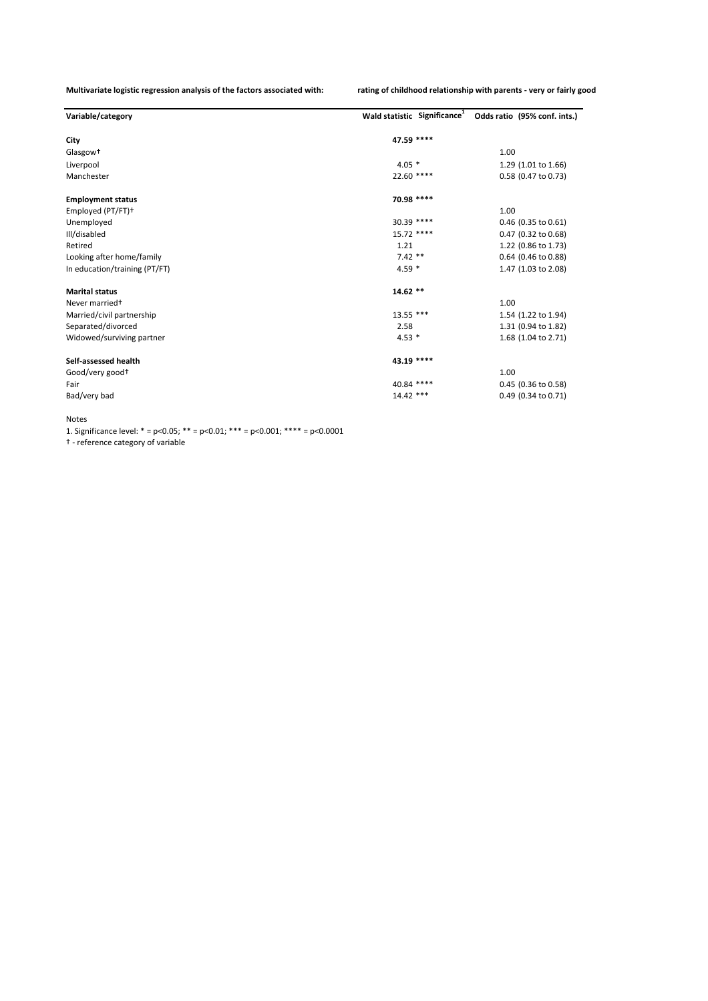Multivariate logistic regression analysis of the factors associated with: rating of childhood relationship with parents - very or fairly good

| Variable/category             | Wald statistic Significance <sup>1</sup> | Odds ratio (95% conf. ints.) |
|-------------------------------|------------------------------------------|------------------------------|
| City                          | 47.59 ****                               |                              |
|                               |                                          | 1.00                         |
| Glasgow <sup>+</sup>          |                                          |                              |
| Liverpool                     | $4.05*$                                  | 1.29 (1.01 to 1.66)          |
| Manchester                    | 22.60 ****                               | 0.58 (0.47 to 0.73)          |
| <b>Employment status</b>      | 70.98 ****                               |                              |
| Employed (PT/FT)+             |                                          | 1.00                         |
| Unemployed                    | 30.39 ****                               | 0.46 (0.35 to 0.61)          |
| Ill/disabled                  | $15.72$ ****                             | 0.47 (0.32 to 0.68)          |
| Retired                       | 1.21                                     | 1.22 (0.86 to 1.73)          |
| Looking after home/family     | $7.42$ **                                | 0.64 (0.46 to 0.88)          |
| In education/training (PT/FT) | $4.59*$                                  | 1.47 (1.03 to 2.08)          |
| <b>Marital status</b>         | $14.62**$                                |                              |
| Never married <sup>+</sup>    |                                          | 1.00                         |
| Married/civil partnership     | 13.55 ***                                | 1.54 (1.22 to 1.94)          |
| Separated/divorced            | 2.58                                     | 1.31 (0.94 to 1.82)          |
| Widowed/surviving partner     | $4.53*$                                  | 1.68 (1.04 to 2.71)          |
| Self-assessed health          | 43.19 ****                               |                              |
| Good/very good+               |                                          | 1.00                         |
| Fair                          | 40.84 ****                               | 0.45 (0.36 to 0.58)          |
| Bad/very bad                  | $14.42$ ***                              | 0.49 (0.34 to 0.71)          |

Notes

1. Significance level: \* = p<0.05; \*\* = p<0.01; \*\*\* = p<0.001; \*\*\*\* = p<0.0001